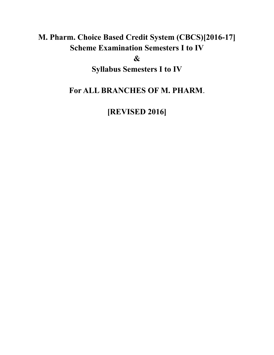# **M. Pharm. Choice Based Credit System (CBCS)[2016-17] Scheme Examination Semesters I to IV**

**&**

**Syllabus Semesters I to IV**

**For ALL BRANCHES OF M. PHARM**.

**[REVISED 2016]**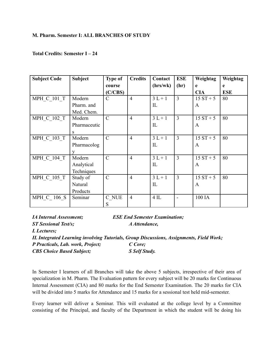#### **M. Pharm. Semester I: ALL BRANCHES OF STUDY**

#### **Total Credits: Semester I – 24**

| <b>Subject Code</b> | <b>Subject</b> | <b>Type of</b> | <b>Credits</b> | Contact       | <b>ESE</b>     | Weightag     | Weightag   |
|---------------------|----------------|----------------|----------------|---------------|----------------|--------------|------------|
|                     |                | course         |                | (hrs/wk)      | (hr)           | e            | e          |
|                     |                | (C/CBS)        |                |               |                | <b>CIA</b>   | <b>ESE</b> |
| <b>MPH C 101 T</b>  | Modern         | $\mathcal{C}$  | $\overline{4}$ | $3L+1$        | $\overline{3}$ | $15 ST + 5$  | 80         |
|                     | Pharm. and     |                |                | $_{\rm IL}$   |                | $\mathbf{A}$ |            |
|                     | Med. Chem.     |                |                |               |                |              |            |
| MPH C 102 T         | Modern         | $\mathcal{C}$  | $\overline{4}$ | $3L+1$        | $\overline{3}$ | $15 ST + 5$  | 80         |
|                     | Pharmaceutic   |                |                | $\mathbf{L}$  |                | $\mathbf{A}$ |            |
|                     | S              |                |                |               |                |              |            |
| MPH C 103 T         | Modern         | $\mathcal{C}$  | $\overline{4}$ | $3L+1$        | $\overline{3}$ | $15 ST + 5$  | 80         |
|                     | Pharmacolog    |                |                | $\mathcal{I}$ |                | A            |            |
|                     |                |                |                |               |                |              |            |
| MPH C 104 T         | Modern         | $\mathcal{C}$  | $\overline{4}$ | $3L+1$        | $\overline{3}$ | $15 ST + 5$  | 80         |
|                     | Analytical     |                |                | $\mathbf{L}$  |                | $\mathbf{A}$ |            |
|                     | Techniques     |                |                |               |                |              |            |
| <b>MPH C 105 T</b>  | Study of       | $\mathcal{C}$  | $\overline{4}$ | $3L+1$        | $\overline{3}$ | $15 ST + 5$  | 80         |
|                     | Natural        |                |                | $\mathbf{L}$  |                | $\mathbf{A}$ |            |
|                     | Products       |                |                |               |                |              |            |
| MPH C 106 S         | Seminar        | C NUE          | $\overline{4}$ | $4$ IL        |                | 100 IA       |            |
|                     |                | S              |                |               |                |              |            |

| <i>IA Internal Assessment</i> ;   | <b>ESE End Semester Examination;</b>                                                    |
|-----------------------------------|-----------------------------------------------------------------------------------------|
| <b>ST Sessional Test/s;</b>       | A Attendance,                                                                           |
| L Lectures;                       |                                                                                         |
|                                   | IL Integrated Learning involving Tutorials, Group Discussions, Assignments, Field Work; |
| P Practicals, Lab. work, Project; | C Core;                                                                                 |
| <b>CBS Choice Based Subject;</b>  | S Self Study.                                                                           |

In Semester I learners of all Branches will take the above 5 subjects, irrespective of their area of specialization in M. Pharm. The Evaluation pattern for every subject will be 20 marks for Continuous Internal Assessment (CIA) and 80 marks for the End Semester Examination. The 20 marks for CIA will be divided into 5 marks for Attendance and 15 marks for a sessional test held mid-semester.

Every learner will deliver a Seminar. This will evaluated at the college level by a Committee consisting of the Principal, and faculty of the Department in which the student will be doing his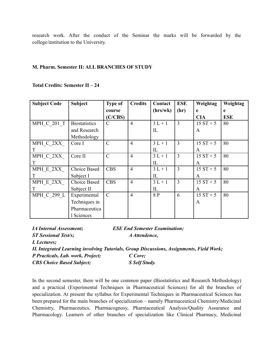research work. After the conduct of the Seminar the marks will be forwarded by the college/institution to the University.

#### **M. Pharm. Semester II: ALL BRANCHES OF STUDY**

**Total Credits: Semester II – 24**

| <b>Subject Code</b> | <b>Subject</b>       | <b>Type of</b> | <b>Credits</b> | Contact     | <b>ESE</b>     | Weightag    | Weightag   |
|---------------------|----------------------|----------------|----------------|-------------|----------------|-------------|------------|
|                     |                      | course         |                | (hrs/wk)    | (hr)           | e           | e          |
|                     |                      | (C/CBS)        |                |             |                | <b>CIA</b>  | <b>ESE</b> |
| <b>MPH C 201 T</b>  | <b>Biostatistics</b> | C              | $\overline{4}$ | $3L + 1$    | 3              | $15 ST + 5$ | 80         |
|                     | and Research         |                |                | IL          |                | A           |            |
|                     | Methodology          |                |                |             |                |             |            |
| MPH C 2XX           | Core I               | $\mathcal{C}$  | $\overline{4}$ | $3L+1$      | $\overline{3}$ | $15 ST + 5$ | 80         |
|                     |                      |                |                | $_{\rm IL}$ |                | A           |            |
| MPH C 2XX           | Core II              | $\mathcal{C}$  | $\overline{4}$ | $3L + 1$    | $\overline{3}$ | $15 ST + 5$ | 80         |
|                     |                      |                |                | IL          |                | A           |            |
| MPH E 2XX           | Choice Based         | <b>CBS</b>     | $\overline{4}$ | $3L+1$      | 3              | $15 ST + 5$ | 80         |
|                     | Subject I            |                |                | $_{\rm IL}$ |                | A           |            |
| MPH E 2XX           | Choice Based         | <b>CBS</b>     | $\overline{4}$ | $3L + 1$    | $\overline{3}$ | $15 ST + 5$ | 80         |
|                     | Subject II           |                |                | $_{\rm IL}$ |                | A           |            |
| MPH C 299 L         | Experimental         | $\mathcal{C}$  | $\overline{4}$ | 8 P         | 6              | $15 ST + 5$ | 80         |
|                     | Techniques in        |                |                |             |                | A           |            |
|                     | Pharmaceutica        |                |                |             |                |             |            |
|                     | I Sciences           |                |                |             |                |             |            |

| <i><b>IA Internal Assessment;</b></i> | <b>ESE End Semester Examination;</b>                                                    |
|---------------------------------------|-----------------------------------------------------------------------------------------|
| <b>ST Sessional Test/s;</b>           | A Attendence,                                                                           |
| L Lectures;                           |                                                                                         |
|                                       | IL Integrated Learning involving Tutorials, Group Discussions, Assignments, Field Work; |
| P Practicals, Lab. work, Project;     | C Core;                                                                                 |
| <b>CBS Choice Based Subject;</b>      | S Self Study.                                                                           |

In the second semester, there will be one common paper (Biostatistics and Research Methodology) and a practical (Experimental Techniques in Pharmaceutical Sciences) for all the branches of specialization. At present the syllabus for Experimental Techniques in Pharmaceutical Sciences has been prepared for the main branches of specialization – namely Pharmaceutical Chemistry/Medicinal Chemistry, Pharmaceutics, Pharmacognosy, Pharmaceutical Analysis/Quality Assurance and Pharmacology. Learners of other branches of specialization like Clinical Pharmacy, Medicinal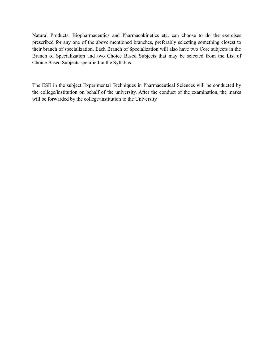Natural Products, Biopharmaceutics and Pharmacokinetics etc. can choose to do the exercises prescribed for any one of the above mentioned branches, preferably selecting something closest to their branch of specialization. Each Branch of Specialization will also have two Core subjects in the Branch of Specialization and two Choice Based Subjects that may be selected from the List of Choice Based Subjects specified in the Syllabus.

The ESE in the subject Experimental Techniques in Pharmaceutical Sciences will be conducted by the college/institution on behalf of the university. After the conduct of the examination, the marks will be forwarded by the college/institution to the University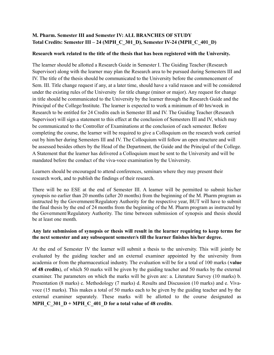## **M. Pharm. Semester III and Semester IV: ALL BRANCHES OF STUDY Total Credits: Semester III – 24 (MPH\_C\_301\_D), Semester IV-24 (MPH\_C\_401\_D)**

#### **Research work related to the title of the thesis that has been registered with the University.**

The learner should be allotted a Research Guide in Semester I. The Guiding Teacher (Research Supervisor) along with the learner may plan the Research area to be pursued during Semesters III and IV. The title of the thesis should be communicated to the University before the commencement of Sem. III. Title change request if any, at a later time, should have a valid reason and will be considered under the existing rules of the University for title change (minor or major). Any request for change in title should be communicated to the University by the learner through the Research Guide and the Principal of the College/Institute. The learner is expected to work a minimum of 40 hrs/week in Research to be entitled for 24 Credits each in Semester III and IV. The Guiding Teacher (Research Supervisor) will sign a statement to this effect at the conclusion of Semesters III and IV, which may be communicated to the Controller of Examinations at the conclusion of each semester. Before completing the course, the learner will be required to give a Colloquium on the research work carried out by him/her during Semesters III and IV. The Colloquium will follow an open structure and will be assessed besides others by the Head of the Department, the Guide and the Principal of the College. A Statement that the learner has delivered a Colloquium must be sent to the University and will be mandated before the conduct of the viva-voce examination by the University.

Learners should be encouraged to attend conferences, seminars where they may present their research work, and to publish the findings of their research.

There will be no ESE at the end of Semester III. A learner will be permitted to submit his/her synopsis no earlier than 20 months (after 20 months) from the beginning of the M. Pharm program as instructed by the Government/Regulatory Authority for the respective year, BUT will have to submit the final thesis by the end of 24 months from the beginning of the M. Pharm program as instructed by the Government/Regulatory Authority. The time between submission of synopsis and thesis should be at least one month.

#### **Any late submission of synopsis or thesis will result in the learner requiring to keep terms for the next semester and any subsequent semester/s till the learner finishes his/her degree.**

At the end of Semester IV the learner will submit a thesis to the university. This will jointly be evaluated by the guiding teacher and an external examiner appointed by the university from academia or from the pharmaceutical industry. The evaluation will be for a total of 100 marks (**value of 48 credits**), of which 50 marks will be given by the guiding teacher and 50 marks by the external examiner. The parameters on which the marks will be given are: a. Literature Survey (10 marks) b. Presentation (8 marks) c. Methodology (7 marks) d. Results and Discussion (10 marks) and e. Vivavoce (15 marks). This makes a total of 50 marks each to be given by the guiding teacher and by the external examiner separately. These marks will be allotted to the course designated as **MPH**  $C_301D + MPH C_401D$  for a total value of 48 credits.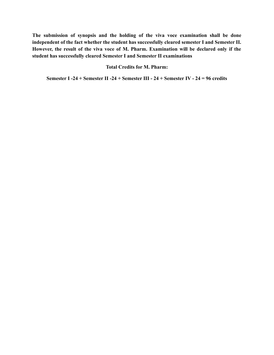**The submission of synopsis and the holding of the viva voce examination shall be done independent of the fact whether the student has successfully cleared semester I and Semester II. However, the result of the viva voce of M. Pharm. Examination will be declared only if the student has successfully cleared Semester I and Semester II examinations**

#### **Total Credits for M. Pharm:**

**Semester I -24 + Semester II -24 + Semester III - 24 + Semester IV - 24 = 96 credits**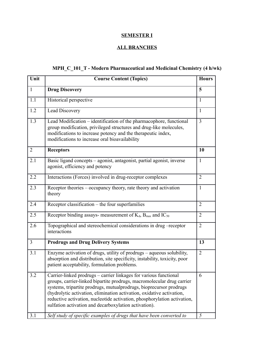## **SEMESTER I**

## **ALL BRANCHES**

## **MPH\_C\_101\_T - Modern Pharmaceutical and Medicinal Chemistry (4 h/wk)**

| Unit           | <b>Course Content (Topics)</b>                                                                                                                                                                                                                                                                                                                                                                                                   | <b>Hours</b>   |
|----------------|----------------------------------------------------------------------------------------------------------------------------------------------------------------------------------------------------------------------------------------------------------------------------------------------------------------------------------------------------------------------------------------------------------------------------------|----------------|
| $\mathbf{1}$   | <b>Drug Discovery</b>                                                                                                                                                                                                                                                                                                                                                                                                            | 5              |
| 1.1            | Historical perspective                                                                                                                                                                                                                                                                                                                                                                                                           | 1              |
| 1.2            | Lead Discovery                                                                                                                                                                                                                                                                                                                                                                                                                   | $\mathbf{1}$   |
| 1.3            | Lead Modification - identification of the pharmacophore, functional<br>group modification, privileged structures and drug-like molecules,<br>modifications to increase potency and the therapeutic index,<br>modifications to increase oral bioavailability                                                                                                                                                                      | 3              |
| 2              | <b>Receptors</b>                                                                                                                                                                                                                                                                                                                                                                                                                 | 10             |
| 2.1            | Basic ligand concepts – agonist, antagonist, partial agonist, inverse<br>agonist, efficiency and potency                                                                                                                                                                                                                                                                                                                         | $\mathbf{1}$   |
| 2.2            | Interactions (Forces) involved in drug-receptor complexes                                                                                                                                                                                                                                                                                                                                                                        | $\overline{2}$ |
| 2.3            | Receptor theories – occupancy theory, rate theory and activation<br>theory                                                                                                                                                                                                                                                                                                                                                       | 1              |
| 2.4            | Receptor classification - the four superfamilies                                                                                                                                                                                                                                                                                                                                                                                 | $\overline{2}$ |
| 2.5            | Receptor binding assays- measurement of $K_d$ , $B_{max}$ and $IC_{50}$                                                                                                                                                                                                                                                                                                                                                          | 2              |
| 2.6            | Topographical and stereochemical considerations in drug -receptor<br>interactions                                                                                                                                                                                                                                                                                                                                                | $\overline{2}$ |
| $\mathfrak{Z}$ | <b>Prodrugs and Drug Delivery Systems</b>                                                                                                                                                                                                                                                                                                                                                                                        | 13             |
| 3.1            | Enzyme activation of drugs, utility of prodrugs - aqueous solubility,<br>absorption and distribution, site specificity, instability, toxicity, poor<br>patient acceptability, formulation problems.                                                                                                                                                                                                                              | $\overline{2}$ |
| 3.2            | Carrier-linked prodrugs - carrier linkages for various functional<br>groups, carrier-linked bipartite prodrugs, macromolecular drug carrier<br>systems, tripartite prodrugs, mutualprodrugs, bioprecursor prodrugs<br>(hydrolytic activation, elimination activation, oxidative activation,<br>reductive activation, nucleotide activation, phosphorylation activation,<br>sulfation activation and decarboxylation activation). | 6              |
| 3.1            | Self study of specific examples of drugs that have been converted to                                                                                                                                                                                                                                                                                                                                                             | 5              |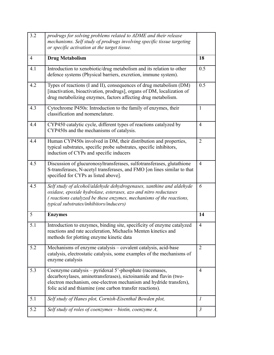| 3.2            | prodrugs for solving problems related to ADME and their release<br>mechanisms. Self study of prodrugs involving specific tissue targeting<br>or specific activation at the target tissue.                                                                      |                |
|----------------|----------------------------------------------------------------------------------------------------------------------------------------------------------------------------------------------------------------------------------------------------------------|----------------|
| $\overline{4}$ | <b>Drug Metabolism</b>                                                                                                                                                                                                                                         | 18             |
| 4.1            | Introduction to xenobiotic/drug metabolism and its relation to other<br>defence systems (Physical barriers, excretion, immune system).                                                                                                                         | 0.5            |
| 4.2            | Types of reactions (I and II), consequences of drug metabolism (DM)<br>[inactivation, bioactivation, prodrugs], organs of DM, localization of<br>drug metabolizing enzymes, factors affecting drug metabolism.                                                 | 0.5            |
| 4.3            | Cytochrome P450s: Introduction to the family of enzymes, their<br>classification and nomenclature.                                                                                                                                                             | $\mathbf{1}$   |
| 4.4            | CYP450 catalytic cycle, different types of reactions catalyzed by<br>CYP450s and the mechanisms of catalysis.                                                                                                                                                  | $\overline{4}$ |
| 4.4            | Human CYP450s involved in DM, their distribution and properties,<br>typical substrates, specific probe substrates, specific inhibitors,<br>induction of CYPs and specific inducers                                                                             | 2              |
| 4.5            | Discussion of glucuronosyltransferases, sulfotransferases, glutathione<br>S-transferases, N-acetyl transferases, and FMO [on lines similar to that<br>specified for CYPs as listed above].                                                                     | $\overline{4}$ |
| 4.5            | Self study of alcohol/aldehyde dehydrogenases, xanthine and aldehyde<br>oxidase, epoxide hydrolase, esterases, azo and nitro reductases<br>(reactions catalyzed be these enzymes, mechanisms of the reactions,<br>typical substrates/inhibitors/inducers)      | 6              |
| 5              | <b>Enzymes</b>                                                                                                                                                                                                                                                 | 14             |
| 5.1            | Introduction to enzymes, binding site, specificity of enzyme catalyzed<br>reactions and rate acceleration, Michaelis Menten kinetics and<br>methods for plotting enzyme kinetic data                                                                           | $\overline{4}$ |
| 5.2            | Mechanisms of enzyme catalysis - covalent catalysis, acid-base<br>catalysis, electrostatic catalysis, some examples of the mechanisms of<br>enzyme catalysis                                                                                                   | $\overline{2}$ |
| 5.3            | Coenzyme catalysis - pyridoxal 5'-phosphate (racemases,<br>decarboxylases, aminotransferases), nictoinamide and flavin (two-<br>electron mechanism, one-electron mechanism and hydride transfers),<br>folic acid and thiamine (one carbon transfer reactions). | $\overline{4}$ |
| 5.1            | Self study of Hanes plot, Cornish-Eisenthal Bowden plot,                                                                                                                                                                                                       | 1              |
| 5.2            | Self study of roles of coenzymes $-$ biotin, coenzyme $A$ ,                                                                                                                                                                                                    | $\mathfrak{Z}$ |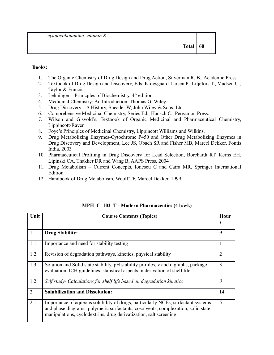| cyanocobolamine, vitamin K |    |
|----------------------------|----|
| <b>Total</b>               | 60 |

- 1. The Organic Chemistry of Drug Design and Drug Action, Silverman R. B., Academic Press.
- 2. Textbook of Drug Design and Discovery, Eds. Krogsgaard-Larsen P., Liljefors T., Madsen U., Taylor & Francis.
- 3. Lehninger Prinicples of Biochemistry,  $4<sup>th</sup>$  edition.
- 4. Medicinal Chemistry: An Introduction, Thomas G, Wiley.
- 5. Drug Discovery A History, Sneader W, John Wiley & Sons, Ltd.
- 6. Comprehensive Medicinal Chemistry, Series Ed., Hansch C., Pergamon Press.
- 7. Wilson and Gisvold's, Textbook of Organic Medicinal and Pharmaceutical Chemistry, Lippincott-Raven
- 8. Foye's Principles of Medicinal Chemistry, Lippincott Williams and Wilkins.
- 9. Drug Metabolizing Enzymes-Cytochrome P450 and Other Drug Metabolizing Enzymes in Drug Discovery and Development, Lee JS, Obach SR and Fisher MB, Marcel Dekker, Fontis India, 2003
- 10. Pharmaceutical Profiling in Drug Discovery for Lead Selection, Borchardt RT, Kerns EH, Lipinski CA, Thakker DR and Wang B, AAPS Press, 2004
- 11. Drug Metabolism Current Concepts, Ionescu C and Caira MR, Springer International Edition
- 12. Handbook of Drug Metabolism, Woolf TF, Marcel Dekker, 1999.

| Unit | <b>Course Contents (Topics)</b>                                                                                                                                                                                                            | Hour |
|------|--------------------------------------------------------------------------------------------------------------------------------------------------------------------------------------------------------------------------------------------|------|
|      |                                                                                                                                                                                                                                            | s    |
|      | <b>Drug Stability:</b>                                                                                                                                                                                                                     | 9    |
| 1.1  | Importance and need for stability testing                                                                                                                                                                                                  |      |
| 1.2  | Revision of degradation pathways, kinetics, physical stability                                                                                                                                                                             | 2    |
| 1.3  | Solution and Solid state stability, pH stability profiles, v and u graphs, package<br>evaluation, ICH guidelines, statistical aspects in derivation of shelf life.                                                                         | 3    |
| 1.2  | Self study- Calculations for shelf life based on degradation kinetics                                                                                                                                                                      | 3    |
| 2    | <b>Solubilization and Dissolution:</b>                                                                                                                                                                                                     | 14   |
| 2.1  | Importance of aqueous solubility of drugs, particularly NCEs, surfactant systems<br>and phase diagrams, polymeric surfactants, cosolvents, complexation, solid state<br>manipulations, cyclodextrins, drug derivatization, salt screening. | 5    |

#### **MPH\_C\_102\_T - Modern Pharmaceutics (4 h/wk)**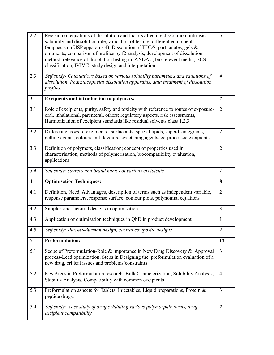| 2.2            | Revision of equations of dissolution and factors affecting dissolution, intrinsic<br>solubility and dissolution rate, validation of testing, different equipments<br>(emphasis on USP apparatus 4), Dissolution of TDDS, particulates, gels $\&$<br>ointments, comparison of profiles by f2 analysis, development of dissolution<br>method, relevance of dissolution testing in ANDAs, bio-relevent media, BCS<br>classification, IVIVC- study design and interpretation | 5              |
|----------------|--------------------------------------------------------------------------------------------------------------------------------------------------------------------------------------------------------------------------------------------------------------------------------------------------------------------------------------------------------------------------------------------------------------------------------------------------------------------------|----------------|
| 2.3            | Self study- Calculations based on various solubility parameters and equations of<br>dissolution. Pharmacopoeial dissolution apparatus, data treatment of dissolution<br>profiles.                                                                                                                                                                                                                                                                                        | $\overline{4}$ |
| $\mathfrak{Z}$ | <b>Excipients and introduction to polymers:</b>                                                                                                                                                                                                                                                                                                                                                                                                                          | $\overline{7}$ |
| 3.1            | Role of excipients, purity, safety and toxicity with reference to routes of exposure-<br>oral, inhalational, parenteral, others; regulatory aspects, risk assessments,<br>Harmonization of excipient standards like residual solvents class 1,2,3.                                                                                                                                                                                                                       | $\overline{2}$ |
| 3.2            | Different classes of excipients - surfactants, special lipids, superdisintegrants,<br>gelling agents, colours and flavours, sweetening agents, co-processed excipients.                                                                                                                                                                                                                                                                                                  | $\overline{2}$ |
| 3.3            | Definition of polymers, classification; concept of properties used in<br>characterisation, methods of polymerisation, biocompatibility evaluation,<br>applications                                                                                                                                                                                                                                                                                                       | $\overline{2}$ |
| 3.4            | Self study: sources and brand names of various excipients                                                                                                                                                                                                                                                                                                                                                                                                                | $\mathfrak{I}$ |
| $\overline{4}$ | <b>Optimisation Techniques:</b>                                                                                                                                                                                                                                                                                                                                                                                                                                          | 8              |
|                |                                                                                                                                                                                                                                                                                                                                                                                                                                                                          |                |
| 4.1            | Definition, Need, Advantages, description of terms such as independent variable,<br>response parameters, response surface, contour plots, polynomial equations                                                                                                                                                                                                                                                                                                           | $\overline{2}$ |
| 4.2            | Simplex and factorial designs in optimisation                                                                                                                                                                                                                                                                                                                                                                                                                            | $\overline{3}$ |
| 4.3            | Application of optimisation techniques in QbD in product development                                                                                                                                                                                                                                                                                                                                                                                                     | $\mathbf{1}$   |
| 4.5            | Self study: Placket-Burman design, central composite designs                                                                                                                                                                                                                                                                                                                                                                                                             | $\overline{2}$ |
| 5              | <b>Preformulation:</b>                                                                                                                                                                                                                                                                                                                                                                                                                                                   | 12             |
| 5.1            | Scope of Preformulation-Role & importance in New Drug Discovery & Approval<br>process-Lead optimization, Steps in Designing the preformulation evaluation of a<br>new drug, critical issues and problems/constraints                                                                                                                                                                                                                                                     | $\overline{3}$ |
| 5.2            | Key Areas in Preformulation research- Bulk Characterization, Solubility Analysis,<br>Stability Analysis, Compatibility with common excipients                                                                                                                                                                                                                                                                                                                            | $\overline{4}$ |
| 5.3            | Preformulation aspects for Tablets, Injectables, Liquid preparations, Protein $\&$<br>peptide drugs.                                                                                                                                                                                                                                                                                                                                                                     | $\overline{3}$ |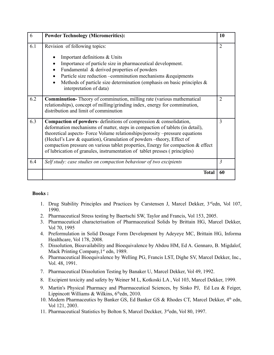| 6   | <b>Powder Technology (Micromeritics):</b>                                                                                                                                                                                                                                                                                                                                                                                                                                               | 10             |
|-----|-----------------------------------------------------------------------------------------------------------------------------------------------------------------------------------------------------------------------------------------------------------------------------------------------------------------------------------------------------------------------------------------------------------------------------------------------------------------------------------------|----------------|
| 6.1 | Revision of following topics:<br>Important definitions & Units<br>Importance of particle size in pharmaceutical development.<br>Fundamental & derived properties of powders<br>Particle size reduction -comminution mechanisms &equipments<br>Methods of particle size determination (emphasis on basic principles $\&$<br>interpretation of data)                                                                                                                                      | $\overline{2}$ |
| 6.2 | <b>Comminution-</b> Theory of comminution, milling rate (various mathematical<br>relationships), concept of milling/grinding index, energy for comminution,<br>distribution and limit of comminution                                                                                                                                                                                                                                                                                    | $\overline{2}$ |
| 6.3 | <b>Compaction of powders-</b> definitions of compression $\&$ consolidation,<br>deformation mechanisms of matter, steps in compaction of tablets (in detail),<br>theoretical aspects- Force Volume relationships/porosity -pressure equations<br>(Heckel's Law & equation), Granulation of powders -theory, Effect of<br>compaction pressure on various tablet properties, Energy for compaction & effect<br>of lubrication of granules, instrumentation of tablet presses (principles) | 3              |
| 6.4 | Self study: case studies on compaction behaviour of two excipients                                                                                                                                                                                                                                                                                                                                                                                                                      | 3              |
|     | <b>Total</b>                                                                                                                                                                                                                                                                                                                                                                                                                                                                            | 60             |

- 1. Drug Stability Principles and Practices by Carstensen J, Marcel Dekker, 3<sup>rd</sup>edn, Vol 107, 1990.
- 2. Pharmaceutical Stress testing by Baertschi SW, Taylor and Francis, Vol 153, 2005.
- 3. Pharmaceutical characterisation of Pharmaceutical Solids by Brittain HG, Marcel Dekker, Vol 70, 1995
- 4. Preformulation in Solid Dosage Form Development by Adeyeye MC, Brittain HG, Informa Healthcare, Vol 178, 2008.
- 5. Dissolution, Bioavailability and Bioequivalence by Abdou HM, Ed A. Gennaro, B. Migdalof, Mack Printing Company, 1<sup>st</sup> edn, 1989.
- 6. Pharmaceutical Bioequivalence by Welling PG, Francis LST, Dighe SV, Marcel Dekker, Inc., Vol. 48, 1991.
- 7. Pharmaceutical Dissolution Testing by Banaker U, Marcel Dekker, Vol 49, 1992.
- 8. Excipient toxicity and safety by Weiner M L, Kotkoski LA , Vol 103, Marcel Dekker, 1999.
- 9. Martin's Physical Pharmacy and Pharmaceutical Sciences, by Sinko PJ, Ed Lea & Feiger, Lippincott Williams & Wilkins,  $6<sup>th</sup>$ edn, 2010.
- 10. Modern Pharmaceutics by Banker GS, Ed Banker GS & Rhodes CT, Marcel Dekker, 4<sup>th</sup> edn, Vol 121, 2003.
- 11. Pharmaceutical Statistics by Bolton S, Marcel Deckker, 3<sup>rd</sup>edn, Vol 80, 1997.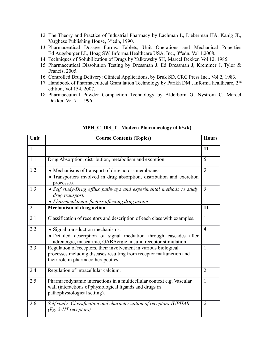- 12. The Theory and Practice of Industrial Pharmacy by Lachman L, Lieberman HA, Kanig JL, Varghese Publishing House, 3<sup>rd</sup>edn, 1990.
- 13. Pharmaceutical Dosage Forms: Tablets, Unit Operations and Mechanical Poperties Ed Augsburger LL, Hoag SW, Informa Healthcare USA, Inc., 3<sup>rd</sup>edn, Vol 1,2008.
- 14. Techniques of Solubilization of Drugs by Yalkowsky SH, Marcel Dekker, Vol 12, 1985.
- 15. Pharmaceutical Dissolution Testing by Dressman J. Ed Dressman J, Kremmer J, Tylor & Francis, 2005.
- 16. Controlled Drug Delivery: Clinical Applications, by Bruk SD, CRC Press Inc., Vol 2, 1983.
- 17. Handbook of Pharmaceutical Granulation Technology by Parikh DM, Informa healthcare, 2<sup>nd</sup> edition, Vol 154, 2007.
- 18. Pharmaceutical Powder Compaction Technology by Alderborn G, Nystrom C, Marcel Dekker, Vol 71, 1996.

| Unit           | <b>Course Contents (Topics)</b>                                                                                                                                                 | <b>Hours</b>   |
|----------------|---------------------------------------------------------------------------------------------------------------------------------------------------------------------------------|----------------|
| $\mathbf{1}$   |                                                                                                                                                                                 | 11             |
| 1.1            | Drug Absorption, distribution, metabolism and excretion.                                                                                                                        | 5              |
| 1.2            | • Mechanisms of transport of drug across membranes.<br>• Transporters involved in drug absorption, distribution and excretion<br>processes.                                     | $\overline{3}$ |
| 1.3            | • Self study-Drug efflux pathways and experimental methods to study<br>drug transport.<br>• Pharmacokinetic factors affecting drug action                                       | $\mathfrak{Z}$ |
| $\overline{2}$ | <b>Mechanism of drug action</b>                                                                                                                                                 | 11             |
| 2.1            | Classification of receptors and description of each class with examples.                                                                                                        | $\mathbf{1}$   |
| 2.2            | • Signal transduction mechanisms.<br>· Detailed description of signal mediation through cascades after<br>adrenergic, muscarinic, GABAergic, insulin receptor stimulation.      | $\overline{4}$ |
| 2.3            | Regulation of receptors, their involvement in various biological<br>processes including diseases resulting from receptor malfunction and<br>their role in pharmacotherapeutics. | $\mathbf{1}$   |
| 2.4            | Regulation of intracellular calcium.                                                                                                                                            | $\overline{2}$ |
| 2.5            | Pharmacodynamic interactions in a multicellular context e.g. Vascular<br>wall (interactions of physiological ligands and drugs in<br>pathophysiological setting).               | $\mathbf{1}$   |
| 2.6            | Self study- Classification and characterization of receptors-IUPHAR<br>(Eg. 5-HT receptors)                                                                                     | $\overline{2}$ |

#### **MPH\_C\_103\_T - Modern Pharmacology (4 h/wk)**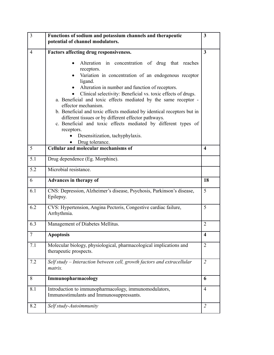| $\overline{3}$ | Functions of sodium and potassium channels and therapeutic<br>potential of channel modulators.                                                                                                                                                                                                                                                                                                                                                                                                                                                                                                                         | $\mathbf{3}$     |
|----------------|------------------------------------------------------------------------------------------------------------------------------------------------------------------------------------------------------------------------------------------------------------------------------------------------------------------------------------------------------------------------------------------------------------------------------------------------------------------------------------------------------------------------------------------------------------------------------------------------------------------------|------------------|
| $\overline{4}$ | Factors affecting drug responsiveness.                                                                                                                                                                                                                                                                                                                                                                                                                                                                                                                                                                                 | $\mathbf{3}$     |
|                | Alteration in concentration of drug that reaches<br>receptors.<br>Variation in concentration of an endogenous receptor<br>ligand.<br>Alteration in number and function of receptors.<br>Clinical selectivity: Beneficial vs. toxic effects of drugs.<br>a. Beneficial and toxic effects mediated by the same receptor -<br>effector mechanism.<br>b. Beneficial and toxic effects mediated by identical receptors but in<br>different tissues or by different effector pathways.<br>c. Beneficial and toxic effects mediated by different types of<br>receptors.<br>Desensitization, tachyphylaxis.<br>Drug tolerance. |                  |
| 5              | <b>Cellular and molecular mechanisms of</b>                                                                                                                                                                                                                                                                                                                                                                                                                                                                                                                                                                            | $\boldsymbol{4}$ |
| 5.1            | Drug dependence (Eg. Morphine).                                                                                                                                                                                                                                                                                                                                                                                                                                                                                                                                                                                        |                  |
| 5.2            | Microbial resistance.                                                                                                                                                                                                                                                                                                                                                                                                                                                                                                                                                                                                  |                  |
| 6              | Advances in therapy of                                                                                                                                                                                                                                                                                                                                                                                                                                                                                                                                                                                                 | 18               |
| 6.1            | CNS: Depression, Alzheimer's disease, Psychosis, Parkinson's disease,<br>Epilepsy.                                                                                                                                                                                                                                                                                                                                                                                                                                                                                                                                     | 5                |
| 6.2            | CVS: Hypertension, Angina Pectoris, Congestive cardiac failure,<br>Arrhythmia.                                                                                                                                                                                                                                                                                                                                                                                                                                                                                                                                         | 5                |
| 6.3            | Management of Diabetes Mellitus.                                                                                                                                                                                                                                                                                                                                                                                                                                                                                                                                                                                       | $\overline{2}$   |
| 7              | <b>Apoptosis</b>                                                                                                                                                                                                                                                                                                                                                                                                                                                                                                                                                                                                       | 4                |
| 7.1            | Molecular biology, physiological, pharmacological implications and<br>therapeutic prospects.                                                                                                                                                                                                                                                                                                                                                                                                                                                                                                                           | $\overline{2}$   |
| 7.2            | Self study - Interaction between cell, growth factors and extracellular<br>matrix.                                                                                                                                                                                                                                                                                                                                                                                                                                                                                                                                     | $\overline{2}$   |
| 8              | Immunopharmacology                                                                                                                                                                                                                                                                                                                                                                                                                                                                                                                                                                                                     | 6                |
| 8.1            | Introduction to immunopharmacology, immunomodulators,<br>Immunostimulants and Immunosuppressants.                                                                                                                                                                                                                                                                                                                                                                                                                                                                                                                      | $\overline{4}$   |
| 8.2            | Self study-Autoimmunity                                                                                                                                                                                                                                                                                                                                                                                                                                                                                                                                                                                                | $\overline{2}$   |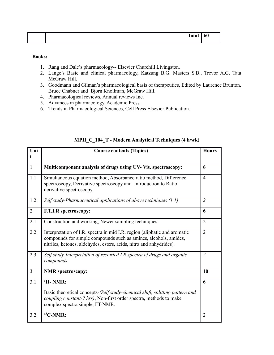|       | - - |
|-------|-----|
| Tota. | 60  |
| --    |     |
|       |     |

- 1. Rang and Dale's pharmacology-- Elsevier Churchill Livingston.
- 2. Lange's Basic and clinical pharmacology, Katzung B.G. Masters S.B., Trevor A.G. Tata McGraw Hill.
- 3. Goodmann and Gilman's pharmacological basis of therapeutics, Edited by Laurence Brunton, Bruce Chabner and Bjorn Knollman, McGraw Hill.
- 4. Pharmacological reviews, Annual reviews Inc.
- 5. Advances in pharmacology, Academic Press.
- 6. Trends in Pharmacological Sciences, Cell Press Elsevier Publication.

| Uni<br>t       | <b>Course contents (Topics)</b>                                                                                                                                                                                      | <b>Hours</b>   |
|----------------|----------------------------------------------------------------------------------------------------------------------------------------------------------------------------------------------------------------------|----------------|
| $\mathbf{1}$   | Multicomponent analysis of drugs using UV- Vis. spectroscopy:                                                                                                                                                        | 6              |
| 1.1            | Simultaneous equation method, Absorbance ratio method, Difference<br>spectroscopy, Derivative spectroscopy and Introduction to Ratio<br>derivative spectroscopy,                                                     | $\overline{4}$ |
| 1.2            | Self study-Pharmaceutical applications of above techniques $(1.1)$                                                                                                                                                   | $\overline{2}$ |
| $\overline{2}$ | F.T.I.R spectroscopy:                                                                                                                                                                                                | 6              |
| 2.1            | Construction and working, Newer sampling techniques.                                                                                                                                                                 | $\overline{2}$ |
| 2.2            | Interpretation of I.R. spectra in mid I.R. region (aliphatic and aromatic<br>compounds for simple compounds such as amines, alcohols, amides,<br>nitriles, ketones, aldehydes, esters, acids, nitro and anhydrides). | $\overline{2}$ |
| 2.3            | Self study-Interpretation of recorded I.R spectra of drugs and organic<br>compounds.                                                                                                                                 | $\overline{2}$ |
| $\overline{3}$ | <b>NMR</b> spectroscopy:                                                                                                                                                                                             | 10             |
| 3.1            | $H$ - NMR:                                                                                                                                                                                                           | 6              |
|                | Basic theoretical concepts-(Self study-chemical shift, splitting pattern and<br>coupling constant-2 hrs), Non-first order spectra, methods to make<br>complex spectra simple, FT-NMR.                                |                |
| 3.2            | $^{13}$ C-NMR:                                                                                                                                                                                                       | $\overline{2}$ |

#### **MPH\_C\_104\_T - Modern Analytical Techniques (4 h/wk)**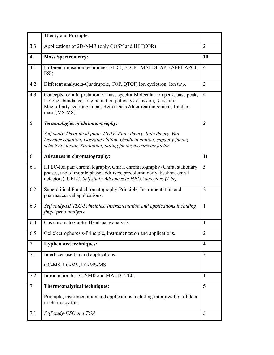|                 | Theory and Principle.                                                                                                                                                                                                                        |                         |
|-----------------|----------------------------------------------------------------------------------------------------------------------------------------------------------------------------------------------------------------------------------------------|-------------------------|
| 3.3             | Applications of 2D-NMR (only COSY and HETCOR)                                                                                                                                                                                                | $\overline{2}$          |
| $\overline{4}$  | <b>Mass Spectrometry:</b>                                                                                                                                                                                                                    | 10                      |
| 4.1             | Different ionisation techniques-EI, CI, FD, FI, MALDI, API (APPI, APCI,<br>ESI).                                                                                                                                                             | $\overline{4}$          |
| 4.2             | Different analysers-Quadrupole, TOF, QTOF, Ion cyclotron, Ion trap.                                                                                                                                                                          | $\overline{2}$          |
| 4.3             | Concepts for interpretation of mass spectra-Molecular ion peak, base peak,<br>Isotope abundance, fragmentation pathways- $\alpha$ fission, β fission,<br>MacLaffarty rearrangement, Retro Diels Alder rearrangement, Tandem<br>mass (MS-MS). | $\overline{4}$          |
| 5               | Terminologies of chromatography:                                                                                                                                                                                                             | $\boldsymbol{\beta}$    |
|                 | Self study-Theoretical plate, HETP, Plate theory, Rate theory, Van<br>Deemter equation, Isocratic elution, Gradient elution, capacity factor,<br>selectivity factor, Resolution, tailing factor, asymmetry factor.                           |                         |
| 6               | <b>Advances in chromatography:</b>                                                                                                                                                                                                           | 11                      |
| 6.1             | HPLC-Ion pair chromatography, Chiral chromatography (Chiral stationary<br>phases, use of mobile phase additives, precolumn derivatisation, chiral<br>detectors), UPLC, Self study-Advances in HPLC detectors (1 hr).                         | 5                       |
| 6.2             | Supercritical Fluid chromatography-Principle, Instrumentation and<br>pharmaceutical applications.                                                                                                                                            | $\overline{2}$          |
| 6.3             | Self study-HPTLC-Principles, Instrumentation and applications including<br>fingerprint analysis.                                                                                                                                             | $\mathbf{1}$            |
| 6.4             | Gas chromatography-Headspace analysis.                                                                                                                                                                                                       | $\mathbf{1}$            |
| 6.5             | Gel electrophoresis-Principle, Instrumentation and applications.                                                                                                                                                                             | $\overline{2}$          |
| $7\phantom{.0}$ | <b>Hyphenated techniques:</b>                                                                                                                                                                                                                | $\overline{\mathbf{4}}$ |
| 7.1             | Interfaces used in and applications-                                                                                                                                                                                                         | $\overline{3}$          |
|                 | GC-MS, LC-MS, LC-MS-MS                                                                                                                                                                                                                       |                         |
| 7.2             | Introduction to LC-NMR and MALDI-TLC.                                                                                                                                                                                                        | 1                       |
| $\overline{7}$  | Thermoanalytical techniques:                                                                                                                                                                                                                 | 5                       |
|                 | Principle, instrumentation and applications including interpretation of data<br>in pharmacy for:                                                                                                                                             |                         |
| 7.1             | Self study-DSC and TGA                                                                                                                                                                                                                       | $\mathfrak{Z}$          |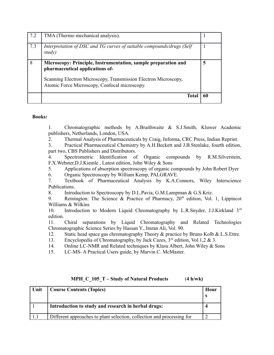| 7.2 | TMA (Thermo mechanical analysis).                                                                                |    |
|-----|------------------------------------------------------------------------------------------------------------------|----|
| 7.3 | Interpretation of DSC and TG curves of suitable compounds/drugs (Self<br>study)                                  |    |
| 8   | Microscopy: Principle, Instrumentation, sample preparation and<br>pharmaceutical applications of-                | 5  |
|     | Scanning Electron Microscopy, Transmission Electron Microscopy,<br>Atomic Force Microscopy, Confocal microscopy. |    |
|     | Total                                                                                                            | 61 |

1. Chromatographic methods by A.Braithwaite & S.J.Smith, Kluwer Academic publishers, Netherlands, London, USA.

2. Thermal Analysis of Pharmaceuticals by Craig, Informa, CRC Press, Indian Reprint.

3. Practical Pharmaceutical Chemistry by A.H.Beckett and J.B.Stenlake, fourth edition, part two, CBS Publishers and Distributors.

4. Spectrometric Identification of Organic compounds by R.M.Silverstein, F.X.Webster,D.J.Kiemle , Latest edition, John Wiley & Sons

5. Applications of absorption spectroscopy of organic compounds by John Robert Dyer

6. Organic Spectroscopy by William Kemp, PALGRAVE.

7. Textbook of Pharmaceutical Analysis by K.A.Connors, Wiley Interscience Publications.

8. Introduction to Spectroscopy by D.L.Pavia, G.M.Lampman & G.S.Kriz.

9. Remington: The Science & Practice of Pharmacy,  $20<sup>th</sup>$  edition, Vol. 1, Lippincot Williams & Wilkins

10. Introduction to Modern Liquid Chromatography by L.R.Snyder, J.J.Kirkland 3<sup>rd</sup> edition.

11. Chiral separations by Liquid Chromatography and Related Technologies Chromatographic Science Series by Hassan Y., Imran Ali, Vol. 90.

12. Static head space gas chromatography Theory & practice by Bruno Kolb & L.S.Ettre.

13. Encyclopedia of Chromatography, by Jack Cazes,  $3<sup>rd</sup>$  edition, Vol.1,  $2 & 3$ .

14. Online LC-NMR and Related techniques by Klasu Albert, John Wiley & Sons

15. LC-MS- A Practical Users guide, by Marvin C. McMaster.

| Unit | <b>Course Contents (Topics)</b>                                        | Hour |
|------|------------------------------------------------------------------------|------|
|      | Introduction to study and research in herbal drugs:                    |      |
|      | Different approaches to plant selection, collection and processing for |      |

#### **MPH\_C\_105\_T – Study of Natural Products** (**4 h/wk)**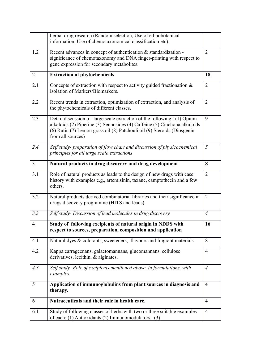|                | herbal drug research (Random selection, Use of ethnobotanical<br>information, Use of chemotaxonomical classification etc).                                                                                                                           |                         |
|----------------|------------------------------------------------------------------------------------------------------------------------------------------------------------------------------------------------------------------------------------------------------|-------------------------|
| 1.2            | Recent advances in concept of authentication & standardization -<br>significance of chemotaxonomy and DNA finger-printing with respect to<br>gene expression for secondary metabolites.                                                              | $\overline{2}$          |
| $\overline{2}$ | <b>Extraction of phytochemicals</b>                                                                                                                                                                                                                  | 18                      |
| 2.1            | Concepts of extraction with respect to activity guided fractionation $\&$<br>isolation of Markers/Biomarkers.                                                                                                                                        | $\overline{2}$          |
| 2.2            | Recent trends in extraction, optimization of extraction, and analysis of<br>the phytochemicals of different classes.                                                                                                                                 | $\overline{2}$          |
| 2.3            | Detail discussion of large scale extraction of the following: (1) Opium<br>alkaloids (2) Piperine (3) Sennosides (4) Caffeine (5) Cinchona alkaloids<br>(6) Rutin (7) Lemon grass oil (8) Patchouli oil (9) Steroids (Diosgenin<br>from all sources) | 9                       |
| 2.4            | Self study- preparation of flow chart and discussion of physicochemical<br>principles for all large scale extractions                                                                                                                                | 5                       |
| $\overline{3}$ | Natural products in drug discovery and drug development                                                                                                                                                                                              | 8                       |
| 3.1            | Role of natural products as leads to the design of new drugs with case<br>history with examples e.g., artemisinin, taxane, camptothecin and a few<br>others.                                                                                         | 2                       |
| 3.2            | Natural products derived combinatorial libraries and their significance in<br>drugs discovery programme (HITS and leads).                                                                                                                            | $\overline{2}$          |
| 3.3            | Self study- Discussion of lead molecules in drug discovery                                                                                                                                                                                           | $\overline{A}$          |
| 4              | Study of following excipients of natural origin in NDDS with<br>respect to sources, preparation, composition and application                                                                                                                         | 16                      |
| 4.1            | Natural dyes & colorants, sweeteners, flavours and fragrant materials                                                                                                                                                                                | 8                       |
| 4.2            | Kappa carrageenans, galactomannans, glucomannans, cellulose<br>derivatives, lecithin, & alginates.                                                                                                                                                   | 4                       |
| 4.3            | Self study- Role of excipients mentioned above, in formulations, with<br>examples                                                                                                                                                                    | $\overline{A}$          |
| 5              | Application of immunoglobulins from plant sources in diagnosis and<br>therapy.                                                                                                                                                                       | $\overline{\mathbf{4}}$ |
| 6              | Nutraceuticals and their role in health care.                                                                                                                                                                                                        | $\overline{\mathbf{4}}$ |
| 6.1            | Study of following classes of herbs with two or three suitable examples<br>of each: (1) Antioxidants (2) Immunomodulators (3)                                                                                                                        | $\overline{4}$          |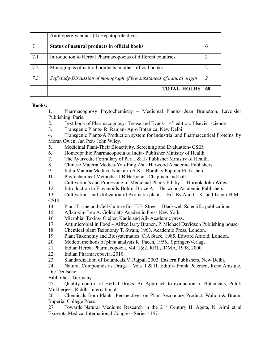|     | Antihyperglycemics (4) Hepatoprotectives                               |             |
|-----|------------------------------------------------------------------------|-------------|
|     | Status of natural products in official books                           | $\mathbf b$ |
| 7.1 | Introduction to Herbal Pharmacopoeias of different countries           |             |
| 7.2 | Monographs of natural products in other official books.                |             |
| 7.3 | Self study-Discussion of monograph of few substances of natural origin |             |
|     | <b>TOTAL HOURS</b>                                                     | 60          |

1. Pharmacognosy Phytochemistry – Medicinal Plants- Jean Brunetton, Lavoisier Publishing, Paris.

- 2. Text book of Pharmacognosy- Trease and Evans- 14<sup>th</sup> edition. Elsevier science
- 3. Transgenic Plants- R. Ranjan- Agro Botanica, New Delhi.

4. Transgenic Plants-A Production system for Industrial and Pharmaceutical Proteins. by Meran Owen, Jan Pen- John Wiley.

- 5. Medicinal Plant-Their Bioactivity, Screening and Evaluation- CSIR.
- 6. Homeopathic Pharmacopoeia of India- Publisher Ministry of Health.
- 7. The Ayurvedic Formulary of Part I & II- Publisher Ministry of Health.
- 8. Chinese Materia Medica-You-Ping Zhu- Harwood Academic Publishers.
- 9. India Materia Medica- Nadkarni A.K. –Bombay Popular Prakashan.
- 10. Phytochemical Methods J.B.Harbone Chapman and hall
- 11. Cultivation's and Processing of Medicinal Plants-Ed. by L. Hornok-John Wiley.
- 12. Introduction to Flavanoids-Bohrn Bruce A. Herwood Academic Publishers.
- 13. Cultivation and Utilization of Aromatic plants Ed. By Atal C. K. and Kapur B.M.- CSIR.
- 14. Plant Tissue and Cell Culture Ed. H.E. Street Blackwell Scientific publications.
- 15. Aflatoxin- Leo A. Goldblatt- Academic Press New York.
- 16. Microbial Toxins- Ciejler, Kadis and Ajl- Academic press.
- 17. Antimicrobial in Food Alfred larry Branen, P. Michael Davidson Publishing house
- 18. Chemical plant Taxonomy T. Swain, 1963. Academic Press, London.
- 19. Plant Taxonomy and Biosystematics .C.A Stace, 1985. Edward Arnold, London.
- 20. Modern methods of plant analysis K. Paech, 1956., Springer-Verlag**.**
- 21. Indian Herbal Pharmacopoeia, Vol. 1&2, RRL, IDMA, 1998, 2000.
- 22. Indian Pharmacopoeia, 2010.
- 23. Standardization of Botanicals,V. Rajpal, 2002. Eastern Publishers, New Delhi.
- 24. Natural Compounds as Drugs Vols. I & II, Editor- Frank Petersen, René Amstutz, Die Deutsche

Bibliothek, Germany.

25. Quality control of Herbal Drugs: An Approach to evaluation of Botanicals, Pulok Mukherjee - Riddhi International

26. Chemicals from Plants: Perspectives on Plant Secondary Product, Walton & Braun, Imperial College Press.

27. Towards Natural Medicine Research in the 21<sup>st</sup> Century H. Ageta, N. Aimi et al Excerpta Medica, International Congress Series 1157.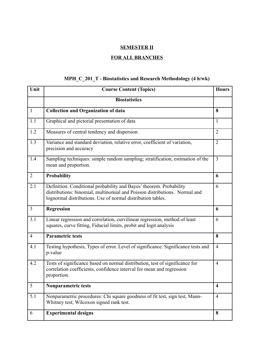## **SEMESTER II**

## **FOR ALL BRANCHES**

## **MPH\_C\_201\_T - Biostatistics and Research Methodology (4 h/wk)**

| Unit            | <b>Course Content (Topics)</b>                                                                                                                                                                                   | <b>Hours</b>            |
|-----------------|------------------------------------------------------------------------------------------------------------------------------------------------------------------------------------------------------------------|-------------------------|
|                 | <b>Biostatistics</b>                                                                                                                                                                                             |                         |
| $\mathbf{1}$    | <b>Collection and Organization of data</b>                                                                                                                                                                       | 8                       |
| 1.1             | Graphical and pictorial presentation of data                                                                                                                                                                     | 1                       |
| 1.2             | Measures of central tendency and dispersion                                                                                                                                                                      | $\overline{2}$          |
| 1.3             | Variance and standard deviation, relative error, coefficient of variation,<br>precision and accuracy                                                                                                             | $\overline{2}$          |
| 1.4             | Sampling techniques: simple random sampling; stratification; estimation of the<br>mean and proportion.                                                                                                           | $\overline{3}$          |
| $\overline{2}$  | Probability                                                                                                                                                                                                      | 6                       |
| 2.1             | Definition. Conditional probability and Bayes' theorem. Probability<br>distributions: binomial, multinomial and Poisson distributions. Normal and<br>lognormal distributions. Use of normal distribution tables. | 6                       |
| $\overline{3}$  | <b>Regression</b>                                                                                                                                                                                                | 6                       |
| 3.1             | Linear regression and correlation, curvilinear regression, method of least<br>squares, curve fitting, Fiducial limits, probit and logit analysis                                                                 | 6                       |
| $\overline{4}$  | <b>Parametric tests</b>                                                                                                                                                                                          | 8                       |
| 4.1             | Testing hypothesis, Types of error. Level of significance. Significance tests and<br>p-value                                                                                                                     | $\overline{4}$          |
| 4.2             | Tests of significance based on normal distribution, test of significance for<br>correlation coefficients, confidence interval for mean and regression<br>proportion.                                             | $\overline{4}$          |
| $5\overline{)}$ | Nonparametric tests                                                                                                                                                                                              | $\overline{\mathbf{4}}$ |
| 5.1             | Nonparametric procedures: Chi square goodness of fit test, sign test, Mann-<br>Whitney test; Wilcoxon signed rank test.                                                                                          | $\overline{4}$          |
| 6               | <b>Experimental designs</b>                                                                                                                                                                                      | 8                       |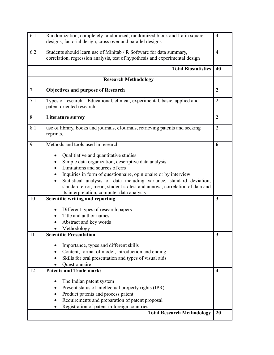| 6.1            | Randomization, completely randomized, randomized block and Latin square<br>designs, factorial design, cross over and parallel designs                                                                                                                                                                                                                                                                  | $\overline{4}$          |
|----------------|--------------------------------------------------------------------------------------------------------------------------------------------------------------------------------------------------------------------------------------------------------------------------------------------------------------------------------------------------------------------------------------------------------|-------------------------|
| 6.2            | Students should learn use of Minitab / R Software for data summary,<br>correlation, regression analysis, test of hypothesis and experimental design                                                                                                                                                                                                                                                    | $\overline{4}$          |
|                | <b>Total Biostatistics</b>                                                                                                                                                                                                                                                                                                                                                                             | 40                      |
|                | <b>Research Methodology</b>                                                                                                                                                                                                                                                                                                                                                                            |                         |
| $\overline{7}$ | <b>Objectives and purpose of Research</b>                                                                                                                                                                                                                                                                                                                                                              | $\overline{2}$          |
| 7.1            | Types of research - Educational, clinical, experimental, basic, applied and<br>patent oriented research                                                                                                                                                                                                                                                                                                | $\overline{2}$          |
| 8              | <b>Literature survey</b>                                                                                                                                                                                                                                                                                                                                                                               | $\overline{2}$          |
| 8.1            | use of library, books and journals, eJournals, retrieving patents and seeking<br>reprints.                                                                                                                                                                                                                                                                                                             | $\overline{2}$          |
| 9              | Methods and tools used in research                                                                                                                                                                                                                                                                                                                                                                     | 6                       |
|                | Qualitiative and quantitative studies<br>Simple data organization, descriptive data analysis<br>Limitations and sources of errs<br>Inquiries in form of questionnaire, opinionaire or by interview<br>Statistical analysis of data including variance, standard deviation,<br>standard error, mean, student's t test and annova, correlation of data and<br>its interpretation, computer data analysis |                         |
| 10             | Scientific writing and reporting                                                                                                                                                                                                                                                                                                                                                                       | 3                       |
|                | Different types of research papers<br>Title and author names<br>Abstract and key words<br>Methodology                                                                                                                                                                                                                                                                                                  |                         |
| 11             | <b>Scientific Presentation</b>                                                                                                                                                                                                                                                                                                                                                                         | 3                       |
|                | Importance, types and different skills<br>Content, format of model, introduction and ending<br>Skills for oral presentation and types of visual aids<br>Questionnaire                                                                                                                                                                                                                                  |                         |
| 12             | <b>Patents and Trade marks</b>                                                                                                                                                                                                                                                                                                                                                                         | $\overline{\mathbf{4}}$ |
|                | The Indian patent system<br>Present status of intellectual property rights (IPR)<br>٠<br>Product patents and process patent<br>Requirements and preparation of patent proposal<br>Registration of patent in foreign countries                                                                                                                                                                          |                         |
|                | <b>Total Research Methodology</b>                                                                                                                                                                                                                                                                                                                                                                      | 20                      |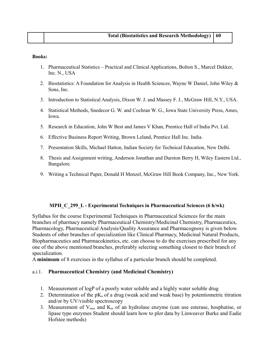- 1. Pharmaceutical Statistics Practical and Clinical Applications, Bolton S., Marcel Dekker, Inc. N., USA
- 2. Biostatistics: A Foundation for Analysis in Health Sciences, Wayne W Daniel, John Wiley & Sons, Inc.
- 3. Introduction to Statistical Analysis, Dixon W. J. and Massey F. J., McGraw Hill, N.Y., USA.
- 4. Statistical Methods, Snedecor G. W. and Cochran W. G., Iowa State University Press, Ames, Iowa.
- 5. Research in Education, John W Best and James V Khan, Prentice Hall of India Pvt. Ltd.
- 6. Effective Business Report Writing, Brown Leland, Prentice Hall Inc. India.
- 7. Presentation Skills, Michael Hatton, Indian Society for Technical Education, New Delhi.
- 8. Thesis and Assignment writing, Anderson Jonathan and Durston Berry H, Wiley Eastern Ltd., Bangalore.
- 9. Writing a Technical Paper, Donald H Menzel, McGraw Hill Book Company, Inc., New York.

#### **MPH\_C\_299\_L - Experimental Techniques in Pharmaceutical Sciences (6 h/wk)**

Syllabus for the course Experimental Techniques in Pharmaceutical Sciences for the main branches of pharmacy namely Pharmaceutical Chemistry/Medicinal Chemistry, Pharmaceutics, Pharmacology, Pharmaceutical Analysis/Quality Assurance and Pharmacognosy is given below. Students of other branches of specialization like Clinical Pharmacy, Medicinal Natural Products, Biopharmaceutics and Pharmacokinetics, etc. can choose to do the exercises prescribed for any one of the above mentioned branches, preferably selecting something closest to their branch of specialization.

A **minimum** of 8 exercises in the syllabus of a particular branch should be completed.

#### a.i.1. **Pharmaceutical Chemistry (and Medicinal Chemistry)**

- 1. Measurement of logP of a poorly water soluble and a highly water soluble drug
- 2. Determination of the  $pK_a$  of a drug (weak acid and weak base) by potentiometric titration and/or by UV/visible spectroscopy
- 3. Measurement of  $V_{max}$  and  $K_m$  of an hydrolase enzyme (can use esterase, hosphatise, or lipase type enzymes Student should learn how to plot data by Linweaver Burke and Eadie Hofstee methods)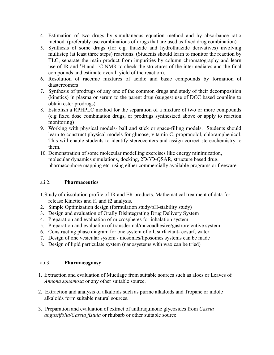- 4. Estimation of two drugs by simultaneous equation method and by absorbance ratio method. (preferably use combinations of drugs that are used as fixed drug combination)
- 5. Synthesis of some drugs (for e.g. thiazide and hydrothiazide derivatives) involving multistep (at least three steps) reactions. (Students should learn to monitor the reaction by TLC, separate the main product from impurities by column chromatography and learn use of IR and <sup>1</sup>H and <sup>13</sup>C NMR to check the structures of the intermediates and the final compounds and estimate overall yield of the reaction).
- 6. Resolution of racemic mixtures of acidic and basic compounds by formation of diastereomers
- 7. Synthesis of prodrugs of any one of the common drugs and study of their decomposition (kinetics) in plasma or serum to the parent drug (suggest use of DCC based coupling to obtain ester prodrugs)
- 8. Establish a RPHPLC method for the separation of a mixture of two or more compounds (e.g fixed dose combination drugs, or prodrugs synthesized above or apply to reaction monitoring)
- 9. Working with physical models- ball and stick or space-filling models. Students should learn to construct physical models for glucose, vitamin C, propranolol, chloramphenicol. This will enable students to identify stereocenters and assign correct stereochemistry to them.
- 10. Demonstration of some molecular modelling exercises like energy minimization, molecular dynamics simulations, docking, 2D/3D-QSAR, structure based drug, pharmacophore mapping etc. using either commercially available programs or freeware.

#### a.i.2. **Pharmaceutics**

- 1.Study of dissolution profile of IR and ER products. Mathematical treatment of data for release Kinetics and f1 and f2 analysis.
- 2. Simple Optimization design (formulation study/pH-stability study)
- 3. Design and evaluation of Orally Disintegrating Drug Delivery System
- 4. Preparation and evaluation of microspheres for inhalation system
- 5. Preparation and evaluation of transdermal/mucoadhesive/gastroretentive system
- 6. Constructing phase diagram for one system of oil, surfactant- cosurf, water
- 7. Design of one vesicular system niosomes/liposomes systems can be made
- 8. Design of lipid particulate system (nanosystems with wax can be tried)

#### a.i.3. **Pharmacognosy**

- 1. Extraction and evaluation of Mucilage from suitable sources such as aloes or Leaves of *Annona squamosa* or any other suitable source.
- 2. Extraction and analysis of alkaloids such as purine alkaloids and Tropane or indole alkaloids form suitable natural sources.
- 3. Preparation and evaluation of extract of anthraquinone glycosides from *Cassia angustifolia/Cassia fistula* or rhubarb or other suitable source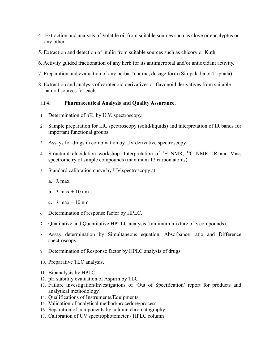- 4. Extraction and analysis of Volatile oil from suitable sources such as clove or eucalyptus or any other.
- 5. Extraction and detection of inulin from suitable sources such as chicory or Kuth.
- 6. Activity guided fractionation of any herb for its antimicrobial and/or antioxidant activity.
- 7. Preparation and evaluation of any herbal 'churna, dosage form (Situpaladia or Triphala).
- 8. Extraction and analysis of carotenoid derivatives or flavonoid derivatives from suitable natural sources for each.

#### a.i.4. **Pharmaceutical Analysis and Quality Assurance**.

- 1. Determination of  $pK_a$  by U.V. spectroscopy.
- 2. Sample preparation for I.R. spectroscopy (solid/liquids) and interpretation of IR bands for important functional groups.
- 3. Assays for drugs in combination by UV derivative spectroscopy.
- 4. Structural elucidation workshop: Interpretation of <sup>1</sup>H NMR, <sup>13</sup>C NMR, IR and Mass spectrometry of simple compounds (maximum 12 carbon atoms).
- 5. Standard calibration curve by UV spectroscopy at
	- **a.** λ max
	- **b.**  $\lambda$  max + 10 nm
	- **c.**  $\lambda$  max 10 nm
- 6. Determination of response factor by HPLC.
- 7. Qualitative and Quantitative HPTLC analysis (minimum mixture of 3 compounds).
- 8. Assay determination by Simultaneous equation, Absorbance ratio and Difference spectroscopy.
- 9. Determination of Response factor by HPLC analysis of drugs.
- 10. Preparative TLC analysis.
- 11. Bioanalysis by HPLC.
- 12. pH stability evaluation of Aspirin by TLC.
- 13. Failure investigation/Investigations of 'Out of Specification' report for products and analytical methodology.
- 14. Qualifications of Instruments/Equipments.
- 15. Validation of analytical method/procedure/process.
- 16. Separation of components by column chromatography.
- 17. Calibration of UV spectrophotometer / HPLC column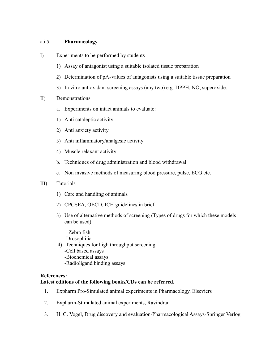#### a.i.5. **Pharmacology**

- I) Experiments to be performed by students
	- 1) Assay of antagonist using a suitable isolated tissue preparation
	- 2) Determination of  $pA_2$  values of antagonists using a suitable tissue preparation
	- 3) In vitro antioxidant screening assays (any two) e.g. DPPH, NO, superoxide.

#### II) Demonstrations

- a. Experiments on intact animals to evaluate:
- 1) Anti cataleptic activity
- 2) Anti anxiety activity
- 3) Anti inflammatory/analgesic activity
- 4) Muscle relaxant activity
- b. Techniques of drug administration and blood withdrawal
- c. Non invasive methods of measuring blood pressure, pulse, ECG etc.

#### III) Tutorials

- 1) Care and handling of animals
- 2) CPCSEA, OECD, ICH guidelines in brief
- 3) Use of alternative methods of screening (Types of drugs for which these models can be used)
	- Zebra fish
	- -Drosophilia
- 4) Techniques for high throughput screening
	- -Cell based assays
	- -Biochemical assays
	- -Radioligand binding assays

#### **References:**

#### **Latest editions of the following books/CDs can be referred.**

- 1. Expharm Pro-Simulated animal experiments in Pharmacology, Elseviers
- 2. Expharm-Stimulated animal experiments, Ravindran
- 3. H. G. Vogel, Drug discovery and evaluation-Pharmacological Assays-Springer Verlog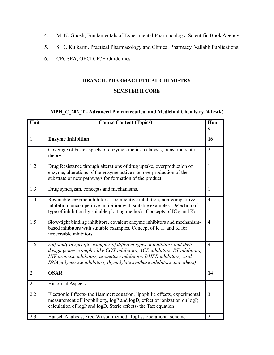- 4. M. N. Ghosh, Fundamentals of Experimental Pharmacology, Scientific Book Agency
- 5. S. K. Kulkarni, Practical Pharmacology and Clinical Pharmacy, Vallabh Publications.
- 6. CPCSEA, OECD, ICH Guidelines.

# **BRANCH: PHARMACEUTICAL CHEMISTRY**

#### **SEMSTER II CORE**

## **MPH\_C\_202\_T - Advanced Pharmaceutical and Medicinal Chemistry (4 h/wk)**

| Unit         | <b>Course Content (Topics)</b>                                                                                                                                                                                                                                                                             | Hour<br>S      |
|--------------|------------------------------------------------------------------------------------------------------------------------------------------------------------------------------------------------------------------------------------------------------------------------------------------------------------|----------------|
| $\mathbf{1}$ | <b>Enzyme Inhibition</b>                                                                                                                                                                                                                                                                                   | 16             |
| 1.1          | Coverage of basic aspects of enzyme kinetics, catalysis, transition-state<br>theory.                                                                                                                                                                                                                       | $\overline{2}$ |
| 1.2          | Drug Resistance through alterations of drug uptake, overproduction of<br>enzyme, alterations of the enzyme active site, overproduction of the<br>substrate or new pathways for formation of the product                                                                                                    | $\mathbf{1}$   |
| 1.3          | Drug synergism, concepts and mechanisms.                                                                                                                                                                                                                                                                   | $\mathbf{1}$   |
| 1.4          | Reversible enzyme inhibitors – competitive inhibition, non-competitive<br>inhibition, uncompetitive inhibition with suitable examples. Detection of<br>type of inhibition by suitable plotting methods. Concepts of $IC_{50}$ and $K_i$                                                                    | $\overline{4}$ |
| 1.5          | Slow-tight binding inhibitors, covalent enzyme inhibitors and mechanism-<br>based inhibitors with suitable examples. Concept of $K_{\text{inact}}$ and $K_i$ for<br>irreversible inhibitors                                                                                                                | $\overline{4}$ |
| 1.6          | Self study of specific examples of different types of inhibitors and their<br>design (some examples like COX inhibitors, ACE inhibitors, RT inhibitors,<br>HIV protease inhibitors, aromatase inhibitors, DHFR inhibitors, viral<br>DNA polymerase inhibitors, thymidylate synthase inhibitors and others) | $\overline{4}$ |
| 2            | <b>QSAR</b>                                                                                                                                                                                                                                                                                                | 14             |
| 2.1          | <b>Historical Aspects</b>                                                                                                                                                                                                                                                                                  | $\mathbf{1}$   |
| 2.2          | Electronic Effects- the Hammett equation, lipophilic effects, experimental<br>measurement of lipophilicity, logP and logD, effect of ionization on logP,<br>calculation of logP and logD, Steric effects- the Taft equation                                                                                | $\overline{3}$ |
| 2.3          | Hansch Analysis, Free-Wilson method, Topliss operational scheme                                                                                                                                                                                                                                            | $\overline{2}$ |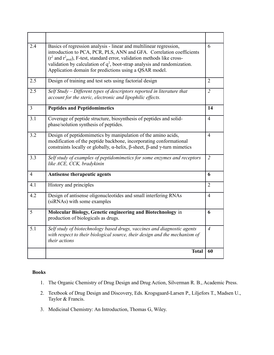| 2.4            | Basics of regression analysis - linear and multilinear regression,<br>introduction to PCA, PCR, PLS, ANN and GFA. Correlation coefficients<br>$(r^2 \text{ and } r^2)$ , F-test, standard error, validation methods like cross-<br>validation by calculation of $q^2$ , boot-strap analysis and randomization.<br>Application domain for predictions using a QSAR model. | 6              |
|----------------|--------------------------------------------------------------------------------------------------------------------------------------------------------------------------------------------------------------------------------------------------------------------------------------------------------------------------------------------------------------------------|----------------|
| 2.5            | Design of training and test sets using factorial design                                                                                                                                                                                                                                                                                                                  | $\overline{2}$ |
| 2.5            | Self Study - Different types of descriptors reported in literature that<br>account for the steric, electronic and lipophilic effects.                                                                                                                                                                                                                                    | $\overline{2}$ |
| $\overline{3}$ | <b>Peptides and Peptidomimetics</b>                                                                                                                                                                                                                                                                                                                                      | 14             |
| 3.1            | Coverage of peptide structure, biosynthesis of peptides and solid-<br>phase/solution synthesis of peptides.                                                                                                                                                                                                                                                              | $\overline{4}$ |
| 3.2            | Design of peptidomimetics by manipulation of the amino acids,<br>modification of the peptide backbone, incorporating conformational<br>constraints locally or globally, $\alpha$ -helix, $\beta$ -sheet, $\beta$ -and $\gamma$ -turn mimetics                                                                                                                            | $\overline{4}$ |
| 3.3            | Self study of examples of peptidomimetics for some enzymes and receptors<br>like ACE, CCK, bradykinin                                                                                                                                                                                                                                                                    | $\overline{2}$ |
| $\overline{4}$ | Antisense therapeutic agents                                                                                                                                                                                                                                                                                                                                             | 6              |
| 4.1            | History and principles                                                                                                                                                                                                                                                                                                                                                   | $\overline{2}$ |
| 4.2            | Design of antisense oligonucleotides and small interfering RNAs<br>(siRNAs) with some examples                                                                                                                                                                                                                                                                           | $\overline{4}$ |
| 5              | Molecular Biology, Genetic engineering and Biotechnology in<br>production of biologicals as drugs.                                                                                                                                                                                                                                                                       | 6              |
| 5.1            | Self study of biotechnology based drugs, vaccines and diagnostic agents<br>with respect to their biological source, their design and the mechanism of<br>their actions                                                                                                                                                                                                   | $\overline{4}$ |
|                | <b>Total</b>                                                                                                                                                                                                                                                                                                                                                             | 60             |

- 1. The Organic Chemistry of Drug Design and Drug Action, Silverman R. B., Academic Press.
- 2. Textbook of Drug Design and Discovery, Eds. Krogsgaard-Larsen P., Liljefors T., Madsen U., Taylor & Francis.
- 3. Medicinal Chemistry: An Introduction, Thomas G, Wiley.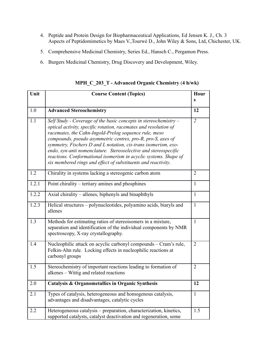- 4. Peptide and Protein Design for Biopharmaceutical Applications, Ed Jensen K. J., Ch. 3 Aspects of Peptidomimetics by Maes V.,Tourwé D., John Wiley & Sons, Ltd, Chichester, UK.
- 5. Comprehensive Medicinal Chemistry, Series Ed., Hansch C., Pergamon Press.
- 6. Burgers Medicinal Chemistry, Drug Discovery and Development, Wiley.

Unit **Course Content (Topics) Hour s** 1.0 **Advanced Stereochemistry 12** 1.1 *Self Study - Coverage of the basic concepts in stereochemistry – optical activity, specific rotation, racemates and resolution of racemates, the Cahn-Ingold-Prelog sequence rule, meso compounds, pseudo asymmetric centres, pro-R, pro-S, axes of symmetry, Fischers D and L notation, cis-trans isomerism, exoendo, syn-anti nomenclature. Stereoselective and stereospecific reactions. Conformational isomerism in acyclic systems. Shape of six membered rings and effect of substituents and reactivity*. *2* allenes 1

**MPH\_C\_203\_T - Advanced Organic Chemistry** (**4 h/wk)**

|       | $s$ ых тетоегей гитез ини едест од зиознителиз ини гейстриту.                                                                                                             |                |
|-------|---------------------------------------------------------------------------------------------------------------------------------------------------------------------------|----------------|
| 1.2   | Chirality in systems lacking a stereogenic carbon atom                                                                                                                    | $\overline{2}$ |
| 1.2.1 | Point chirality – tertiary amines and phosphines                                                                                                                          | $\mathbf{1}$   |
| 1.2.2 | Axial chirality – allenes, biphenyls and binaphthyls                                                                                                                      | $\mathbf{1}$   |
| 1.2.3 | Helical structures – polynucleotides, polyamino acids, biaryls and<br>allenes                                                                                             | $\mathbf{1}$   |
| 1.3   | Methods for estimating ratios of stereoisomers in a mixture,<br>separation and identification of the individual components by NMR<br>spectroscopy, X-ray crystallography. | $\mathbf{1}$   |
| 1.4   | Nucleophilic attack on acyclic carbonyl compounds – Cram's rule,<br>Felkin-Ahn rule. Locking effects in nucleophilic reactions at<br>carbonyl groups                      | $\overline{2}$ |
| 1.5   | Stereochemistry of important reactions leading to formation of<br>alkenes – Wittig and related reactions                                                                  | $\overline{2}$ |
| 2.0   | <b>Catalysis &amp; Organometallics in Organic Synthesis</b>                                                                                                               | 12             |
| 2.1   | Types of catalysis, heterogeneous and homogenous catalysis,<br>advantages and disadvantages, catalytic cycles                                                             | $\mathbf{1}$   |
| 2.2   | Heterogeneous catalysis – preparation, characterization, kinetics,<br>supported catalysts, catalyst deactivation and regeneration, some                                   | 1.5            |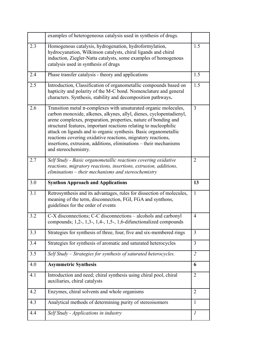|     | examples of heterogeneous catalysis used in synthesis of drugs.                                                                                                                                                                                                                                                                                                                                                                                                                                                       |                |
|-----|-----------------------------------------------------------------------------------------------------------------------------------------------------------------------------------------------------------------------------------------------------------------------------------------------------------------------------------------------------------------------------------------------------------------------------------------------------------------------------------------------------------------------|----------------|
| 2.3 | Homogenous catalysis, hydrogenation, hydroformylation,<br>hydrocyanation, Wilkinson catalysts, chiral ligands and chiral<br>induction, Ziegler-Natta catalysts, some examples of homogenous<br>catalysis used in synthesis of drugs                                                                                                                                                                                                                                                                                   | 1.5            |
| 2.4 | Phase transfer catalysis - theory and applications                                                                                                                                                                                                                                                                                                                                                                                                                                                                    | 1.5            |
| 2.5 | Introduction, Classification of organometallic compounds based on<br>hapticity and polarity of the M-C bond. Nomenclature and general<br>characters. Synthesis, stability and decomposition pathways.                                                                                                                                                                                                                                                                                                                 | 1.5            |
| 2.6 | Transition metal $\pi$ -complexes with unsaturated organic molecules,<br>carbon monoxide, alkenes, alkynes, allyl, dienes, cyclopentadienyl,<br>arene complexes, preparation, properties, nature of bonding and<br>structural features, important reactions relating to nucleophilic<br>attack on ligands and to organic synthesis. Basic organometallic<br>reactions covering oxidative reactions, migratory reactions,<br>insertions, extrusion, additions, eliminations - their mechanisms<br>and stereochemistry. | 3              |
| 2.7 | Self Study - Basic organometallic reactions covering oxidative<br>reactions, migratory reactions, insertions, extrusion, additions,<br>eliminations - their mechanisms and stereochemistry                                                                                                                                                                                                                                                                                                                            | $\overline{2}$ |
| 3.0 | <b>Synthon Approach and Applications</b>                                                                                                                                                                                                                                                                                                                                                                                                                                                                              | 13             |
|     |                                                                                                                                                                                                                                                                                                                                                                                                                                                                                                                       |                |
| 3.1 | Retrosynthesis and its advantages, rules for dissection of molecules,<br>meaning of the term, disconnection, FGI, FGA and synthons,<br>guidelines for the order of events                                                                                                                                                                                                                                                                                                                                             | $\mathbf{1}$   |
| 3.2 | C-X disconnections; C-C disconnections – alcohols and carbonyl<br>compounds; $1, 2, 1, 3, 1, 4, 1, 5, 1, 6$ -difunctionalized compounds                                                                                                                                                                                                                                                                                                                                                                               | $\overline{4}$ |
| 3.3 | Strategies for synthesis of three, four, five and six-membered rings                                                                                                                                                                                                                                                                                                                                                                                                                                                  | 3              |
| 3.4 | Strategies for synthesis of aromatic and saturated heterocycles                                                                                                                                                                                                                                                                                                                                                                                                                                                       | 3              |
| 3.5 | Self Study – Strategies for synthesis of saturated heterocycles.                                                                                                                                                                                                                                                                                                                                                                                                                                                      | $\overline{2}$ |
| 4.0 | <b>Asymmetric Synthesis</b>                                                                                                                                                                                                                                                                                                                                                                                                                                                                                           | 6              |
| 4.1 | Introduction and need; chiral synthesis using chiral pool, chiral<br>auxiliaries, chiral catalysts                                                                                                                                                                                                                                                                                                                                                                                                                    | 2              |
| 4.2 | Enzymes, chiral solvents and whole organisms                                                                                                                                                                                                                                                                                                                                                                                                                                                                          | 2              |
| 4.3 | Analytical methods of determining purity of stereoisomers                                                                                                                                                                                                                                                                                                                                                                                                                                                             | 1              |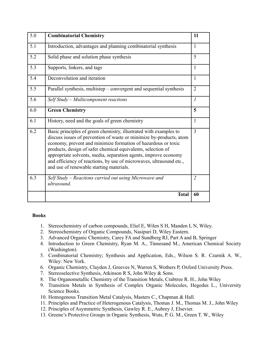| 5.0 | <b>Combinatorial Chemistry</b>                                                                                                                                                                                                                                                                                                                                                                                                                                  | 11             |
|-----|-----------------------------------------------------------------------------------------------------------------------------------------------------------------------------------------------------------------------------------------------------------------------------------------------------------------------------------------------------------------------------------------------------------------------------------------------------------------|----------------|
| 5.1 | Introduction, advantages and planning combinatorial synthesis                                                                                                                                                                                                                                                                                                                                                                                                   | $\mathbf{1}$   |
| 5.2 | Solid phase and solution phase synthesis                                                                                                                                                                                                                                                                                                                                                                                                                        | 5              |
| 5.3 | Supports, linkers, and tags                                                                                                                                                                                                                                                                                                                                                                                                                                     | $\mathbf{1}$   |
| 5.4 | Deconvolution and iteration                                                                                                                                                                                                                                                                                                                                                                                                                                     | 1              |
| 5.5 | Parallel synthesis, multistep – convergent and sequential synthesis                                                                                                                                                                                                                                                                                                                                                                                             | $\overline{2}$ |
| 5.6 | $Self Study-Multicomponent reactions$                                                                                                                                                                                                                                                                                                                                                                                                                           | $\mathcal{I}$  |
| 6.0 | <b>Green Chemistry</b>                                                                                                                                                                                                                                                                                                                                                                                                                                          | 5              |
| 6.1 | History, need and the goals of green chemistry                                                                                                                                                                                                                                                                                                                                                                                                                  | 1              |
| 6.2 | Basic principles of green chemistry, illustrated with examples to<br>discuss issues of prevention of waste or minimize by-products, atom<br>economy, prevent and minimize formation of hazardous or toxic<br>products, design of safer chemical equivalents, selection of<br>appropriate solvents, media, separation agents, improve economy<br>and efficiency of reactions, by use of microwaves, ultrasound etc.,<br>and use of renewable starting materials. | 3              |
| 6.3 | Self Study – Reactions carried out using Microwave and<br>ultrasound.                                                                                                                                                                                                                                                                                                                                                                                           | 2              |
|     | <b>Total</b>                                                                                                                                                                                                                                                                                                                                                                                                                                                    | 60             |

- 1. Stereochemistry of carbon compounds, Eliel E, Wilen S H, Manden L N, Wiley.
- 2. Stereochemistry of Organic Compounds, Nasipuri D, Wiley Eastern.
- 3. Advanced Organic Chemistry, Carey FA and Sundberg RJ, Part A and B, Springer
- 4. Introduction to Green Chemistry, Ryan M. A., Tinnesand M., American Chemical Society (Washington).
- 5. Combinatorial Chemistry; Synthesis and Application, Eds., Wilson S. R. Czarnik A. W., Wiley: New York.
- 6. Organic Chemistry, Clayden J, Greeves N, Warren S, Wothers P, Oxford University Press.
- 7. Stereoselective Synthesis, Atkinson R S, John Wiley & Sons.
- 8. The Organometallic Chemistry of the Transition Metals, Crabtree R. H., John Wiley
- 9. Transition Metals in Synthesis of Complex Organic Molecules, Hegedus L., University Science Books.
- 10. Homogenous Transition Metal Catalysis, Masters C., Chapman & Hall.
- 11. Principles and Practice of Heterogenous Catalysis, Thomas J. M., Thomas M. J., John Wiley
- 12. Principles of Asymmetric Synthesis, Gawley R. E., Aubrey J, Elsevier.
- 13. Greene's Protective Groups in Organic Synthesis, Wuts, P. G. M., Green T. W., Wiley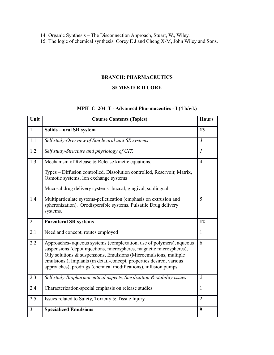14. Organic Synthesis – The Disconnection Approach, Stuart, W., Wiley.

15. The logic of chemical synthesis, Corey E J and Cheng X-M, John Wiley and Sons.

#### **BRANCH: PHARMACEUTICS**

#### **SEMESTER II CORE**

### **MPH\_C\_204\_T - Advanced Pharmaceutics - I (4 h/wk)**

| Unit           | <b>Course Contents (Topics)</b>                                                                                                                                                                                                                                                                                                                               | <b>Hours</b>   |
|----------------|---------------------------------------------------------------------------------------------------------------------------------------------------------------------------------------------------------------------------------------------------------------------------------------------------------------------------------------------------------------|----------------|
| $\mathbf{1}$   | Solids - oral SR system                                                                                                                                                                                                                                                                                                                                       | 13             |
| 1.1            | Self study-Overview of Single oral unit SR systems.                                                                                                                                                                                                                                                                                                           | $\mathfrak{Z}$ |
| 1.2            | Self study-Structure and physiology of GIT.                                                                                                                                                                                                                                                                                                                   | $\mathcal{I}$  |
| 1.3            | Mechanism of Release & Release kinetic equations.                                                                                                                                                                                                                                                                                                             | $\overline{4}$ |
|                | Types - Diffusion controlled, Dissolution controlled, Reservoir, Matrix,<br>Osmotic systems, Ion exchange systems                                                                                                                                                                                                                                             |                |
|                | Mucosal drug delivery systems- buccal, gingival, sublingual.                                                                                                                                                                                                                                                                                                  |                |
| 1.4            | Multiparticulate systems-pelletization (emphasis on extrusion and<br>spheronization). Orodispersible systems. Pulsatile Drug delivery<br>systems.                                                                                                                                                                                                             | 5              |
| $\overline{2}$ | <b>Parenteral SR systems</b>                                                                                                                                                                                                                                                                                                                                  | 12             |
| 2.1            | Need and concept, routes employed                                                                                                                                                                                                                                                                                                                             | $\mathbf{1}$   |
| 2.2            | Approaches- aqueous systems (complexation, use of polymers), aqueous<br>suspensions (depot injections, microspheres, magnetic microspheres),<br>Oily solutions & suspensions, Emulsions (Microemulsions, multiple<br>emulsions,), Implants (in detail-concept, properties desired, various<br>approaches), prodrugs (chemical modifications), infusion pumps. | 6              |
| 2.3            | Self study-Biopharmaceutical aspects, Sterilization & stability issues                                                                                                                                                                                                                                                                                        | $\overline{2}$ |
| 2.4            | Characterization-special emphasis on release studies                                                                                                                                                                                                                                                                                                          | $\mathbf{1}$   |
| 2.5            | Issues related to Safety, Toxicity & Tissue Injury                                                                                                                                                                                                                                                                                                            | $\overline{2}$ |
| 3              | <b>Specialized Emulsions</b>                                                                                                                                                                                                                                                                                                                                  | 9              |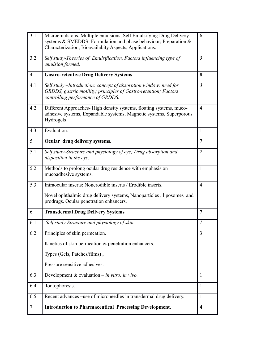| 3.1            | Microemulsions, Multiple emulsions, Self Emulsifying Drug Delivery<br>systems & SMEDDS; Formulation and phase behaviour; Preparation &<br>Characterization; Bioavailabity Aspects; Applications. | 6                       |
|----------------|--------------------------------------------------------------------------------------------------------------------------------------------------------------------------------------------------|-------------------------|
| 3.2            | Self study-Theories of Emulsification, Factors influencing type of<br>emulsion formed.                                                                                                           | $\mathfrak{Z}$          |
| $\overline{4}$ | <b>Gastro-retentive Drug Delivery Systems</b>                                                                                                                                                    | 8                       |
| 4.1            | Self study -Introduction; concept of absorption window; need for<br>GRDDS, gastric motility; principles of Gastro-retention; Factors<br>controlling performance of GRDDS.                        | $\mathfrak{Z}$          |
| 4.2            | Different Approaches-High density systems, floating systems, muco-<br>adhesive systems, Expandable systems, Magnetic systems, Superporous<br>Hydrogels                                           | $\overline{4}$          |
| 4.3            | Evaluation.                                                                                                                                                                                      | 1                       |
| 5              | Ocular drug delivery systems.                                                                                                                                                                    | 7                       |
| 5.1            | Self study-Structure and physiology of eye; Drug absorption and<br>disposition in the eye.                                                                                                       | $\overline{2}$          |
| 5.2            | Methods to prolong ocular drug residence with emphasis on<br>mucoadhesive systems.                                                                                                               | $\mathbf{1}$            |
| 5.3            | Intraocular inserts; Nonerodible inserts / Erodible inserts.                                                                                                                                     | $\overline{4}$          |
|                | Novel ophthalmic drug delivery systems, Nanoparticles, liposomes and<br>prodrugs. Ocular penetration enhancers.                                                                                  |                         |
| 6              | <b>Transdermal Drug Delivery Systems</b>                                                                                                                                                         | $\overline{7}$          |
| 6.1            | Self study-Structure and physiology of skin.                                                                                                                                                     | $\mathcal{I}$           |
| 6.2            | Principles of skin permeation.                                                                                                                                                                   | 3                       |
|                | Kinetics of skin permeation & penetration enhancers.                                                                                                                                             |                         |
|                | Types (Gels, Patches/films),                                                                                                                                                                     |                         |
|                | Pressure sensitive adhesives.                                                                                                                                                                    |                         |
| 6.3            | Development & evaluation $-$ in vitro, in vivo.                                                                                                                                                  | 1                       |
| 6.4            | Iontophoresis.                                                                                                                                                                                   | 1                       |
| 6.5            | Recent advances -use of microneedles in transdermal drug delivery.                                                                                                                               | 1                       |
| 7              | <b>Introduction to Pharmaceutical Processing Development.</b>                                                                                                                                    | $\overline{\mathbf{4}}$ |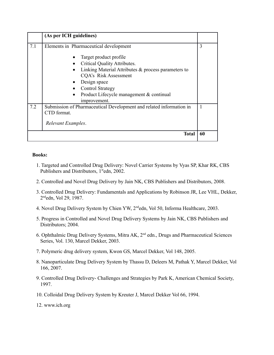|     | (As per ICH guidelines)                                                                                                                                                                                                                       |    |
|-----|-----------------------------------------------------------------------------------------------------------------------------------------------------------------------------------------------------------------------------------------------|----|
| 7.1 | Elements in Pharmaceutical development                                                                                                                                                                                                        | 3  |
|     | Target product profile<br>Critical Quality Attributes.<br>Linking Material Attributes & process parameters to<br>CQA's Risk Assessment<br>Design space<br><b>Control Strategy</b><br>Product Lifecycle management & continual<br>improvement. |    |
| 7.2 | Submission of Pharmaceutical Development and related information in<br>CTD format.<br>Relevant Examples.                                                                                                                                      | 1  |
|     | <b>Total</b>                                                                                                                                                                                                                                  | 60 |

- 1. Targeted and Controlled Drug Delivery: Novel Carrier Systems by Vyas SP, Khar RK, CBS Publishers and Distributors, 1<sup>st</sup>edn, 2002.
- 2. Controlled and Novel Drug Delivery by Jain NK, CBS Publishers and Distributors, 2008.
- 3. Controlled Drug Delivery: Fundamentals and Applications by Robinson JR, Lee VHL, Dekker, 2 ndedn, Vol 29, 1987.
- 4. Novel Drug Delivery System by Chien YW, 2ndedn, Vol 50, Informa Healthcare, 2003.
- 5. Progress in Controlled and Novel Drug Delivery Systems by Jain NK, CBS Publishers and Distributors; 2004.
- 6. Ophthalmic Drug Delivery Systems, Mitra AK, 2nd edn., Drugs and Pharmaceutical Sciences Series, Vol. 130, Marcel Dekker, 2003.
- 7. Polymeric drug delivery system, Kwon GS, Marcel Dekker, Vol 148, 2005.
- 8. Nanoparticulate Drug Delivery System by Thassu D, Deleers M, Pathak Y, Marcel Dekker, Vol 166, 2007.
- 9. Controlled Drug Delivery- Challenges and Strategies by Park K, American Chemical Society, 1997.
- 10. Colloidal Drug Delivery System by Kreuter J, Marcel Dekker Vol 66, 1994.
- 12. www.ich.org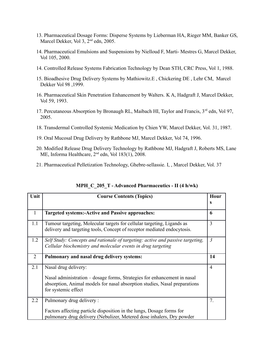- 13. Pharmaceutical Dosage Forms: Disperse Systems by Lieberman HA, Rieger MM, Banker GS, Marcel Dekker, Vol 3, 2<sup>nd</sup> edn, 2005.
- 14. Pharmaceutical Emulsions and Suspensions by Nielloud F, Marti- Mestres G, Marcel Dekker, Vol 105, 2000.
- 14. Controlled Release Systems Fabrication Technology by Dean STH, CRC Press, Vol 1, 1988.
- 15. Bioadhesive Drug Delivery Systems by Mathiowitz.E , Chickering DE , Lehr CM, Marcel Dekker Vol 98 ,1999.
- 16. Pharmaceutical Skin Penetration Enhancement by Walters. K A, Hadgraft J, Marcel Dekker, Vol 59, 1993.
- 17. Percutaneous Absorption by Bronaugh RL, Maibach HI, Taylor and Francis, 3<sup>rd</sup> edn, Vol 97, 2005.
- 18. Transdermal Controlled Systemic Medication by Chien YW, Marcel Dekker, Vol. 31, 1987.
- 19. Oral Mucosal Drug Delivery by Rathbone MJ, Marcel Dekker, Vol 74, 1996.
- 20. Modified Release Drug Delivery Technology by Rathbone MJ, Hadgraft J, Roberts MS, Lane ME, Informa Healthcare,  $2<sup>nd</sup>$  edn, Vol 183(1), 2008.
- 21. Pharmaceutical Pelletization Technology, Ghebre-sellassie. I, , Marcel Dekker, Vol. 37

| Unit          | <b>Course Contents (Topics)</b>                                                                                                                                               | Hour           |
|---------------|-------------------------------------------------------------------------------------------------------------------------------------------------------------------------------|----------------|
|               |                                                                                                                                                                               | s              |
| 1             | <b>Targeted systems:-Active and Passive approaches:</b>                                                                                                                       | 6              |
| 1.1           | Tumour targeting, Molecular targets for cellular targeting, Ligands as<br>delivery and targeting tools, Concept of receptor mediated endocytosis.                             | 3              |
| 1.2           | Self Study: Concepts and rationale of targeting: active and passive targeting,<br>Cellular biochemistry and molecular events in drug targeting                                | $\mathfrak{Z}$ |
| 2             | Pulmonary and nasal drug delivery systems:                                                                                                                                    | 14             |
| 2.1           | Nasal drug delivery:                                                                                                                                                          | $\overline{4}$ |
|               | Nasal administration – dosage forms, Strategies for enhancement in nasal<br>absorption, Animal models for nasal absorption studies, Nasal preparations<br>for systemic effect |                |
| $2.2^{\circ}$ | Pulmonary drug delivery:                                                                                                                                                      | 7.             |
|               | Factors affecting particle disposition in the lungs, Dosage forms for<br>pulmonary drug delivery (Nebulizer, Metered dose inhalers, Dry powder                                |                |

| MPH_C_205_T - Advanced Pharmaceutics - II (4 h/wk) |  |  |
|----------------------------------------------------|--|--|
|----------------------------------------------------|--|--|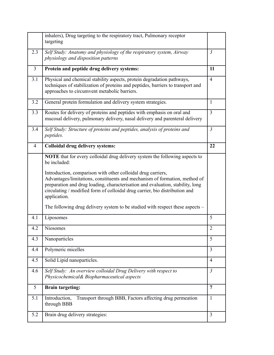|                | inhalers), Drug targeting to the respiratory tract, Pulmonary receptor<br>targeting                                                                                                                                                                                                                                         |                |
|----------------|-----------------------------------------------------------------------------------------------------------------------------------------------------------------------------------------------------------------------------------------------------------------------------------------------------------------------------|----------------|
| 2.3            | Self Study: Anatomy and physiology of the respiratory system, Airway<br>physiology and disposition patterns                                                                                                                                                                                                                 | $\mathfrak{Z}$ |
| $\overline{3}$ | Protein and peptide drug delivery systems:                                                                                                                                                                                                                                                                                  | 11             |
| 3.1            | Physical and chemical stability aspects, protein degradation pathways,<br>techniques of stabilization of proteins and peptides, barriers to transport and<br>approaches to circumvent metabolic barriers.                                                                                                                   | $\overline{4}$ |
| 3.2            | General protein formulation and delivery system strategies.                                                                                                                                                                                                                                                                 | $\mathbf{1}$   |
| 3.3            | Routes for delivery of proteins and peptides with emphasis on oral and<br>mucosal delivery, pulmonary delivery, nasal delivery and parenteral delivery                                                                                                                                                                      | $\overline{3}$ |
| 3.4            | Self Study: Structure of proteins and peptides, analysis of proteins and<br>peptides.                                                                                                                                                                                                                                       | $\mathfrak{Z}$ |
| 4              | <b>Colloidal drug delivery systems:</b>                                                                                                                                                                                                                                                                                     | 22             |
|                | <b>NOTE</b> that for every colloidal drug delivery system the following aspects to<br>be included:                                                                                                                                                                                                                          |                |
|                | Introduction, comparison with other colloidal drug carriers,<br>Advantages/limitations, constituents and mechanism of formation, method of<br>preparation and drug loading, characterisation and evaluation, stability, long<br>circulating / modified form of colloidal drug carrier, bio distribution and<br>application. |                |
|                | The following drug delivery system to be studied with respect these aspects –                                                                                                                                                                                                                                               |                |
| 4.1            | Liposomes                                                                                                                                                                                                                                                                                                                   | 5              |
| 4.2            | Niosomes                                                                                                                                                                                                                                                                                                                    | $\overline{2}$ |
| 4.3            | Nanoparticles                                                                                                                                                                                                                                                                                                               | 5              |
| 4.4            | Polymeric micelles                                                                                                                                                                                                                                                                                                          | $\overline{3}$ |
| 4.5            | Solid Lipid nanoparticles.                                                                                                                                                                                                                                                                                                  | $\overline{4}$ |
| 4.6            | Self Study: An overview colloidal Drug Delivery with respect to<br>Physicochemical& Biopharmaceutical aspects                                                                                                                                                                                                               | $\mathfrak{Z}$ |
| 5              | <b>Brain targeting:</b>                                                                                                                                                                                                                                                                                                     | 7              |
| 5.1            | Transport through BBB, Factors affecting drug permeation<br>Introduction,<br>through BBB                                                                                                                                                                                                                                    | $\mathbf{1}$   |
| 5.2            | Brain drug delivery strategies:                                                                                                                                                                                                                                                                                             | $\overline{3}$ |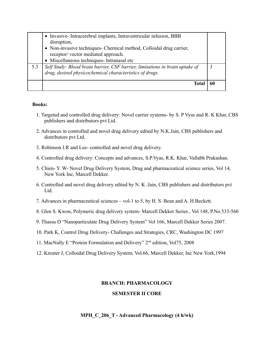|     | • Invasive-Intracerebral implants, Intraventricular infusion, BBB<br>disruption,<br>• Non-invasive techniques- Chemical method, Colloidal drug carrier,<br>receptor/vector mediated approach.<br>• Miscellaneous techniques- Intranasal etc |  |
|-----|---------------------------------------------------------------------------------------------------------------------------------------------------------------------------------------------------------------------------------------------|--|
| 5.3 | Self Study: Blood brain barrier, CSF barrier, limitations in brain uptake of<br>drug, desired physicochemical characteristics of drugs.                                                                                                     |  |
|     | Tota                                                                                                                                                                                                                                        |  |

- 1. Targeted and controlled drug delivery: Novel carrier systems- by S. P Vyas and R. K Khar, CBS publishers and distributors pvt Ltd.
- 2. Advances in controlled and novel drug delivery edited by N.K.Jain, CBS publishers and distributors pvt Ltd.
- 3. Robinson J.R and Lee- controlled and novel drug delivery.
- 4. Controlled drug delivery: Concepts and advances, S.P.Vyas, R.K. Khar, Vallabh Prakashan.
- 5. Chien- Y. W- Novel Drug Delivery System, Drug and pharmaceutical science series, Vol 14, New York Inc, Marcell Dekker.
- 6. Controlled and novel drug delivery edited by N. K .Jain, CBS publishers and distributors pvt Ltd.
- 7. Advances in pharmaceutical sciences vol-1 to 5, by H. S. Bean and A. H Beckett.
- 8. Glen S. Kwon, Polymeric drug delivery system- Marcell Dekker Series , Vol 148, P.No.533-560
- 9. Thassu D "Nanoparticulate Drug Delivery System" Vol 166, Marcell Dekker Series 2007.
- 10. Park K, Control Drug Delivery- Challenges and Strategies, CRC, Washington DC 1997
- 11. MacNally E "Protein Formulation and Delivery" 2nd edition, Vol75, 2008
- 12. Kreuter J, Colloidal Drug Delivery System, Vol.66, Marcell Dekker, Inc New York,1994

## **BRANCH: PHARMACOLOGY**

#### **SEMESTER II CORE**

**MPH\_C\_206\_T - Advanced Pharmacology (4 h/wk)**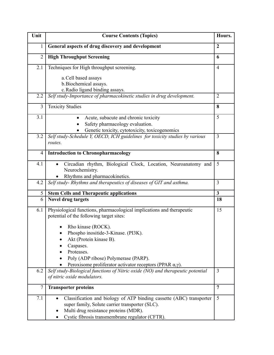| Unit           | <b>Course Contents (Topics)</b>                                                                                                                                                                                     | Hours.         |
|----------------|---------------------------------------------------------------------------------------------------------------------------------------------------------------------------------------------------------------------|----------------|
| 1              | General aspects of drug discovery and development                                                                                                                                                                   | $\overline{2}$ |
| $\overline{2}$ | <b>High Throughput Screening</b>                                                                                                                                                                                    | 6              |
| 2.1            | Techniques for High throughput screening.                                                                                                                                                                           | $\overline{4}$ |
|                | a. Cell based assays                                                                                                                                                                                                |                |
|                | b. Biochemical assays.<br>c. Radio ligand binding assays.                                                                                                                                                           |                |
| 2.2            | Self study-Importance of pharmacokinetic studies in drug development.                                                                                                                                               | $\overline{2}$ |
| 3              | <b>Toxicity Studies</b>                                                                                                                                                                                             | 8              |
| 3.1            | Acute, subacute and chronic toxicity<br>$\bullet$<br>Safety pharmacology evaluation.                                                                                                                                | 5              |
|                | Genetic toxicity, cytotoxicity, toxicogenomics                                                                                                                                                                      |                |
| 3.2            | Self study-Schedule Y, OECD, ICH guidelines for toxicity studies by various<br>routes.                                                                                                                              | 3              |
| 4              | <b>Introduction to Chronopharmacology</b>                                                                                                                                                                           | 8              |
| 4.1            | Circadian rhythm, Biological Clock, Location, Neuroanatomy and<br>Neurochemistry.<br>Rhythms and pharmacokinetics.                                                                                                  | 5              |
| 4.2            | Self study- Rhythms and therapeutics of diseases of GIT and asthma.                                                                                                                                                 | 3              |
| 5              | <b>Stem Cells and Therapeutic applications</b>                                                                                                                                                                      | $\mathbf{3}$   |
| 6              | <b>Novel drug targets</b>                                                                                                                                                                                           | 18             |
| 6.1            | Physiological functions, pharmacological implications and therapeutic<br>potential of the following target sites:<br>Rho kinase (ROCK).                                                                             | 15             |
|                | Phospho inositide-3-Kinase. (PI3K).                                                                                                                                                                                 |                |
|                | Akt (Protein kinase B).                                                                                                                                                                                             |                |
|                | Caspases.<br>Proteases.                                                                                                                                                                                             |                |
|                | Poly (ADP ribose) Polymerase (PARP).                                                                                                                                                                                |                |
|                | Peroxisome proliferator activator receptors (PPAR $\alpha$ , $\gamma$ ).                                                                                                                                            |                |
| 6.2            | Self study-Biological functions of Nitric oxide (NO) and therapeutic potential<br>of nitric oxide modulators.                                                                                                       | $\overline{3}$ |
| 7              | <b>Transporter proteins</b>                                                                                                                                                                                         | $\overline{7}$ |
| 7.1            | Classification and biology of ATP binding cassette (ABC) transporter<br>super family, Solute carrier transporter (SLC).<br>Multi drug resistance proteins (MDR).<br>Cystic fibrosis transmembrane regulator (CFTR). | 5              |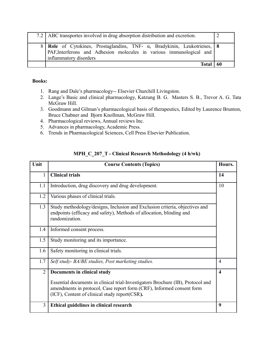| 7.2 ABC transportes involved in drug absorption distribution and excretion.                                                                                                          |     |
|--------------------------------------------------------------------------------------------------------------------------------------------------------------------------------------|-----|
| 8   Role of Cytokines, Prostaglandins, TNF- $\alpha$ , Bradykinin, Leukotrienes, 8<br>PAF, Interferons and Adhesion molecules in various immunological and<br>inflammatory disorders |     |
| Total                                                                                                                                                                                | -60 |

- 1. Rang and Dale's pharmacology-- Elsevier Churchill Livingston.
- 2. Lange's Basic and clinical pharmacology, Katzung B. G. Masters S. B., Trevor A. G. Tata McGraw Hill.
- 3. Goodmann and Gilman's pharmacological basis of therapeutics, Edited by Laurence Brunton, Bruce Chabner and Bjorn Knollman, McGraw Hill.
- 4. Pharmacological reviews, Annual reviews Inc.
- 5. Advances in pharmacology, Academic Press.
- 6. Trends in Pharmacological Sciences, Cell Press Elsevier Publication.

| Unit           | <b>Course Contents (Topics)</b>                                                                                                                                                                           | Hours.                  |
|----------------|-----------------------------------------------------------------------------------------------------------------------------------------------------------------------------------------------------------|-------------------------|
| 1              | <b>Clinical trials</b>                                                                                                                                                                                    | 14                      |
| 1.1            | Introduction, drug discovery and drug development.                                                                                                                                                        | 10                      |
| 1.2            | Various phases of clinical trials.                                                                                                                                                                        |                         |
| 1.3            | Study methodology/designs, Inclusion and Exclusion criteria, objectives and<br>endpoints (efficacy and safety), Methods of allocation, blinding and<br>randomization.                                     |                         |
| 1.4            | Informed consent process.                                                                                                                                                                                 |                         |
| 1.5            | Study monitoring and its importance.                                                                                                                                                                      |                         |
| 1.6            | Safety monitoring in clinical trials.                                                                                                                                                                     |                         |
| 1.7            | Self study- BA/BE studies, Post marketing studies.                                                                                                                                                        | $\overline{4}$          |
| $\overline{2}$ | Documents in clinical study                                                                                                                                                                               | $\overline{\mathbf{4}}$ |
|                | Essential documents in clinical trial-Investigators Brochure (IB), Protocol and<br>amendments in protocol, Case report form (CRF), Informed consent form<br>(ICF), Content of clinical study report(CSR). |                         |
| 3              | Ethical guidelines in clinical research                                                                                                                                                                   | 9                       |

## **MPH\_C\_207\_T - Clinical Research Methodology (4 h/wk)**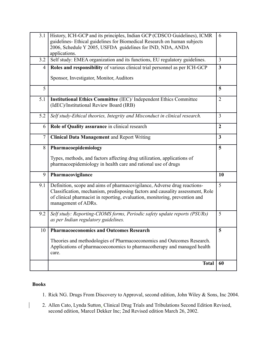| 3.1            | History, ICH-GCP and its principles, Indian GCP (CDSCO Guidelines), ICMR<br>guidelines- Ethical guidelines for Biomedical Research on human subjects<br>2006, Schedule Y 2005, USFDA guidelines for IND, NDA, ANDA<br>applications.                              | 6                |
|----------------|------------------------------------------------------------------------------------------------------------------------------------------------------------------------------------------------------------------------------------------------------------------|------------------|
| 3.2            | Self study: EMEA organization and its functions, EU regulatory guidelines.                                                                                                                                                                                       | 3                |
| 4              | Roles and responsibility of various clinical trial personnel as per ICH-GCP                                                                                                                                                                                      | 3                |
|                | Sponsor, Investigator, Monitor, Auditors                                                                                                                                                                                                                         |                  |
| 5              |                                                                                                                                                                                                                                                                  | 5                |
| 5.1            | Institutional Ethics Committee (IEC)/ Independent Ethics Committee<br>(IdEC)/Institutional Review Board (IRB)                                                                                                                                                    | $\overline{2}$   |
| 5.2            | Self study-Ethical theories, Integrity and Misconduct in clinical research.                                                                                                                                                                                      | 3                |
| 6              | Role of Quality assurance in clinical research                                                                                                                                                                                                                   | $\boldsymbol{2}$ |
| $\overline{7}$ | <b>Clinical Data Management</b> and Report Writing                                                                                                                                                                                                               | 3                |
| 8              | Pharmacoepidemiology                                                                                                                                                                                                                                             | 5                |
|                | Types, methods, and factors affecting drug utilization, applications of<br>pharmacoepidemiology in health care and rational use of drugs                                                                                                                         |                  |
| 9              | Pharmacovigilance                                                                                                                                                                                                                                                | 10               |
| 9.1            | Definition, scope and aims of pharmacovigilance, Adverse drug reactions-<br>Classification, mechanism, predisposing factors and causality assessment, Role<br>of clinical pharmacist in reporting, evaluation, monitoring, prevention and<br>management of ADRs. | 5                |
| 9.2            | Self study: Reporting-CIOMS forms, Periodic safety update reports (PSURs)<br>as per Indian regulatory guidelines.                                                                                                                                                | 5                |
|                | 10   Pharmacoeconomics and Outcomes Research                                                                                                                                                                                                                     | 5                |
|                | Theories and methodologies of Pharmacoeconomics and Outcomes Research.<br>Applications of pharmacoeconomics to pharmacotherapy and managed health<br>care.                                                                                                       |                  |
|                | <b>Total</b>                                                                                                                                                                                                                                                     | 60               |

 $\overline{\phantom{a}}$ 

- 1. Rick NG. Drugs From Discovery to Approval, second edition, John Wiley & Sons, Inc 2004.
- 2. Allen Cato, Lynda Sutton, Clinical Drug Trials and Tribulations Second Edition Revised, second edition, Marcel Dekker Inc; 2nd Revised edition March 26, 2002.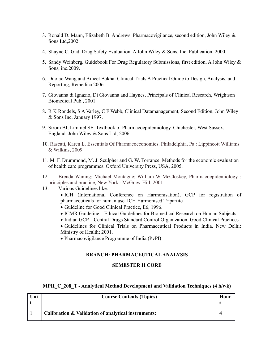- 3. Ronald D. Mann, Elizabeth B. Andrews. Pharmacovigilance, second edition, John Wiley & Sons Ltd,2002.
- 4. Shayne C. Gad. Drug Safety Evaluation. A John Wiley & Sons, Inc. Publication, 2000.
- 5. Sandy Weinberg. Guidebook For Drug Regulatory Submissions, first edition, A John Wiley & Sons, inc.2009.
- 6. Duolao Wang and Ameet Bakhai Clinical Trials A Practical Guide to Design, Analysis, and Reporting, Remedica 2006.
- 7. Giovanna di Ignazio, Di Giovanna and Haynes, Principals of Clinical Research, Wrightson Biomedical Pub., 2001
- 8. R K Rondels, S A Varley, C F Webb, Clinical Datamanagement, Second Edition, John Wiley & Sons Inc, January 1997.
- 9. Strom BI, Limmel SE. Textbook of Pharmacoepidemiology. Chichester, West Sussex, England: John Wiley & Sons Ltd; 2006.
- 10. Rascati, Karen L. Essentials Of Pharmacoeconomics. Philadelphia, Pa.: Lippincott Williams & Wilkins, 2009.
- 11. M. F. Drummond, M. J. Sculpher and G. W. Torrance, Methods for the economic evaluation of health care programmes. Oxford University Press, USA, 2005.
- 12. Brenda Waning; Michael Montagne; William W McCloskey, Pharmacoepidemiology : principles and practice, New York : McGraw-Hill, 2001
- 13. Various Guidelines like:
	- ICH (International Conference on Harmonisation), GCP for registration of pharmaceuticals for human use. ICH Harmonised Tripartite
	- Guideline for Good Clinical Practice, E6, 1996.
	- ICMR Guideline Ethical Guidelines for Biomedical Research on Human Subjects.
	- Indian GCP Central Drugs Standard Control Organization. Good Clinical Practices
	- Guidelines for Clinical Trials on Pharmaceutical Products in India. New Delhi: Ministry of Health; 2001.
	- Pharmacovigilance Programme of India (PvPI)

#### **BRANCH: PHARMACEUTICAL ANALYSIS**

#### **SEMESTER II CORE**

#### **MPH\_C\_208\_T - Analytical Method Development and Validation Techniques (4 h/wk)**

| Uni | <b>Course Contents (Topics)</b>                     | Hour |
|-----|-----------------------------------------------------|------|
|     | Calibration & Validation of analytical instruments: |      |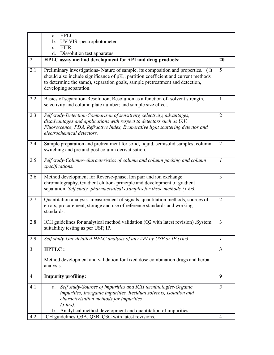|                | HPLC.<br>a.                                                                                                                                                                                                                                                                           |                         |
|----------------|---------------------------------------------------------------------------------------------------------------------------------------------------------------------------------------------------------------------------------------------------------------------------------------|-------------------------|
|                | UV-VIS spectrophotometer.<br>$\mathbf{b}$ .                                                                                                                                                                                                                                           |                         |
|                | FTIR.<br>$\mathbf{c}$ .<br>d.<br>Dissolution test apparatus.                                                                                                                                                                                                                          |                         |
| $\overline{2}$ | HPLC assay method development for API and drug products:                                                                                                                                                                                                                              | 20                      |
| 2.1            | Preliminary investigations- Nature of sample, its composition and properties. (It<br>should also include significance of $pK_a$ , partition coefficient and current methods<br>to determine the same), separation goals, sample pretreatment and detection,<br>developing separation. | $\overline{5}$          |
| 2.2            | Basics of separation-Resolution, Resolution as a function of-solvent strength,<br>selectivity and column plate number; and sample size effect.                                                                                                                                        | $\mathbf{1}$            |
| 2.3            | Self study-Detection-Comparison of sensitivity, selectivity, advantages,<br>disadvantages and applications with respect to detectors such as U.V,<br>Fluorescence, PDA, Refractive Index, Evaporative light scattering detector and<br>electrochemical detectors.                     | $\overline{2}$          |
| 2.4            | Sample preparation and pretreatment for solid, liquid, semisolid samples; column<br>switching and pre and post column derivatisation.                                                                                                                                                 | $\overline{2}$          |
| 2.5            | Self study-Columns-characteristics of column and column packing and column<br>specifications.                                                                                                                                                                                         | $\mathcal{I}$           |
| 2.6            | Method development for Reverse-phase, Ion pair and ion exchange<br>chromatography, Gradient elution- principle and development of gradient<br>separation. Self study-pharmaceutical examples for these methods-(1 hr).                                                                | $\overline{3}$          |
| 2.7            | Quantitation analysis- measurement of signals, quantitation methods, sources of<br>errors, procurement, storage and use of reference standards and working<br>standards.                                                                                                              | $\overline{2}$          |
| 2.8            | ICH guidelines for analytical method validation (Q2 with latest revision) System<br>suitability testing as per USP, IP.                                                                                                                                                               | 3                       |
| 2.9            | Self study-One detailed HPLC analysis of any API by USP or IP (1hr)                                                                                                                                                                                                                   | $\mathfrak{I}$          |
| $\overline{3}$ | <b>HPTLC:</b>                                                                                                                                                                                                                                                                         | $\overline{\mathbf{3}}$ |
|                | Method development and validation for fixed dose combination drugs and herbal<br>analysis.                                                                                                                                                                                            |                         |
| $\overline{4}$ | <b>Impurity profiling:</b>                                                                                                                                                                                                                                                            | 9                       |
| 4.1            | Self study-Sources of impurities and ICH terminologies-Organic<br>a.<br>impurities, Inorganic impurities, Residual solvents, Isolation and<br>characterisation methods for impurities<br>(3 hrs).                                                                                     | 5                       |
| 4.2            | b. Analytical method development and quantitation of impurities.<br>ICH guidelines-Q3A, Q3B, Q3C with latest revisions.                                                                                                                                                               | $\overline{4}$          |
|                |                                                                                                                                                                                                                                                                                       |                         |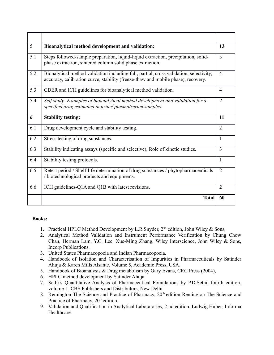| 5   | Bioanalytical method development and validation:                                                                                                                           | 13             |
|-----|----------------------------------------------------------------------------------------------------------------------------------------------------------------------------|----------------|
| 5.1 | Steps followed-sample preparation, liquid-liquid extraction, precipitation, solid-<br>phase extraction, sintered column solid phase extraction.                            | $\overline{3}$ |
| 5.2 | Bionalytical method validation including full, partial, cross validation, selectivity,<br>accuracy, calibration curve, stability (freeze-thaw and mobile phase), recovery. | $\overline{4}$ |
| 5.3 | CDER and ICH guidelines for bioanalytical method validation.                                                                                                               | $\overline{4}$ |
| 5.4 | Self study- Examples of bioanalytical method development and validation for a<br>specified drug estimated in urine/plasma/serum samples.                                   | $\overline{2}$ |
| 6   | <b>Stability testing:</b>                                                                                                                                                  | 11             |
| 6.1 | Drug development cycle and stability testing.                                                                                                                              | $\overline{2}$ |
| 6.2 | Stress testing of drug substances.                                                                                                                                         | 1              |
| 6.3 | Stability indicating assays (specific and selective), Role of kinetic studies.                                                                                             | 3              |
| 6.4 | Stability testing protocols.                                                                                                                                               | 1              |
| 6.5 | Retest period / Shelf-life determination of drug substances / phytopharmaceuticals<br>/ biotechnological products and equipments.                                          | $\overline{2}$ |
| 6.6 | ICH guidelines-Q1A and Q1B with latest revisions.                                                                                                                          | $\overline{2}$ |
|     | <b>Total</b>                                                                                                                                                               | 60             |

- 1. Practical HPLC Method Development by L.R.Snyder, 2nd edition, John Wiley & Sons,
- 2. Analytical Method Validation and Instrument Performance Verification by Chung Chow Chan, Herman Lam, Y.C. Lee, Xue-Ming Zhang, Wiley Interscience, John Wiley & Sons, Incorp Publications.
- 3. United States Pharmacopoeia and Indian Pharmacopoeia.
- 4. Handbook of Isolation and Characterisation of Impurities in Pharmaceuticals by Satinder Ahuja & Karen Mills Alsante, Volume 5, Academic Press, USA.
- 5. Handbook of Bioanalysis & Drug metabolism by Gary Evans, CRC Press (2004),
- 6. HPLC method development by Satinder Ahuja
- 7. Sethi's Quantitative Analysis of Pharmaceutical Fomulations by P.D.Sethi, fourth edition, volume-1, CBS Publishers and Distributors, New Delhi.
- 8. Remington-The Science and Practice of Pharmacy, 20<sup>th</sup> edition Remington-The Science and Practice of Pharmacy,  $20<sup>th</sup>$  edition.
- 9. Validation and Qualification in Analytical Laboratories, 2 nd edition, Ludwig Huber; Informa Healthcare.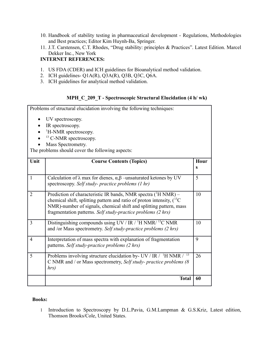- 10. Handbook of stability testing in pharmaceutical development Regulations, Methodologies and Best practices; Editor Kim Huynh-Ba, Springer.
- 11. J.T. Carstensen, C.T. Rhodes, "Drug stability: principles & Practices". Latest Edition. Marcel Dekker Inc., New York

## **INTERNET REFERENCES:**

- 1. US FDA (CDER) and ICH guidelines for Bioanalytical method validation.
- 2. ICH guidelines- Q1A(R), Q3A(R), Q3B, Q3C, Q6A.
- 3. ICH guidelines for analytical method validation.

## **MPH\_C\_209\_T - Spectroscopic Structural Elucidation (4 h/ wk)**

|                | Problems of structural elucidation involving the following techniques:                                                                                                                                                                                                                          |                      |
|----------------|-------------------------------------------------------------------------------------------------------------------------------------------------------------------------------------------------------------------------------------------------------------------------------------------------|----------------------|
|                | UV spectroscopy.                                                                                                                                                                                                                                                                                |                      |
|                | IR spectroscopy.                                                                                                                                                                                                                                                                                |                      |
|                | <sup>1</sup> H-NMR spectroscopy.                                                                                                                                                                                                                                                                |                      |
|                | <sup>13</sup> C-NMR spectroscopy.                                                                                                                                                                                                                                                               |                      |
|                | Mass Spectrometry.                                                                                                                                                                                                                                                                              |                      |
|                | The problems should cover the following aspects:                                                                                                                                                                                                                                                |                      |
| Unit           | <b>Course Contents (Topics)</b>                                                                                                                                                                                                                                                                 | Hour<br>$\mathbf{s}$ |
| $\mathbf{1}$   | Calculation of $\lambda$ max for dienes, $\alpha, \beta$ –unsaturated ketones by UV<br>spectroscopy. Self study- practice problems (1 hr)                                                                                                                                                       | 5                    |
| $\overline{2}$ | Prediction of characteristic IR bands, NMR spectra ( <sup>1</sup> H NMR) –<br>chemical shift, splitting pattern and ratio of proton intensity, $(^{13}C)$<br>NMR)-number of signals, chemical shift and splitting pattern, mass<br>fragmentation patterns. Self study-practice problems (2 hrs) | 10                   |
| 3              | Distinguishing compounds using UV / IR / $^1$ H NMR/ $^{13}$ C NMR<br>and /or Mass spectrometry. Self study-practice problems (2 hrs)                                                                                                                                                           | 10                   |
| $\overline{4}$ | Interpretation of mass spectra with explanation of fragmentation<br>patterns. Self study-practice problems (2 hrs)                                                                                                                                                                              | 9                    |
| 5              | 13<br>Problems involving structure elucidation by- UV / IR / $\mathrm{^1H}$ NMR /<br>C NMR and / or Mass spectrometry, Self study- practice problems (8<br>hrs)                                                                                                                                 | 26                   |
|                | <b>Total</b>                                                                                                                                                                                                                                                                                    | 60                   |

#### **Books:**

1 Introduction to Spectroscopy by D.L.Pavia, G.M.Lampman & G.S.Kriz, Latest edition, Thomson Brooks/Cole, United States.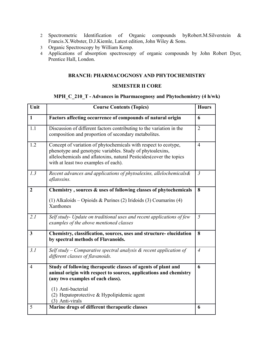- 2 Spectrometric Identification of Organic compounds byRobert.M.Silverstein & Francis.X.Webster, D.J.Kiemle, Latest edition, John Wiley & Sons.
- 3 Organic Spectroscopy by William Kemp.
- 4 Applications of absorption spectroscopy of organic compounds by John Robert Dyer, Prentice Hall, London.

#### **BRANCH: PHARMACOGNOSY AND PHYTOCHEMISTRY**

#### **SEMESTER II CORE**

## **MPH\_C\_210\_T - Advances in Pharmacognosy and Phytochemistry (4 h/wk)**

| Unit           | <b>Course Contents (Topics)</b>                                                                                                                                                                                                                                  | <b>Hours</b>   |
|----------------|------------------------------------------------------------------------------------------------------------------------------------------------------------------------------------------------------------------------------------------------------------------|----------------|
| $\mathbf{1}$   | Factors affecting occurrence of compounds of natural origin                                                                                                                                                                                                      | 6              |
| 1.1            | Discussion of different factors contributing to the variation in the<br>composition and proportion of secondary metabolites.                                                                                                                                     | $\overline{2}$ |
| 1.2            | Concept of variation of phytochemicals with respect to ecotype,<br>phenotype and genotypic variables. Study of phytoalexins,<br>allelochemicals and aflatoxins, natural Pesticides(cover the topics<br>with at least two examples of each).                      | $\overline{4}$ |
| 1.3            | Recent advances and applications of phytoalexins, allelochemicals&<br>aflatoxins.                                                                                                                                                                                | $\overline{3}$ |
| $\overline{2}$ | Chemistry, sources & uses of following classes of phytochemicals<br>(1) Alkaloids – Opioids & Purines (2) Iridoids (3) Coumarins (4)<br>Xanthones                                                                                                                | 8              |
| 2.1            | Self study- Update on traditional uses and recent applications of few<br>examples of the above mentioned classes                                                                                                                                                 | 5              |
| $\mathbf{3}$   | Chemistry, classification, sources, uses and structure-elucidation<br>by spectral methods of Flavanoids.                                                                                                                                                         | 8              |
| 3.1            | Self study – Comparative spectral analysis $\&$ recent application of<br>different classes of flavanoids.                                                                                                                                                        | $\overline{4}$ |
| $\overline{4}$ | Study of following therapeutic classes of agents of plant and<br>animal origin with respect to sources, applications and chemistry<br>(any two examples of each class).<br>(1) Anti-bacterial<br>(2) Hepatoprotective $&$ Hypolipidemic agent<br>(3) Anti-virals | 6              |
| 5              | Marine drugs of different therapeutic classes                                                                                                                                                                                                                    | 6              |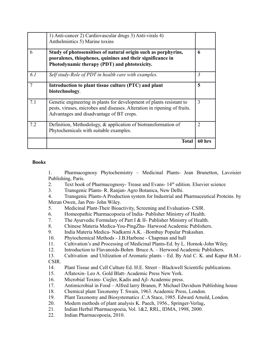|     | 1) Anti-cancer 2) Cardiovascular drugs 3) Anti-virals 4)<br>Anthelmintics 5) Marine toxins                                                                                                   |                |
|-----|----------------------------------------------------------------------------------------------------------------------------------------------------------------------------------------------|----------------|
| 6   | Study of photosensitises of natural origin such as porphyrins,<br>psoralenes, thiophenes, quinines and their significance in<br>Photodynamic therapy (PDT) and phtotoxicity.                 | 6              |
| 6.1 | Self study-Role of PDT in health care with examples.                                                                                                                                         | $\mathfrak{Z}$ |
| 7   | Introduction to plant tissue culture (PTC) and plant<br>biotechnology.                                                                                                                       | 5              |
| 7.1 | Genetic engineering in plants for development of plants resistant to<br>pests, viruses, microbes and diseases. Alteration in ripening of fruits.<br>Advantages and disadvantage of BT crops. | 3              |
| 7.2 | Definition, Methodology, $\&$ application of biotransformation of<br>Phytochemicals with suitable examples.                                                                                  | 2              |
|     | <b>Total</b>                                                                                                                                                                                 | 60 hrs         |

1. Pharmacognosy Phytochemistry – Medicinal Plants- Jean Brunetton, Lavoisier Publishing, Paris.

- 2. Text book of Pharmacognosy- Trease and Evans- 14<sup>th</sup> edition. Elsevier science
- 3. Transgenic Plants- R. Ranjan- Agro Botanica, New Delhi.

4. Transgenic Plants-A Production system for Industrial and Pharmaceutical Proteins. by Meran Owen, Jan Pen- John Wiley.

- 5. Medicinal Plant-Their Bioactivity, Screening and Evaluation- CSIR.
- 6. Homeopathic Pharmacopoeia of India- Publisher Ministry of Health.
- 7. The Ayurvedic Formulary of Part I & II- Publisher Ministry of Health.
- 8. Chinese Materia Medica-You-PingZhu- Harwood Academic Publishers.
- 9. India Materia Medica- Nadkarni A.K. –Bombay Popular Prakashan.
- 10. Phytochemical Methods J.B.Harbone Chapman and hall
- 11. Cultivation's and Processing of Medicinal Plants-Ed. by L. Hornok-John Wiley.
- 12. Introduction to Flavanoids-Bohrn Bruce A. Herwood Academic Publishers.
- 13. Cultivation and Utilization of Aromatic plants Ed. By Atal C. K. and Kapur B.M.- CSIR.
- 14. Plant Tissue and Cell Culture Ed. H.E. Street Blackwell Scientific publications.
- 15. Aflatoxin- Leo A. Gold Blatt- Academic Press New York.
- 16. Microbial Toxins- Ciejler, Kadis and Ajl- Academic press.
- 17. Antimicrobial in Food Alfred larry Branen, P. Michael Davidson Publishing house
- 18. Chemical plant Taxonomy T. Swain, 1963. Academic Press, London.
- 19. Plant Taxonomy and Biosystematics .C.A Stace, 1985. Edward Arnold, London.
- 20. Modern methods of plant analysis K. Paech, 1956., Springer-Verlag**.**
- 21. Indian Herbal Pharmacopoeia, Vol. 1&2, RRL, IDMA, 1998, 2000.
- 22. Indian Pharmacopoeia, 2010.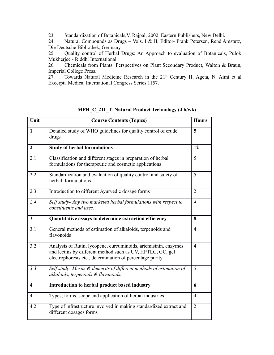23. Standardization of Botanicals,V. Rajpal, 2002. Eastern Publishers, New Delhi.

24. Natural Compounds as Drugs – Vols. I & II, Editor- Frank Petersen, René Amstutz, Die Deutsche Bibliothek, Germany.

25. Quality control of Herbal Drugs: An Approach to evaluation of Botanicals, Pulok Mukherjee - Riddhi International

26. Chemicals from Plants: Perspectives on Plant Secondary Product, Walton & Braun, Imperial College Press.<br>27. Towards Natura

Towards Natural Medicine Research in the 21<sup>st</sup> Century H. Ageta, N. Aimi et al Excerpta Medica, International Congress Series 1157.

| Unit           | <b>Course Contents (Topics)</b>                                                                                                                                                            | <b>Hours</b>   |
|----------------|--------------------------------------------------------------------------------------------------------------------------------------------------------------------------------------------|----------------|
| $\mathbf{1}$   | Detailed study of WHO guidelines for quality control of crude<br>drugs                                                                                                                     | 5              |
| $\overline{2}$ | <b>Study of herbal formulations</b>                                                                                                                                                        | 12             |
| 2.1            | Classification and different stages in preparation of herbal<br>formulations for therapeutic and cosmetic applications                                                                     | 5              |
| 2.2            | Standardization and evaluation of quality control and safety of<br>herbal formulations                                                                                                     | 5              |
| 2.3            | Introduction to different Ayurvedic dosage forms                                                                                                                                           | $\overline{2}$ |
| 2.4            | Self study- Any two marketed herbal formulations with respect to<br>constituents and uses.                                                                                                 | $\overline{4}$ |
| $\overline{3}$ | Quantitative assays to determine extraction efficiency                                                                                                                                     | 8              |
| 3.1            | General methods of estimation of alkaloids, terpenoids and<br>flavonoids                                                                                                                   | $\overline{4}$ |
| 3.2            | Analysis of Rutin, lycopene, curcuminoids, artemisinin, enzymes<br>and lectins by different method such as UV, HPTLC, GC, gel<br>electrophoresis etc., determination of percentage purity. | $\overline{4}$ |
| 3.3            | Self study- Merits & demerits of different methods of estimation of<br>alkaloids, terpenoids & flavanoids.                                                                                 | 5              |
| $\overline{4}$ | Introduction to herbal product based industry                                                                                                                                              | 6              |
| 4.1            | Types, forms, scope and application of herbal industries                                                                                                                                   | $\overline{4}$ |
| 4.2            | Type of infrastructure involved in making standardized extract and<br>different dosages forms                                                                                              | $\overline{2}$ |

**MPH\_C\_211\_T- Natural Product Technology (4 h/wk)**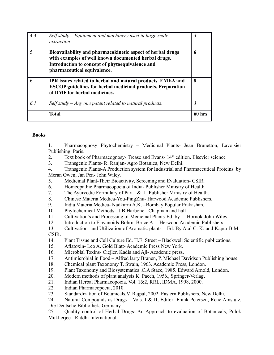| 4.3                      | Self study – Equipment and machinery used in large scale<br>extraction                                                                                                                               | 3      |
|--------------------------|------------------------------------------------------------------------------------------------------------------------------------------------------------------------------------------------------|--------|
| $\overline{\phantom{0}}$ | Bioavailability and pharmacokinetic aspect of herbal drugs<br>with examples of well known documented herbal drugs.<br>Introduction to concept of phytoequivalence and<br>pharmaceutical equivalence. | 6      |
| 6                        | IPR issues related to herbal and natural products. EMEA and<br><b>ESCOP</b> guidelines for herbal medicinal products. Preparation<br>of DMF for herbal medicines.                                    | 8      |
| 6.1                      | Self study – Any one patent related to natural products.                                                                                                                                             | 3      |
|                          | Total                                                                                                                                                                                                | 60 hrs |

1. Pharmacognosy Phytochemistry – Medicinal Plants- Jean Brunetton, Lavoisier Publishing, Paris.

- 2. Text book of Pharmacognosy- Trease and Evans- 14<sup>th</sup> edition. Elsevier science
- 3. Transgenic Plants- R. Ranjan- Agro Botanica, New Delhi.

4. Transgenic Plants-A Production system for Industrial and Pharmaceutical Proteins. by Meran Owen, Jan Pen- John Wiley.

- 5. Medicinal Plant-Their Bioactivity, Screening and Evaluation- CSIR.
- 6. Homeopathic Pharmacopoeia of India- Publisher Ministry of Health.
- 7. The Ayurvedic Formulary of Part I & II- Publisher Ministry of Health.
- 8. Chinese Materia Medica-You-PingZhu- Harwood Academic Publishers.
- 9. India Materia Medica- Nadkarni A.K. –Bombay Popular Prakashan.
- 10. Phytochemical Methods J.B.Harbone Chapman and hall
- 11. Cultivation's and Processing of Medicinal Plants-Ed. by L. Hornok-John Wiley.
- 12. Introduction to Flavanoids-Bohrn Bruce A. Herwood Academic Publishers.
- 13. Cultivation and Utilization of Aromatic plants Ed. By Atal C. K. and Kapur B.M.- CSIR.
- 14. Plant Tissue and Cell Culture Ed. H.E. Street Blackwell Scientific publications.
- 15. Aflatoxin- Leo A. Gold Blatt- Academic Press New York.
- 16. Microbial Toxins- Ciejler, Kadis and Ajl- Academic press.
- 17. Antimicrobial in Food Alfred larry Branen, P. Michael Davidson Publishing house
- 18. Chemical plant Taxonomy T. Swain, 1963. Academic Press, London.
- 19. Plant Taxonomy and Biosystematics .C.A Stace, 1985. Edward Arnold, London.
- 20. Modern methods of plant analysis K. Paech, 1956., Springer-Verlag**.**
- 21. Indian Herbal Pharmacopoeia, Vol. 1&2, RRL, IDMA, 1998, 2000.
- 22. Indian Pharmacopoeia, 2010.
- 23. Standardization of Botanicals,V. Rajpal, 2002. Eastern Publishers, New Delhi.

24. Natural Compounds as Drugs – Vols. I & II, Editor- Frank Petersen, René Amstutz, Die Deutsche Bibliothek, Germany.

25. Quality control of Herbal Drugs: An Approach to evaluation of Botanicals, Pulok Mukherjee - Riddhi International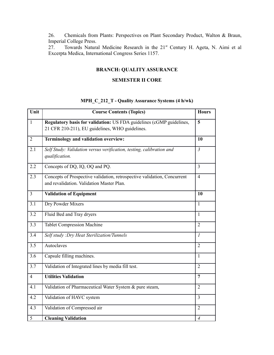26. Chemicals from Plants: Perspectives on Plant Secondary Product, Walton & Braun, Imperial College Press.

27. Towards Natural Medicine Research in the 21<sup>st</sup> Century H. Ageta, N. Aimi et al Excerpta Medica, International Congress Series 1157.

## **BRANCH: QUALITY ASSURANCE**

#### **SEMESTER II CORE**

## **MPH\_C\_212\_T - Quality Assurance Systems (4 h/wk)**

| Unit           | <b>Course Contents (Topics)</b>                                                                                         | <b>Hours</b>   |
|----------------|-------------------------------------------------------------------------------------------------------------------------|----------------|
| $\mathbf{1}$   | Regulatory basis for validation: US FDA guidelines (cGMP guidelines,<br>21 CFR 210-211), EU guidelines, WHO guidelines. | 5              |
| $\overline{2}$ | Terminology and validation overview:                                                                                    | 10             |
| 2.1            | Self Study: Validation versus verification, testing, calibration and<br>qualification.                                  | $\mathfrak{Z}$ |
| 2.2            | Concepts of DQ, IQ, OQ and PQ.                                                                                          | $\overline{3}$ |
| 2.3            | Concepts of Prospective validation, retrospective validation, Concurrent<br>and revalidation. Validation Master Plan.   | $\overline{4}$ |
| $\overline{3}$ | <b>Validation of Equipment</b>                                                                                          | 10             |
| 3.1            | Dry Powder Mixers                                                                                                       | $\mathbf{1}$   |
| 3.2            | Fluid Bed and Tray dryers                                                                                               | $\mathbf{1}$   |
| 3.3            | <b>Tablet Compression Machine</b>                                                                                       | $\overline{2}$ |
| 3.4            | Self study : Dry Heat Sterilization/Tunnels                                                                             | $\overline{I}$ |
| 3.5            | Autoclaves                                                                                                              | $\overline{2}$ |
| 3.6            | Capsule filling machines.                                                                                               | $\mathbf{1}$   |
| 3.7            | Validation of Integrated lines by media fill test.                                                                      | $\overline{2}$ |
| $\overline{4}$ | <b>Utilities Validation</b>                                                                                             | $\overline{7}$ |
| 4.1            | Validation of Pharmaceutical Water System & pure steam,                                                                 | $\overline{2}$ |
| 4.2            | Validation of HAVC system                                                                                               | 3              |
| 4.3            | Validation of Compressed air                                                                                            | $\overline{2}$ |
| 5              | <b>Cleaning Validation</b>                                                                                              | $\overline{4}$ |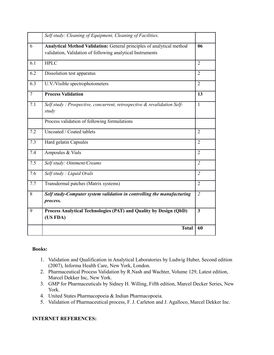|                | Self study: Cleaning of Equipment, Cleaning of Facilities.                                                                          |                |
|----------------|-------------------------------------------------------------------------------------------------------------------------------------|----------------|
| 6              | Analytical Method Validation: General principles of analytical method<br>validation, Validation of following analytical Instruments | 06             |
| 6.1            | <b>HPLC</b>                                                                                                                         | $\overline{2}$ |
| 6.2            | Dissolution test apparatus                                                                                                          | $\overline{2}$ |
| 6.3            | U.V./Visible spectrophotometers                                                                                                     | $\overline{2}$ |
| $\overline{7}$ | <b>Process Validation</b>                                                                                                           | 13             |
| 7.1            | Self study: Prospective, concurrent, retrospective & revalidation Self-<br>study                                                    | 1              |
|                | Process validation of following formulations                                                                                        |                |
| 7.2            | Uncoated / Coated tablets                                                                                                           | $\overline{2}$ |
| 7.3            | Hard gelatin Capsules                                                                                                               | $\overline{2}$ |
| 7.4            | Ampoules & Vials                                                                                                                    | $\overline{2}$ |
| 7.5            | Self study: Ointment/Creams                                                                                                         | $\overline{2}$ |
| 7.6            | Self study: Liquid Orals                                                                                                            | $\overline{2}$ |
| 7.7            | Transdermal patches (Matrix systems)                                                                                                | $\overline{2}$ |
| 8              | Self study-Computer system validation in controlling the manufacturing<br>process.                                                  | $\overline{2}$ |
| 9              | Process Analytical Technologies (PAT) and Quality by Design (QbD)<br>(US FDA)                                                       | $\mathbf{3}$   |
|                | <b>Total</b>                                                                                                                        | 60             |

- 1. Validation and Qualification in Analytical Laboratories by Ludwig Huber, Second edition (2007), Informa Health Care, New York, London.
- 2. Pharmaceutical Process Validation by R.Nash and Wachter, Volume 129, Latest edition, Marcel Dekker Inc, New York.
- 3. GMP for Pharmaceuticals by Sidney H. Willing, Fifth edition, Marcel Decker Series, New York.
- 4. United States Pharmacopoeia & Indian Pharmacopoeia.
- 5. Validation of Pharmaceutical process, F. J. Carleton and J. Agalloco, Marcel Dekker Inc.

## **INTERNET REFERENCES:**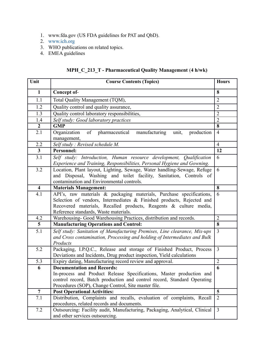- 1. www.fda.gov (US FDA guidelines for PAT and QbD).
- 2. [www.ich.org](http://www.ich.org/)
- 3. WHO publications on related topics.
- 4. EMEA guidelines

# **MPH\_C\_213\_T - Pharmaceutical Quality Management** (**4 h/wk)**

| Unit                    | <b>Course Contents (Topics)</b>                                                                                                                                                                                                                             | <b>Hours</b>   |
|-------------------------|-------------------------------------------------------------------------------------------------------------------------------------------------------------------------------------------------------------------------------------------------------------|----------------|
| $\mathbf{1}$            | Concept of-                                                                                                                                                                                                                                                 | 8              |
| 1.1                     | Total Quality Management (TQM),                                                                                                                                                                                                                             | $\overline{2}$ |
| 1.2                     | Quality control and quality assurance,                                                                                                                                                                                                                      | $\overline{2}$ |
| 1.3                     | Quality control laboratory responsibilities,                                                                                                                                                                                                                | $\overline{2}$ |
| 1.4                     | Self study: Good laboratory practices                                                                                                                                                                                                                       | $\overline{2}$ |
| $\boldsymbol{2}$        | <b>GMP</b>                                                                                                                                                                                                                                                  | 8              |
| 2.1                     | of pharmaceutical<br>Organization<br>manufacturing<br>production<br>unit,<br>management,                                                                                                                                                                    | $\overline{4}$ |
| 2.2                     | Self study: Revised schedule M.                                                                                                                                                                                                                             | $\overline{4}$ |
| $\overline{\mathbf{3}}$ | Personnel:                                                                                                                                                                                                                                                  | 12             |
| 3.1                     | Self study: Introduction, Human resource development, Qualification<br>Experience and Training, Responsibilities, Personal Hygiene and Gowning.                                                                                                             | 6              |
| 3.2                     | Location, Plant layout, Lighting, Sewage, Water handling-Sewage, Refuge<br>and Disposal, Washing and toilet facility, Sanitation, Controls of<br>contamination and Environmental controls.                                                                  | 6              |
| $\overline{\mathbf{4}}$ | <b>Materials Management:</b>                                                                                                                                                                                                                                | 8              |
| 4.1                     | API's, raw materials & packaging materials, Purchase specifications,<br>Selection of vendors, Intermediates & Finished products, Rejected and<br>Recovered materials, Recalled products, Reagents & culture media,<br>Reference standards, Waste materials. | 6              |
| 4.2                     | Warehousing- Good Warehousing Practices, distribution and records.                                                                                                                                                                                          | $\overline{2}$ |
| $5\overline{)}$         | <b>Manufacturing Operations and Control:</b>                                                                                                                                                                                                                | 8              |
| 5.1                     | Self study: Sanitation of Manufacturing Premises, Line clearance, Mix-ups<br>and Cross contamination, Processing and holding of Intermediates and Bulk<br>Products                                                                                          | $\overline{3}$ |
| 5.2                     | Packaging, I.P.Q.C., Release and storage of Finished Product, Process<br>Deviations and Incidents, Drug product inspection, Yield calculations                                                                                                              | $\overline{3}$ |
| 5.3                     | Expiry dating, Manufacturing record review and approval.                                                                                                                                                                                                    | $\overline{2}$ |
| 6                       | <b>Documentation and Records:</b><br>In-process and Product Release Specifications, Master production and<br>control record, Batch production and control record, Standard Operating<br>Procedures (SOP), Change Control, Site master file.                 | $\overline{6}$ |
| $\overline{7}$          | <b>Post Operational Activities:</b>                                                                                                                                                                                                                         | 5              |
| 7.1                     | Distribution, Complaints and recalls, evaluation of complaints, Recall<br>procedures, related records and documents.                                                                                                                                        | $\overline{2}$ |
| 7.2                     | Outsourcing: Facility audit, Manufacturing, Packaging, Analytical, Clinical<br>and other services outsourcing.                                                                                                                                              | $\overline{3}$ |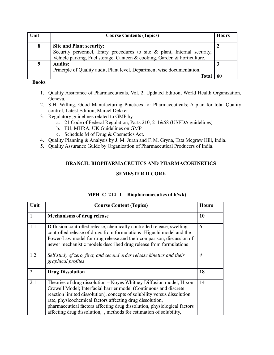| Unit | <b>Course Contents (Topics)</b>                                          | <b>Hours</b> |  |  |  |  |
|------|--------------------------------------------------------------------------|--------------|--|--|--|--|
| 8    | <b>Site and Plant security:</b>                                          |              |  |  |  |  |
|      | Security personnel, Entry procedures to site & plant, Internal security, |              |  |  |  |  |
|      | Vehicle parking, Fuel storage, Canteen & cooking, Garden & horticulture. |              |  |  |  |  |
| 9    | <b>Audits:</b>                                                           |              |  |  |  |  |
|      | Principle of Quality audit, Plant level, Department wise documentation.  |              |  |  |  |  |
|      | Total                                                                    | 60           |  |  |  |  |

- 1. Quality Assurance of Pharmaceuticals, Vol. 2, Updated Edition, World Health Organization, Geneva.
- 2. S.H. Willing, Good Manufacturing Practices for Pharmaceuticals; A plan for total Quality control, Latest Edition, Marcel Dekker.
- 3. Regulatory guidelines related to GMP by
	- a. 21 Code of Federal Regulation, Parts 210, 211&58 (USFDA guidelines)
	- b. EU, MHRA, UK Guidelines on GMP
	- c. Schedule M of Drug & Cosmetics Act.
- 4. Quality Planning & Analysis by J. M. Juran and F. M. Gryna, Tata Mcgraw Hill, India.
- 5. Quality Assurance Guide by Organization of Pharmaceutical Producers of India.

## **BRANCH: BIOPHARMACEUTICS AND PHARMACOKINETICS**

## **SEMESTER II CORE**

| Unit                        | <b>Course Content (Topics)</b>                                                                                                                                                                                                                                                                                                                                                                                                     | <b>Hours</b>   |
|-----------------------------|------------------------------------------------------------------------------------------------------------------------------------------------------------------------------------------------------------------------------------------------------------------------------------------------------------------------------------------------------------------------------------------------------------------------------------|----------------|
| $\mathbf{1}$                | <b>Mechanisms of drug release</b>                                                                                                                                                                                                                                                                                                                                                                                                  | 10             |
| 1.1                         | Diffusion controlled release, chemically controlled release, swelling<br>controlled release of drugs from formulations- Higuchi model and the<br>Power-Law model for drug release and their comparison, discussion of<br>newer mechanistic models described drug release from formulations                                                                                                                                         | 6              |
| 1.2                         | Self study of zero, first, and second order release kinetics and their<br>graphical profiles                                                                                                                                                                                                                                                                                                                                       | $\overline{A}$ |
| $\mathcal{D}_{\mathcal{L}}$ | <b>Drug Dissolution</b>                                                                                                                                                                                                                                                                                                                                                                                                            | 18             |
| 2.1                         | Theories of drug dissolution – Noyes Whitney Diffusion model; Hixon<br>Crowell Model; Interfacial barrier model (Continuous and discrete<br>reaction limited dissolution), concepts of solubility versus dissolution<br>rate, physicochemical factors affecting drug dissolution,<br>pharmaceutical factors affecting drug dissolution, physiological factors<br>affecting drug dissolution, methods for estimation of solubility, | 14             |

## **MPH\_C\_214\_T – Biopharmaceutics (4 h/wk)**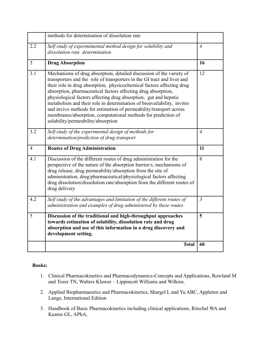|                | methods for determination of dissolution rate                                                                                                                                                                                                                                                                                                                                                                                                                                                                                                                                                                        |                |
|----------------|----------------------------------------------------------------------------------------------------------------------------------------------------------------------------------------------------------------------------------------------------------------------------------------------------------------------------------------------------------------------------------------------------------------------------------------------------------------------------------------------------------------------------------------------------------------------------------------------------------------------|----------------|
| 2.2            | Self study of expermimental method design for solubility and<br>dissolution rate determination                                                                                                                                                                                                                                                                                                                                                                                                                                                                                                                       | $\overline{4}$ |
| $\overline{3}$ | <b>Drug Absorption</b>                                                                                                                                                                                                                                                                                                                                                                                                                                                                                                                                                                                               | 16             |
| 3.1            | Mechanisms of drug absorption, detailed discussion of the variety of<br>transporters and the role of transporters in the GI tract and liver and<br>their role in drug absorption, physicochemical factors affecting drug<br>absorption, pharmaceutical factors affecting drug absorption,<br>physiological factors affecting drug absorption, gut and hepatic<br>metabolism and their role in determination of bioavailability, invitro<br>and invivo methods for estimation of permeability/transport across<br>membranes/absorption, computational methods for prediction of<br>solubility/permeability/absorption | 12             |
| 3.2            | Self study of the experimental design of methods for                                                                                                                                                                                                                                                                                                                                                                                                                                                                                                                                                                 | $\overline{4}$ |
|                | determination/prediction of drug transport                                                                                                                                                                                                                                                                                                                                                                                                                                                                                                                                                                           |                |
| $\overline{4}$ | <b>Routes of Drug Administration</b>                                                                                                                                                                                                                                                                                                                                                                                                                                                                                                                                                                                 | 11             |
| 4.1            | Discussion of the different routes of drug administration for the<br>perspective of the nature of the absorption barrier/s, mechanisms of<br>drug release, drug permeability/absorption from the site of<br>administration, drug/pharmaceutical/physiological factors affecting<br>drug dissolution/dissolution rate/absorption from the different routes of<br>drug delivery                                                                                                                                                                                                                                        | 8              |
| 4.2            | Self study of the advantages and limitation of the different routes of<br>administration and examples of drug administered by these routes                                                                                                                                                                                                                                                                                                                                                                                                                                                                           | $\overline{3}$ |
| 5              | Discussion of the traditional and high-throughput approaches<br>towards estimation of solubility, dissolution rate and drug<br>absorption and use of this information in a drug discovery and<br>development setting.                                                                                                                                                                                                                                                                                                                                                                                                | 5              |
|                | <b>Total</b>                                                                                                                                                                                                                                                                                                                                                                                                                                                                                                                                                                                                         | 60             |

- 1. Clinical Pharmacokinetics and Pharmacodynamics-Concepts and Applications, Rowland M and Tozer TN, Walters Kluwer – Lippincott Williams and Wilkins.
- 2. Applied Biopharmaeutics and Pharmacokinetics, Shargel L and Yu ABC, Appleton and Lange, International Edition
- 3. Handbook of Basic Pharmacokinetics including clinical applications, Ritschel WA and Kearns GL, APhA,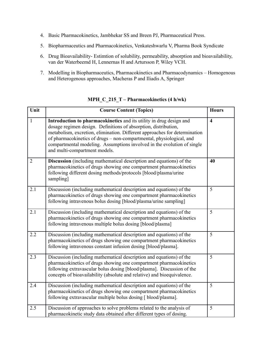- 4. Basic Pharmacokinetics, Jambhekar SS and Breen PJ, Pharmaceutical Press.
- 5. Biopharmaceutics and Pharmacokinetics, Venkateshwarlu V, Pharma Book Syndicate
- 6. Drug Bioavailability- Estimtion of solubility, permeability, absorption and bioavailability, van der Waterbeemd H, Lennernas H and Artursson P, Wiley VCH.
- 7. Modelling in Biopharmaceutics, Pharmacokinetics and Pharmacodynamics Homogenous and Heterogenous approaches, Macheras P and Iliadis A, Springer

| Unit           | <b>Course Content (Topics)</b>                                                                                                                                                                                                                                                                                                                                                                           | <b>Hours</b>            |
|----------------|----------------------------------------------------------------------------------------------------------------------------------------------------------------------------------------------------------------------------------------------------------------------------------------------------------------------------------------------------------------------------------------------------------|-------------------------|
| $\mathbf{1}$   | Introduction to pharmacokinetics and its utility in drug design and<br>dosage regimen design. Definitions of absorption, distribution,<br>metabolism, excretion, elimination. Different approaches for determination<br>of pharmacokinetics of drugs - non-compartmental, physiological, and<br>compartmental modeling. Assumptions involved in the evolution of single<br>and multi-compartment models. | $\overline{\mathbf{4}}$ |
| $\overline{2}$ | Discussion (including mathematical description and equations) of the<br>pharmacokinetics of drugs showing one compartment pharmacokinetics<br>following different dosing methods/protocols [blood/plasma/urine<br>sampling]                                                                                                                                                                              | 40                      |
| 2.1            | Discussion (including mathematical description and equations) of the<br>pharmacokinetics of drugs showing one compartment pharmacokinetics<br>following intravenous bolus dosing [blood/plasma/urine sampling]                                                                                                                                                                                           | 5                       |
| 2.1            | Discussion (including mathematical description and equations) of the<br>pharmacokinetics of drugs showing one compartment pharmacokinetics<br>following intravenous multiple bolus dosing [blood/plasma]                                                                                                                                                                                                 | 5                       |
| 2.2            | Discussion (including mathematical description and equations) of the<br>pharmacokinetics of drugs showing one compartment pharmacokinetics<br>following intravenous constant infusion dosing [blood/plasma].                                                                                                                                                                                             | 5                       |
| 2.3            | Discussion (including mathematical description and equations) of the<br>pharmacokinetics of drugs showing one compartment pharmacokinetics<br>following extravascular bolus dosing [blood/plasma]. Discussion of the<br>concepts of bioavailability (absolute and relative) and bioequivalence.                                                                                                          | 5                       |
| 2.4            | Discussion (including mathematical description and equations) of the<br>pharmacokinetics of drugs showing one compartment pharmacokinetics<br>following extravascular multiple bolus dosing [ blood/plasma].                                                                                                                                                                                             | 5                       |
| 2.5            | Discussion of approaches to solve problems related to the analysis of<br>pharmacokinetic study data obtained after different types of dosing.                                                                                                                                                                                                                                                            | 5                       |

**MPH\_C\_215\_T – Pharmacokinetics (4 h/wk)**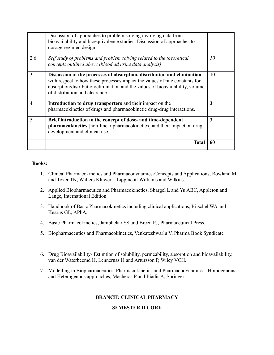|     | Discussion of approaches to problem solving involving data from<br>bioavailability and bioequivalence studies. Discussion of approaches to<br>dosage regimen design                                                                                                       |    |
|-----|---------------------------------------------------------------------------------------------------------------------------------------------------------------------------------------------------------------------------------------------------------------------------|----|
| 2.6 | Self study of problems and problem solving related to the theoretical<br>concepts outlined above (blood ad urine data analysis)                                                                                                                                           | 10 |
| 3   | Discussion of the processes of absorption, distribution and elimination<br>with respect to how these processes impact the values of rate constants for<br>absorption/distribution/elimination and the values of bioavailability, volume<br>of distribution and clearance. | 10 |
| 4   | Introduction to drug transporters and their impact on the<br>pharmacokinetics of drugs and pharmacokinetic drug-drug interactions.                                                                                                                                        | 3  |
| 5   | Brief introduction to the concept of dose- and time-dependent<br>pharmacokinetics [non-linear pharmacokinetics] and their impact on drug<br>development and clinical use.                                                                                                 | 3  |
|     | <b>Total</b>                                                                                                                                                                                                                                                              | 60 |

- 1. Clinical Pharmacokinetics and Pharmacodynamics-Concepts and Applications, Rowland M and Tozer TN, Walters Kluwer – Lippincott Williams and Wilkins.
- 2. Applied Biopharmaeutics and Pharmacokinetics, Shargel L and Yu ABC, Appleton and Lange, International Edition
- 3. Handbook of Basic Pharmacokinetics including clinical applications, Ritschel WA and Kearns GL, APhA,
- 4. Basic Pharmacokinetics, Jambhekar SS and Breen PJ, Pharmaceutical Press.
- 5. Biopharmaceutics and Pharmacokinetics, Venkateshwarlu V, Pharma Book Syndicate
- 6. Drug Bioavailability- Estimtion of solubility, permeability, absorption and bioavailability, van der Waterbeemd H, Lennernas H and Artursson P, Wiley VCH.
- 7. Modelling in Biopharmaceutics, Pharmacokinetics and Pharmacodynamics Homogenous and Heterogenous approaches, Macheras P and Iliadis A, Springer

#### **BRANCH: CLINICAL PHARMACY**

#### **SEMESTER II CORE**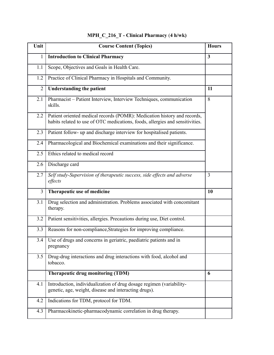| Unit           | <b>Course Content (Topics)</b>                                                                                                                            | <b>Hours</b>   |
|----------------|-----------------------------------------------------------------------------------------------------------------------------------------------------------|----------------|
| 1              | <b>Introduction to Clinical Pharmacy</b>                                                                                                                  | $\mathbf{3}$   |
| 1.1            | Scope, Objectives and Goals in Health Care.                                                                                                               |                |
| 1.2            | Practice of Clinical Pharmacy in Hospitals and Community.                                                                                                 |                |
| $\overline{2}$ | <b>Understanding the patient</b>                                                                                                                          | 11             |
| 2.1            | Pharmacist - Patient Interview, Interview Techniques, communication<br>skills.                                                                            | 8              |
| 2.2            | Patient oriented medical records (POMR): Medication history and records,<br>habits related to use of OTC medications, foods, allergies and sensitivities. |                |
| 2.3            | Patient follow- up and discharge interview for hospitalised patients.                                                                                     |                |
| 2.4            | Pharmacological and Biochemical examinations and their significance.                                                                                      |                |
| 2.5            | Ethics related to medical record                                                                                                                          |                |
| 2.6            | Discharge card                                                                                                                                            |                |
| 2.7            | Self study-Supervision of therapeutic success, side effects and adverse<br>effects                                                                        | $\overline{3}$ |
| 3              | Therapeutic use of medicine                                                                                                                               | 10             |
| 3.1            | Drug selection and administration. Problems associated with concomitant<br>therapy.                                                                       |                |
| 3.2            | Patient sensitivities, allergies. Precautions during use, Diet control.                                                                                   |                |
| 3.3            | Reasons for non-compliance, Strategies for improving compliance.                                                                                          |                |
| 3.4            | Use of drugs and concerns in geriatric, paediatric patients and in<br>pregnancy                                                                           |                |
| 3.5            | Drug-drug interactions and drug interactions with food, alcohol and<br>tobacco.                                                                           |                |
|                | Therapeutic drug monitoring (TDM)                                                                                                                         | 6              |
| 4.1            | Introduction, individualization of drug dosage regimen (variability-<br>genetic, age, weight, disease and interacting drugs).                             |                |
| 4.2            | Indications for TDM, protocol for TDM.                                                                                                                    |                |
| 4.3            | Pharmacokinetic-pharmacodynamic correlation in drug therapy.                                                                                              |                |

# **MPH\_C\_216\_T - Clinical Pharmacy** (**4 h/wk)**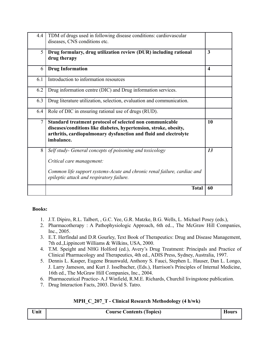| 4.4            | TDM of drugs used in following disease conditions: cardiovascular                                                                                                                                               |                         |
|----------------|-----------------------------------------------------------------------------------------------------------------------------------------------------------------------------------------------------------------|-------------------------|
|                | diseases, CNS conditions etc.                                                                                                                                                                                   |                         |
| 5              | Drug formulary, drug utilization review (DUR) including rational<br>drug therapy                                                                                                                                | 3                       |
| 6              | <b>Drug Information</b>                                                                                                                                                                                         | $\overline{\mathbf{4}}$ |
| 6.1            | Introduction to information resources                                                                                                                                                                           |                         |
| 6.2            | Drug information centre (DIC) and Drug information services.                                                                                                                                                    |                         |
| 6.3            | Drug literature utilization, selection, evaluation and communication.                                                                                                                                           |                         |
| 6.4            | Role of DIC in ensuring rational use of drugs (RUD).                                                                                                                                                            |                         |
| $\overline{7}$ | Standard treatment protocol of selected non communicable<br>diseases/conditions like diabetes, hypertension, stroke, obesity,<br>arthritis, cardiopulmonary dysfunction and fluid and electrolyte<br>imbalance. | 10                      |
| 8              | Self study- General concepts of poisoning and toxicology                                                                                                                                                        | 13                      |
|                | Critical care management:                                                                                                                                                                                       |                         |
|                | Common life support systems-Acute and chronic renal failure, cardiac and<br>epileptic attack and respiratory failure.                                                                                           |                         |
|                | <b>Total</b>                                                                                                                                                                                                    | 60                      |

- 1. J.T. Dipiro, R.L. Talbert, , G.C. Yee, G.R. Matzke, B.G. Wells, L. Michael Posey (eds.),
- 2. Pharmacotherapy : A Pathophysiologic Approach, 6th ed.., The McGraw Hill Companies, Inc., 2005.
- 3. E.T. Herfindal and D.R Gourley, Text Book of Therapeutics: Drug and Disease Management, 7th ed.,Lippincott Williams & Wilkins, USA, 2000.
- 4. T.M. Speight and NHG Holford (ed.), Avery's Drug Treatment: Principals and Practice of Clinical Pharmacology and Therapeutics, 4th ed., ADIS Press, Sydney, Australia, 1997.
- 5. Dennis L. Kasper, Eugene Braunwald, Anthony S. Fauci, Stephen L. Hauser, Dan L. Longo, J. Larry Jameson, and Kurt J. Isselbacher, (Eds.), Harrison's Principles of Internal Medicine, 16th ed., The McGraw Hill Companies, Inc., 2004.
- 6. Pharmaceutical Practice- A.J Winfield, R.M.E. Richards, Churchil livingstone publication.
- 7. Drug Interaction Facts, 2003. David S. Tatro.

|  |  |  |  | MPH_C_207_T - Clinical Research Methodology (4 h/wk) |  |  |  |
|--|--|--|--|------------------------------------------------------|--|--|--|
|--|--|--|--|------------------------------------------------------|--|--|--|

| Unit | <b>Course Contents (Topics)</b> | <b>Hours</b> |
|------|---------------------------------|--------------|
|      |                                 |              |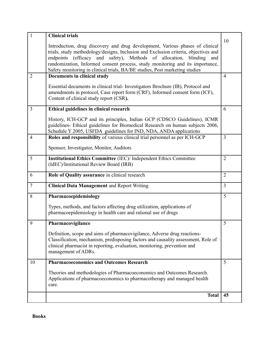| $\mathbf{1}$   | <b>Clinical trials</b>                                                                                                                                            | 10             |
|----------------|-------------------------------------------------------------------------------------------------------------------------------------------------------------------|----------------|
|                | Introduction, drug discovery and drug development, Various phases of clinical                                                                                     |                |
|                | trials, study methodology/designs, Inclusion and Exclusion criteria, objectives and<br>endpoints (efficacy and safety), Methods of allocation,<br>blinding<br>and |                |
|                | randomization, Informed consent process, study monitoring and its importance,                                                                                     |                |
|                | Safety monitoring in clinical trials, BA/BE studies, Post marketing studies                                                                                       |                |
| $\overline{2}$ | Documents in clinical study                                                                                                                                       | $\overline{4}$ |
|                | Essential documents in clinical trial-Investigators Brochure (IB), Protocol and                                                                                   |                |
|                | amendments in protocol, Case report form (CRF), Informed consent form (ICF),                                                                                      |                |
|                | Content of clinical study report (CSR).                                                                                                                           |                |
| 3              | Ethical guidelines in clinical research                                                                                                                           | 6              |
|                | History, ICH-GCP and its principles, Indian GCP (CDSCO Guidelines), ICMR                                                                                          |                |
|                | guidelines- Ethical guidelines for Biomedical Research on human subjects 2006,                                                                                    |                |
|                | Schedule Y 2005, USFDA guidelines for IND, NDA, ANDA applications                                                                                                 |                |
| $\overline{4}$ | Roles and responsibility of various clinical trial personnel as per ICH-GCP                                                                                       | $\overline{3}$ |
|                | Sponsor, Investigator, Monitor, Auditors                                                                                                                          |                |
| 5              | <b>Institutional Ethics Committee (IEC)/ Independent Ethics Committee</b>                                                                                         | $\overline{2}$ |
|                | (IdEC)/Institutional Review Board (IRB)                                                                                                                           |                |
| 6              | Role of Quality assurance in clinical research                                                                                                                    | $\overline{2}$ |
| $\overline{7}$ | <b>Clinical Data Management and Report Writing</b>                                                                                                                | $\overline{3}$ |
| 8              | Pharmacoepidemiology                                                                                                                                              | 5              |
|                | Types, methods, and factors affecting drug utilization, applications of                                                                                           |                |
|                | pharmacoepidemiology in health care and rational use of drugs                                                                                                     |                |
| 9              | Pharmacovigilance                                                                                                                                                 | 5              |
|                | Definition, scope and aims of pharmacovigilance, Adverse drug reactions-                                                                                          |                |
|                | Classification, mechanism, predisposing factors and causality assessment, Role of                                                                                 |                |
|                | clinical pharmacist in reporting, evaluation, monitoring, prevention and                                                                                          |                |
|                | management of ADRs.                                                                                                                                               |                |
| 10             | <b>Pharmacoeconomics and Outcomes Research</b>                                                                                                                    | 5              |
|                | Theories and methodologies of Pharmacoeconomics and Outcomes Research.                                                                                            |                |
|                | Applications of pharmacoeconomics to pharmacotherapy and managed health                                                                                           |                |
|                | care.                                                                                                                                                             |                |
|                | <b>Total</b>                                                                                                                                                      | 45             |
|                |                                                                                                                                                                   |                |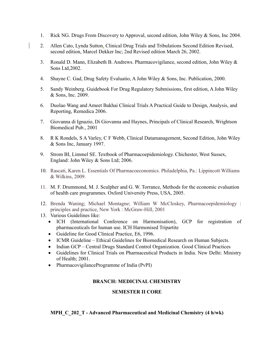- 1. Rick NG. Drugs From Discovery to Approval, second edition, John Wiley & Sons, Inc 2004.
- 2. Allen Cato, Lynda Sutton, Clinical Drug Trials and Tribulations Second Edition Revised, second edition, Marcel Dekker Inc; 2nd Revised edition March 26, 2002.
- 3. Ronald D. Mann, Elizabeth B. Andrews. Pharmacovigilance, second edition, John Wiley  $\&$ Sons Ltd,2002.
- 4. Shayne C. Gad, Drug Safety Evaluatio, A John Wiley & Sons, Inc. Publication, 2000.
- 5. Sandy Weinberg. Guidebook For Drug Regulatory Submissions, first edition, A John Wiley & Sons, Inc. 2009.
- 6. Duolao Wang and Ameet Bakhai Clinical Trials A Practical Guide to Design, Analysis, and Reporting, Remedica 2006.
- 7. Giovanna di Ignazio, Di Giovanna and Haynes, Principals of Clinical Research, Wrightson Biomedical Pub., 2001
- 8. R K Rondels, S A Varley, C F Webb, Clinical Datamanagement, Second Edition, John Wiley & Sons Inc, January 1997.
- 9. Strom BI, Limmel SE. Textbook of Pharmacoepidemiology. Chichester, West Sussex, England: John Wiley & Sons Ltd; 2006.
- 10. Rascati, Karen L. Essentials Of Pharmacoeconomics. Philadelphia, Pa.: Lippincott Williams & Wilkins, 2009.
- 11. M. F. Drummond, M. J. Sculpher and G. W. Torrance, Methods for the economic evaluation of health care programmes. Oxford University Press, USA, 2005.
- 12. Brenda Waning; Michael Montagne; William W McCloskey, Pharmacoepidemiology : principles and practice, New York : McGraw-Hill, 2001
- 13. Various Guidelines like:
	- ICH (International Conference on Harmonisation), GCP for registration of pharmaceuticals for human use. ICH Harmonised Tripartite
	- Guideline for Good Clinical Practice, E6, 1996.
	- ICMR Guideline Ethical Guidelines for Biomedical Research on Human Subjects.
	- Indian GCP Central Drugs Standard Control Organization. Good Clinical Practices
	- Guidelines for Clinical Trials on Pharmaceutical Products in India. New Delhi: Ministry of Health; 2001.
	- PharmacovigilanceProgramme of India (PvPI)

## **BRANCH: MEDICINAL CHEMISTRY**

#### **SEMESTER II CORE**

**MPH\_C\_202\_T - Advanced Pharmaceutical and Medicinal Chemistry (4 h/wk)**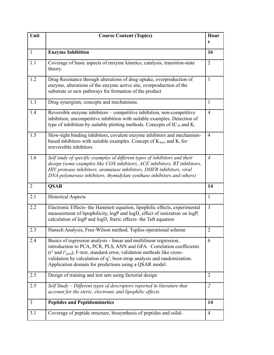| Unit           | <b>Course Content (Topics)</b>                                                                                                                                                                                                                                                                                                                                                  | Hour           |
|----------------|---------------------------------------------------------------------------------------------------------------------------------------------------------------------------------------------------------------------------------------------------------------------------------------------------------------------------------------------------------------------------------|----------------|
|                |                                                                                                                                                                                                                                                                                                                                                                                 | S              |
| $\mathbf{1}$   | <b>Enzyme Inhibition</b>                                                                                                                                                                                                                                                                                                                                                        | 16             |
| 1.1            | Coverage of basic aspects of enzyme kinetics, catalysis, transition-state<br>theory.                                                                                                                                                                                                                                                                                            | $\overline{2}$ |
| 1.2            | Drug Resistance through alterations of drug uptake, overproduction of<br>enzyme, alterations of the enzyme active site, overproduction of the<br>substrate or new pathways for formation of the product                                                                                                                                                                         | $\mathbf{1}$   |
| 1.3            | Drug synergism, concepts and mechanisms.                                                                                                                                                                                                                                                                                                                                        | $\mathbf{1}$   |
| 1.4            | Reversible enzyme inhibitors - competitive inhibition, non-competitive<br>inhibition, uncompetitive inhibition with suitable examples. Detection of<br>type of inhibition by suitable plotting methods. Concepts of $IC_{50}$ and $K_i$                                                                                                                                         | $\overline{4}$ |
| 1.5            | Slow-tight binding inhibitors, covalent enzyme inhibitors and mechanism-<br>based inhibitors with suitable examples. Concept of $K_{\text{inact}}$ and $K_i$ for<br>irreversible inhibitors                                                                                                                                                                                     | $\overline{4}$ |
| 1.6            | Self study of specific examples of different types of inhibitors and their<br>design (some examples like COX inhibitors, ACE inhibitors, RT inhibitors,<br>HIV protease inhibitors, aromatase inhibitors, DHFR inhibitors, viral<br>DNA polymerase inhibitors, thymidylate synthase inhibitors and others)                                                                      | $\overline{4}$ |
| 2              | <b>QSAR</b>                                                                                                                                                                                                                                                                                                                                                                     | 14             |
| 2.1            | <b>Historical Aspects</b>                                                                                                                                                                                                                                                                                                                                                       | $\mathbf{1}$   |
| 2.2            | Electronic Effects- the Hammett equation, lipophilic effects, experimental<br>measurement of lipophilicity, logP and logD, effect of ionization on logP,<br>calculation of logP and logD, Steric effects- the Taft equation                                                                                                                                                     | $\overline{3}$ |
| 2.3            | Hansch Analysis, Free-Wilson method, Topliss operational scheme                                                                                                                                                                                                                                                                                                                 | $\overline{2}$ |
| 2.4            | Basics of regression analysis - linear and multilinear regression,<br>introduction to PCA, PCR, PLS, ANN and GFA. Correlation coefficients<br>$(r^2 \text{ and } r^2_{pred})$ , F-test, standard error, validation methods like cross-<br>validation by calculation of $q^2$ , boot-strap analysis and randomization.<br>Application domain for predictions using a QSAR model. | 6              |
| 2.5            | Design of training and test sets using factorial design                                                                                                                                                                                                                                                                                                                         | 2              |
| 2.5            | Self Study $-D$ ifferent types of descriptors reported in literature that<br>account for the steric, electronic and lipophilic effects.                                                                                                                                                                                                                                         | $\overline{2}$ |
| $\overline{3}$ | <b>Peptides and Peptidomimetics</b>                                                                                                                                                                                                                                                                                                                                             | 14             |
| 3.1            | Coverage of peptide structure, biosynthesis of peptides and solid-                                                                                                                                                                                                                                                                                                              | $\overline{4}$ |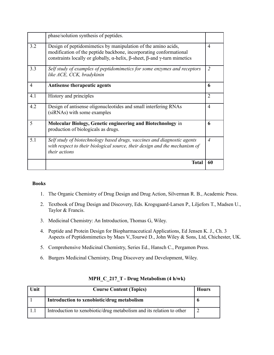|                | <b>Total</b>                                                                                                                                                                                                                                  | 60             |
|----------------|-----------------------------------------------------------------------------------------------------------------------------------------------------------------------------------------------------------------------------------------------|----------------|
| 5.1            | Self study of biotechnology based drugs, vaccines and diagnostic agents<br>with respect to their biological source, their design and the mechanism of<br><i>their actions</i>                                                                 | $\overline{4}$ |
| 5              | Molecular Biology, Genetic engineering and Biotechnology in<br>production of biologicals as drugs.                                                                                                                                            | 6              |
| 4.2            | Design of antisense oligonucleotides and small interfering RNAs<br>(siRNAs) with some examples                                                                                                                                                | $\overline{4}$ |
| 4.1            | History and principles                                                                                                                                                                                                                        | $\overline{2}$ |
| $\overline{4}$ | Antisense therapeutic agents                                                                                                                                                                                                                  | 6              |
| 3.3            | Self study of examples of peptidomimetics for some enzymes and receptors<br>like ACE, CCK, bradykinin                                                                                                                                         | $\overline{2}$ |
| 3.2            | Design of peptidomimetics by manipulation of the amino acids,<br>modification of the peptide backbone, incorporating conformational<br>constraints locally or globally, $\alpha$ -helix, $\beta$ -sheet, $\beta$ -and $\gamma$ -turn mimetics | $\overline{4}$ |
|                | phase/solution synthesis of peptides.                                                                                                                                                                                                         |                |

- 1. The Organic Chemistry of Drug Design and Drug Action, Silverman R. B., Academic Press.
- 2. Textbook of Drug Design and Discovery, Eds. Krogsgaard-Larsen P., Liljefors T., Madsen U., Taylor & Francis.
- 3. Medicinal Chemistry: An Introduction, Thomas G, Wiley.
- 4. Peptide and Protein Design for Biopharmaceutical Applications, Ed Jensen K. J., Ch. 3 Aspects of Peptidomimetics by Maes V.,Tourwé D., John Wiley & Sons, Ltd, Chichester, UK.
- 5. Comprehensive Medicinal Chemistry, Series Ed., Hansch C., Pergamon Press.
- 6. Burgers Medicinal Chemistry, Drug Discovery and Development, Wiley.

| Unit | <b>Course Content (Topics)</b>                                       | <b>Hours</b> |
|------|----------------------------------------------------------------------|--------------|
|      | Introduction to xenobiotic/drug metabolism                           |              |
|      | Introduction to xenobiotic/drug metabolism and its relation to other |              |

## **MPH\_C\_217\_T - Drug Metabolism (4 h/wk)**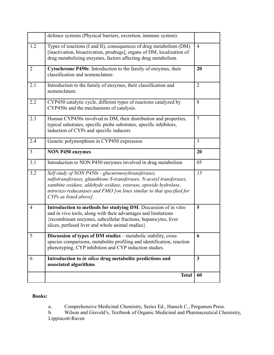|                | defence systems (Physical barriers, excretion, immune system).                                                                                                                                                                                                                                      |                |
|----------------|-----------------------------------------------------------------------------------------------------------------------------------------------------------------------------------------------------------------------------------------------------------------------------------------------------|----------------|
| 1.2            | Types of reactions (I and II), consequences of drug metabolism (DM)<br>[inactivation, bioactivation, prodrugs], organs of DM, localization of<br>drug metabolizing enzymes, factors affecting drug metabolism.                                                                                      | $\overline{4}$ |
| $\overline{2}$ | Cytochrome P450s: Introduction to the family of enzymes, their<br>classification and nomenclature.                                                                                                                                                                                                  | 20             |
| 2.1            | Introduction to the family of enzymes, their classification and<br>nomenclature.                                                                                                                                                                                                                    | $\overline{2}$ |
| 2.2            | CYP450 catalytic cycle, different types of reactions catalyzed by<br>CYP450s and the mechanisms of catalysis.                                                                                                                                                                                       | 8              |
| 2.3            | Human CYP450s involved in DM, their distribution and properties,<br>typical substrates, specific probe substrates, specific inhibitors,<br>induction of CYPs and specific inducers                                                                                                                  | $\overline{7}$ |
| 2.4            | Genetic polymorphism in CYP450 expression                                                                                                                                                                                                                                                           | $\overline{3}$ |
| $\overline{3}$ | <b>NON P450 enzymes</b>                                                                                                                                                                                                                                                                             | 20             |
| 3.1            | Introduction to NON P450 enzymes involved in drug metabolism                                                                                                                                                                                                                                        | 05             |
| 3.2            | Self study of NON P450s - glucuronosyltransferases,<br>sulfotransferases, glutathione S-transferases, N-acetyl transferases,<br>xanthine oxidase, aldehyde oxidase, esterase, epoxide hydrolase,<br>nitro/azo reducatases and FMO [on lines similar to that specified for<br>CYPs as listed above]. | 15             |
| $\overline{4}$ | Introduction to methods for studying DM. Discussion of in vitro<br>and in vivo tools, along with their advantages and limitations<br>{recombinant enzymes, subcellular fractions, hepatocytes, liver<br>slices, perfused liver and whole animal studies}.                                           | 5              |
| 5              | <b>Discussion of types of DM studies</b> – metabolic stability, cross<br>species comparisons, metabolite profiling and identification, reaction<br>phenotyping, CYP inhibition and CYP induction studies.                                                                                           | 6              |
| 6              | Introduction to in silico drug metabolite predictions and<br>associated algorithms.                                                                                                                                                                                                                 | $\mathbf{3}$   |
|                | <b>Total</b>                                                                                                                                                                                                                                                                                        | 60             |

a. Comprehensive Medicinal Chemistry, Series Ed., Hansch C., Pergamon Press.

b. Wilson and Gisvold's, Textbook of Organic Medicinal and Pharmaceutical Chemistry, Lippincott-Raven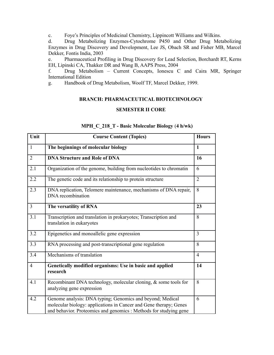c. Foye's Principles of Medicinal Chemistry, Lippincott Williams and Wilkins.

d. Drug Metabolizing Enzymes-Cytochrome P450 and Other Drug Metabolizing Enzymes in Drug Discovery and Development, Lee JS, Obach SR and Fisher MB, Marcel Dekker, Fontis India, 2003

e. Pharmaceutical Profiling in Drug Discovery for Lead Selection, Borchardt RT, Kerns EH, Lipinski CA, Thakker DR and Wang B, AAPS Press, 2004

f. Drug Metabolism – Current Concepts, Ionescu C and Caira MR, Springer International Edition

g. Handbook of Drug Metabolism, Woolf TF, Marcel Dekker, 1999.

## **BRANCH: PHARMACEUTICAL BIOTECHNOLOGY**

## **SEMESTER II CORE**

| Unit           | <b>Course Content (Topics)</b>                                                                                                                                                                      | <b>Hours</b>   |
|----------------|-----------------------------------------------------------------------------------------------------------------------------------------------------------------------------------------------------|----------------|
| $\mathbf{1}$   | The beginnings of molecular biology                                                                                                                                                                 | $\mathbf{1}$   |
| $\overline{2}$ | <b>DNA Structure and Role of DNA</b>                                                                                                                                                                | 16             |
| 2.1            | Organization of the genome, building from nucleotides to chromatin                                                                                                                                  | 6              |
| 2.2            | The genetic code and its relationship to protein structure                                                                                                                                          | $\overline{2}$ |
| 2.3            | DNA replication, Telomere maintenance, mechanisms of DNA repair,<br>DNA recombination                                                                                                               | 8              |
| $\overline{3}$ | The versatility of RNA                                                                                                                                                                              | 23             |
| 3.1            | Transcription and translation in prokaryotes; Transcription and<br>translation in eukaryotes                                                                                                        | 8              |
| 3.2            | Epigenetics and monoallelic gene expression                                                                                                                                                         | 3              |
| 3.3            | RNA processing and post-transcriptional gene regulation                                                                                                                                             | 8              |
| 3.4            | Mechanisms of translation                                                                                                                                                                           | $\overline{4}$ |
| $\overline{4}$ | Genetically modified organisms: Use in basic and applied<br>research                                                                                                                                | 14             |
| 4.1            | Recombinant DNA technology, molecular cloning, & some tools for<br>analyzing gene expression                                                                                                        | 8              |
| 4.2            | Genome analysis: DNA typing; Genomics and beyond; Medical<br>molecular biology: applications in Cancer and Gene therapy; Genes<br>and behavior. Proteomics and genomics : Methods for studying gene | 6              |

## **MPH\_C\_218\_T - Basic Molecular Biology** (**4 h/wk)**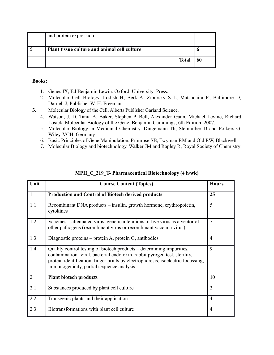| and protein expression                       |    |
|----------------------------------------------|----|
| Plant tissue culture and animal cell culture |    |
| <b>Total</b>                                 | 60 |

- 1. Genes IX, Ed Benjamin Lewin. Oxford University Press.
- 2. Molecular Cell Biology, Lodish H, Berk A, Zipursky S L, Matsudaira P., Baltimore D, Darnell J, Publisher W. H. Freeman.
- **3.** Molecular Biology of the Cell, Alberts Publisher Garland Science.
	- 4. Watson, J. D. Tania A. Baker, Stephen P. Bell, Alexander Gann, Michael Levine, Richard Losick, Molecular Biology of the Gene, Benjamin Cummings; 6th Edition, 2007.
	- 5. Molecular Biology in Medicinal Chemistry, Dingemann Th, Steinhilber D and Folkers G, Wiley-VCH, Germany
	- 6. Basic Principles of Gene Manipulation, Primrose SB, Twyman RM and Old RW, Blackwell.
	- 7. Molecular Biology and biotechnology, Walker JM and Rapley R, Royal Society of Chemistry

| Unit           | <b>Course Content (Topics)</b>                                                                                                                                                                                                                                                        | <b>Hours</b>   |
|----------------|---------------------------------------------------------------------------------------------------------------------------------------------------------------------------------------------------------------------------------------------------------------------------------------|----------------|
| $\mathbf{1}$   | <b>Production and Control of Biotech derived products</b>                                                                                                                                                                                                                             | 25             |
| 1.1            | Recombinant DNA products – insulin, growth hormone, erythropoietin,<br>cytokines                                                                                                                                                                                                      | 5              |
| 1.2            | Vaccines – attenuated virus, genetic alterations of live virus as a vector of<br>other pathogens (recombinant virus or recombinant vaccinia virus)                                                                                                                                    | $\overline{7}$ |
| 1.3            | Diagnostic proteins – protein A, protein G, antibodies                                                                                                                                                                                                                                | $\overline{4}$ |
| 1.4            | Quality control testing of biotech products – determining impurities,<br>contamination -viral, bacterial endotoxin, rabbit pyrogen test, sterility,<br>protein identification, finger prints by electrophoresis, isoelectric focussing,<br>immunogenicity, partial sequence analysis. | 9              |
| $\overline{2}$ | <b>Plant biotech products</b>                                                                                                                                                                                                                                                         | 10             |
| 2.1            | Substances produced by plant cell culture                                                                                                                                                                                                                                             | $\overline{2}$ |
| 2.2            | Transgenic plants and their application                                                                                                                                                                                                                                               | $\overline{4}$ |
| 2.3            | Biotransformations with plant cell culture                                                                                                                                                                                                                                            | $\overline{4}$ |

## **MPH\_C\_219\_T- Pharmaceutical Biotechnology (4 h/wk)**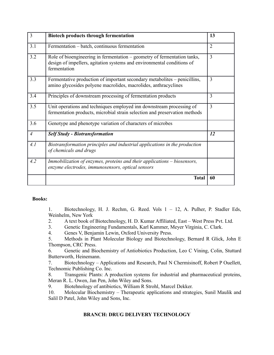| $\overline{3}$ | <b>Biotech products through fermentation</b>                                                                                                                       | 13             |
|----------------|--------------------------------------------------------------------------------------------------------------------------------------------------------------------|----------------|
| 3.1            | Fermentation – batch, continuous fermentation                                                                                                                      | $\overline{2}$ |
| 3.2            | Role of bioengineering in fermentation - geometry of fermentation tanks,<br>design of impellers, agitation systems and environmental conditions of<br>fermentation | 3              |
| 3.3            | Fermentative production of important secondary metabolites – penicillins,<br>amino glycosides polyene macrolides, macrolides, anthracyclines                       | 3              |
| 3.4            | Principles of downstream processing of fermentation products                                                                                                       | 3              |
| 3.5            | Unit operations and techniques employed inn downstream processing of<br>fermentation products, microbial strain selection and preservation methods                 | 3              |
| 3.6            | Genotype and phenotype variation of characters of microbes                                                                                                         |                |
| $\overline{4}$ | <b>Self Study - Biotransformation</b>                                                                                                                              | 12             |
| 4.1            | Biotransformation principles and industrial applications in the production<br>of chemicals and drugs                                                               |                |
| 4.2            | Immobilization of enzymes, proteins and their applications - biosensors,<br>enzyme electrodes, immunosensors, optical sensors                                      |                |
|                | <b>Total</b>                                                                                                                                                       | 60             |

1. Biotechnology, H. J. Rechm, G. Reed. Vols 1 – 12, A. Pulher, P. Stadler Eds, Weinhelm, New York

- 2. A text book of Biotechnology, H. D. Kumar Affiliated, East West Press Pvt. Ltd.
- 3. Genetic Engineering Fundamentals, Karl Kammer, Meyer Virginia, C. Clark.
- 4. Genes V, Benjamin Lewin, Oxford University Press.
- 5. Methods in Plant Molecular Biology and Biotechnology, Bernard R Glick, John E Thompson, CRC Press.

6. Genetic and Biochemistry of Antiobiotics Production, Leo C Vining, Colin, Stuttard Butterworth, Heinemann.

7. Biotechnology – Applications and Research, Paul N Chermisinoff, Robert P Ouellett, Technomic Publishing Co. Inc.

8. Transgenic Plants: A production systems for industrial and pharmaceutical proteins, Meran R. L. Owen, Jan Pen, John Wiley and Sons.

9. Biotehnology of antibiotics, William R Strohl, Marcel Dekker.

10. Molecular Biochemistry – Therapeutic applications and strategies, Sunil Maulik and Salil D Patel, John Wiley and Sons, Inc.

#### **BRANCH: DRUG DELIVERY TECHNOLOGY**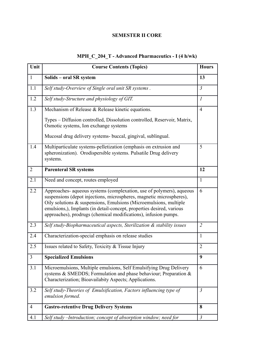## **SEMESTER II CORE**

# **MPH\_C\_204\_T - Advanced Pharmaceutics - I (4 h/wk)**

| Unit           | <b>Course Contents (Topics)</b>                                                                                                                                                                                                                                                                                                                               | <b>Hours</b>     |
|----------------|---------------------------------------------------------------------------------------------------------------------------------------------------------------------------------------------------------------------------------------------------------------------------------------------------------------------------------------------------------------|------------------|
| $\mathbf{1}$   | Solids - oral SR system                                                                                                                                                                                                                                                                                                                                       | 13               |
| 1.1            | Self study-Overview of Single oral unit SR systems.                                                                                                                                                                                                                                                                                                           | $\mathfrak{Z}$   |
| 1.2            | Self study-Structure and physiology of GIT.                                                                                                                                                                                                                                                                                                                   | $\boldsymbol{l}$ |
| 1.3            | Mechanism of Release & Release kinetic equations.                                                                                                                                                                                                                                                                                                             | $\overline{4}$   |
|                | Types – Diffusion controlled, Dissolution controlled, Reservoir, Matrix,<br>Osmotic systems, Ion exchange systems                                                                                                                                                                                                                                             |                  |
|                | Mucosal drug delivery systems- buccal, gingival, sublingual.                                                                                                                                                                                                                                                                                                  |                  |
| 1.4            | Multiparticulate systems-pelletization (emphasis on extrusion and<br>spheronization). Orodispersible systems. Pulsatile Drug delivery<br>systems.                                                                                                                                                                                                             | 5                |
| $\overline{2}$ | <b>Parenteral SR systems</b>                                                                                                                                                                                                                                                                                                                                  | 12               |
| 2.1            | Need and concept, routes employed                                                                                                                                                                                                                                                                                                                             | $\mathbf{1}$     |
| 2.2            | Approaches- aqueous systems (complexation, use of polymers), aqueous<br>suspensions (depot injections, microspheres, magnetic microspheres),<br>Oily solutions & suspensions, Emulsions (Microemulsions, multiple<br>emulsions,), Implants (in detail-concept, properties desired, various<br>approaches), prodrugs (chemical modifications), infusion pumps. | 6                |
| 2.3            | Self study-Biopharmaceutical aspects, Sterilization & stability issues                                                                                                                                                                                                                                                                                        | $\overline{2}$   |
| 2.4            | Characterization-special emphasis on release studies                                                                                                                                                                                                                                                                                                          | $\mathbf{1}$     |
| 2.5            | Issues related to Safety, Toxicity & Tissue Injury                                                                                                                                                                                                                                                                                                            | $\overline{2}$   |
| 3              | <b>Specialized Emulsions</b>                                                                                                                                                                                                                                                                                                                                  | 9                |
| 3.1            | Microemulsions, Multiple emulsions, Self Emulsifying Drug Delivery<br>systems & SMEDDS; Formulation and phase behaviour; Preparation &<br>Characterization; Bioavailabity Aspects; Applications.                                                                                                                                                              | 6                |
| 3.2            | Self study-Theories of Emulsification, Factors influencing type of<br>emulsion formed.                                                                                                                                                                                                                                                                        | $\mathfrak{Z}$   |
| $\overline{4}$ | <b>Gastro-retentive Drug Delivery Systems</b>                                                                                                                                                                                                                                                                                                                 | 8                |
| 4.1            | Self study - Introduction; concept of absorption window; need for                                                                                                                                                                                                                                                                                             | $\mathfrak{Z}$   |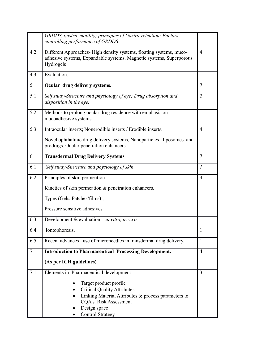|        | GRDDS, gastric motility; principles of Gastro-retention; Factors<br>controlling performance of GRDDS.                                                  |                             |
|--------|--------------------------------------------------------------------------------------------------------------------------------------------------------|-----------------------------|
| 4.2    | Different Approaches-High density systems, floating systems, muco-<br>adhesive systems, Expandable systems, Magnetic systems, Superporous<br>Hydrogels | $\overline{4}$              |
| 4.3    | Evaluation.                                                                                                                                            | $\mathbf{1}$                |
| 5      | Ocular drug delivery systems.                                                                                                                          | $\overline{7}$              |
| 5.1    | Self study-Structure and physiology of eye; Drug absorption and<br>disposition in the eye.                                                             | $\overline{2}$              |
| 5.2    | Methods to prolong ocular drug residence with emphasis on<br>mucoadhesive systems.                                                                     | $\mathbf{1}$                |
| 5.3    | Intraocular inserts; Nonerodible inserts / Erodible inserts.                                                                                           | $\overline{4}$              |
|        | Novel ophthalmic drug delivery systems, Nanoparticles, liposomes and<br>prodrugs. Ocular penetration enhancers.                                        |                             |
| 6      | <b>Transdermal Drug Delivery Systems</b>                                                                                                               | 7                           |
| 6.1    | Self study-Structure and physiology of skin.                                                                                                           | $\mathcal{I}_{\mathcal{I}}$ |
| 6.2    | Principles of skin permeation.                                                                                                                         | 3                           |
|        | Kinetics of skin permeation & penetration enhancers.                                                                                                   |                             |
|        | Types (Gels, Patches/films),                                                                                                                           |                             |
|        | Pressure sensitive adhesives.                                                                                                                          |                             |
| 6.3    | Development & evaluation $-$ in vitro, in vivo.                                                                                                        | $\mathbf{1}$                |
| 6.4    | Iontophoresis.                                                                                                                                         | $\mathbf{1}$                |
| 6.5    | Recent advances -use of microneedles in transdermal drug delivery.                                                                                     | $\mathbf{1}$                |
| $\tau$ | <b>Introduction to Pharmaceutical Processing Development.</b>                                                                                          | $\overline{\mathbf{4}}$     |
|        | (As per ICH guidelines)                                                                                                                                |                             |
| 7.1    | Elements in Pharmaceutical development                                                                                                                 | $\overline{3}$              |
|        | Target product profile<br>Critical Quality Attributes.<br>Linking Material Attributes & process parameters to<br>CQA's Risk Assessment<br>Design space |                             |
|        | <b>Control Strategy</b>                                                                                                                                |                             |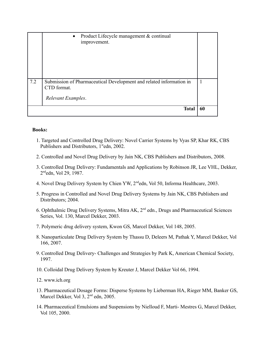|     | Product Lifecycle management & continual<br>$\bullet$<br>improvement.                                    |    |
|-----|----------------------------------------------------------------------------------------------------------|----|
| 7.2 | Submission of Pharmaceutical Development and related information in<br>CTD format.<br>Relevant Examples. | 1  |
|     | Total                                                                                                    | 60 |

- 1. Targeted and Controlled Drug Delivery: Novel Carrier Systems by Vyas SP, Khar RK, CBS Publishers and Distributors, 1<sup>st</sup>edn, 2002.
- 2. Controlled and Novel Drug Delivery by Jain NK, CBS Publishers and Distributors, 2008.
- 3. Controlled Drug Delivery: Fundamentals and Applications by Robinson JR, Lee VHL, Dekker, 2 ndedn, Vol 29, 1987.
- 4. Novel Drug Delivery System by Chien YW, 2ndedn, Vol 50, Informa Healthcare, 2003.
- 5. Progress in Controlled and Novel Drug Delivery Systems by Jain NK, CBS Publishers and Distributors; 2004.
- 6. Ophthalmic Drug Delivery Systems, Mitra AK, 2nd edn., Drugs and Pharmaceutical Sciences Series, Vol. 130, Marcel Dekker, 2003.
- 7. Polymeric drug delivery system, Kwon GS, Marcel Dekker, Vol 148, 2005.
- 8. Nanoparticulate Drug Delivery System by Thassu D, Deleers M, Pathak Y, Marcel Dekker, Vol 166, 2007.
- 9. Controlled Drug Delivery- Challenges and Strategies by Park K, American Chemical Society, 1997.
- 10. Colloidal Drug Delivery System by Kreuter J, Marcel Dekker Vol 66, 1994.
- 12. www.ich.org
- 13. Pharmaceutical Dosage Forms: Disperse Systems by Lieberman HA, Rieger MM, Banker GS, Marcel Dekker, Vol 3, 2<sup>nd</sup> edn, 2005.
- 14. Pharmaceutical Emulsions and Suspensions by Nielloud F, Marti- Mestres G, Marcel Dekker, Vol 105, 2000.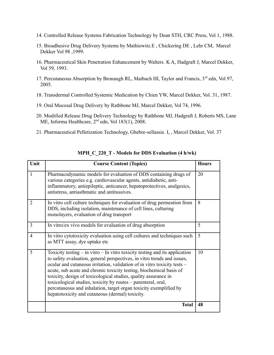- 14. Controlled Release Systems Fabrication Technology by Dean STH, CRC Press, Vol 1, 1988.
- 15. Bioadhesive Drug Delivery Systems by Mathiowitz.E , Chickering DE , Lehr CM, Marcel Dekker Vol 98 ,1999.
- 16. Pharmaceutical Skin Penetration Enhancement by Walters. K A, Hadgraft J, Marcel Dekker, Vol 59, 1993.
- 17. Percutaneous Absorption by Bronaugh RL, Maibach HI, Taylor and Francis, 3<sup>rd</sup> edn, Vol 97, 2005.
- 18. Transdermal Controlled Systemic Medication by Chien YW, Marcel Dekker, Vol. 31, 1987.
- 19. Oral Mucosal Drug Delivery by Rathbone MJ, Marcel Dekker, Vol 74, 1996.
- 20. Modified Release Drug Delivery Technology by Rathbone MJ, Hadgraft J, Roberts MS, Lane ME, Informa Healthcare,  $2<sup>nd</sup>$  edn, Vol 183(1), 2008.
- 21. Pharmaceutical Pelletization Technology, Ghebre-sellassie. I, , Marcel Dekker, Vol. 37

| Unit           | <b>Course Content (Topics)</b>                                                                                                                                                                                                                                                                                                                                                                                                                                                                                                                                            | <b>Hours</b> |
|----------------|---------------------------------------------------------------------------------------------------------------------------------------------------------------------------------------------------------------------------------------------------------------------------------------------------------------------------------------------------------------------------------------------------------------------------------------------------------------------------------------------------------------------------------------------------------------------------|--------------|
| 1              | Pharmacodynamic models for evaluation of DDS containing drugs of<br>various categories e.g. cardiovascular agents, antidiabetic, anti-<br>inflammatory, antiepileptic, anticancer, hepatoprotectives, analgesics,<br>antistress, antiasthmatic and antitussives.                                                                                                                                                                                                                                                                                                          | 20           |
| $\overline{2}$ | In vitro cell culture techniques for evaluation of drug permeation from<br>DDS, including isolation, maintenance of cell lines, culturing<br>monolayers, evaluation of drug transport                                                                                                                                                                                                                                                                                                                                                                                     | 8            |
| $\overline{3}$ | In vitro/ex vivo models for evaluation of drug absorption                                                                                                                                                                                                                                                                                                                                                                                                                                                                                                                 | 5            |
| $\overline{4}$ | In vitro cytotoxicity evaluation using cell cultures and techniques such<br>as MTT assay, dye uptake etc                                                                                                                                                                                                                                                                                                                                                                                                                                                                  | 5            |
| 5              | Toxicity testing $-$ in vitro $-$ In vitro toxicity testing and its application<br>to safety evaluation, general perspectives, in vitro trends and issues,<br>ocular and cutaneous irritation, validation of in vitro toxicity tests -<br>acute, sub acute and chronic toxicity testing, biochemical basis of<br>toxicity, design of toxicological studies, quality assurance in<br>toxicological studies, toxicity by routes – parenteral, oral,<br>percutaneous and inhalation, target organ toxicity exemplified by<br>hepatotoxicity and cutaneous (dermal) toxicity. | 10           |
|                | <b>Total</b>                                                                                                                                                                                                                                                                                                                                                                                                                                                                                                                                                              | 48           |

## **MPH\_C\_220\_T - Models for DDS Evaluation (4 h/wk)**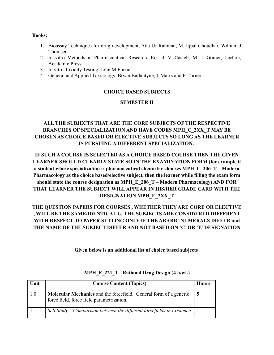- 1. Bioassay Techniques for drug development, Atta Ur Rahman, M. Iqbal Choudhar, William J Thomsen.
- 2. In vitro Methods in Pharmaceutical Research, Eds. J. V. Castell, M. J. Gomer, Lechon, Academic Press
- 3. In vitro Toxicity Testing, John M Frazier.
- 4. General and Applied Toxicology, Bryan Ballantyne, T Marrs and P. Turner.

#### **CHOICE BASED SUBJECTS**

#### **SEMESTER II**

## **ALL THE SUBJECTS THAT ARE THE CORE SUBJECTS OF THE RESPECTIVE BRANCHES OF SPECIALIZATION AND HAVE CODES MPH\_C\_2XX\_T MAY BE CHOSEN AS CHOICE BASED OR ELECTIVE SUBJECTS SO LONG AS THE LEARNER IS PURSUING A DIFFERENT SPECIALIZATION.**

**IF SUCH A COURSE IS SELECTED AS A CHOICE BASED COURSE THEN THE GIVEN LEARNER SHOULD CLEARLY STATE SO IN THE EXAMINATION FORM (for example if a student whose specialization is pharmaceutical chemistry chooses MPH\_C\_206\_T – Modern Pharmacology as the choice based/elective subject, then the learner while filling the exam form should state the course designation as MPH\_E\_206\_T – Modern Pharmacology) AND FOR THAT LEARNER THE SUBJECT WILL APPEAR IN HIS/HER GRADE CARD WITH THE DESIGNATION MPH\_E\_2XX\_T**

## **THE QUESTION PAPERS FOR COURSES , WHETHER THEY ARE CORE OR ELECTIVE , WILL BE THE SAME/IDENTICAL i.e THE SUBJECTS ARE CONSIDERED DIFFERENT WITH RESPECT TO PAPER SETTING ONLY IF THE ARABIC NUMERALS DIFFER and THE NAME OF THE SUBJECT DIFFER AND NOT BASED ON 'C' OR 'E' DESIGNATION**

**Given below is an additional list of choice based subjects** 

| Unit | <b>Course Content (Topics)</b>                                                                                        | <b>Hours</b> |
|------|-----------------------------------------------------------------------------------------------------------------------|--------------|
| 1.0  | <b>Molecular Mechanics</b> and the forcefield. General form of a generic<br>force field, force field parametrization. | 5            |
| 11   | Self Study – Comparison between the different forcefields in existence                                                |              |

#### **MPH\_E\_221\_T - Rational Drug Design** (**4 h/wk)**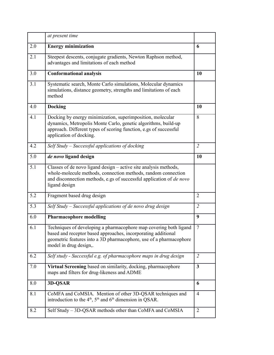|     | at present time                                                                                                                                                                                                                    |                |
|-----|------------------------------------------------------------------------------------------------------------------------------------------------------------------------------------------------------------------------------------|----------------|
| 2.0 | <b>Energy minimization</b>                                                                                                                                                                                                         | 6              |
| 2.1 | Steepest descents, conjugate gradients, Newton Raphson method,<br>advantages and limitations of each method                                                                                                                        |                |
| 3.0 | <b>Conformational analysis</b>                                                                                                                                                                                                     | 10             |
| 3.1 | Systematic search, Monte Carlo simulations, Molecular dynamics<br>simulations, distance geometry, strengths and limitations of each<br>method                                                                                      |                |
| 4.0 | <b>Docking</b>                                                                                                                                                                                                                     | 10             |
| 4.1 | Docking by energy minimization, superimposition, molecular<br>dynamics, Metropolis Monte Carlo, genetic algorithms, build-up<br>approach. Different types of scoring function, e.gs of successful<br>application of docking.       | 8              |
| 4.2 | Self Study – Successful applications of docking                                                                                                                                                                                    | $\overline{2}$ |
| 5.0 | de novo ligand design                                                                                                                                                                                                              | 10             |
| 5.1 | Classes of de novo ligand design - active site analysis methods,<br>whole-molecule methods, connection methods, random connection<br>and disconnection methods, e.gs of successful application of <i>de novo</i><br>ligand design  |                |
| 5.2 | Fragment based drug design                                                                                                                                                                                                         | $\overline{2}$ |
| 5.3 | Self Study – Successful applications of de novo drug design                                                                                                                                                                        | $\overline{2}$ |
| 6.0 | <b>Pharmacophore modelling</b>                                                                                                                                                                                                     | 9              |
| 6.1 | Techniques of developing a pharmacophore map covering both ligand<br>based and receptor based approaches, incorporating additional<br>geometric features into a 3D pharmacophore, use of a pharmacophore<br>model in drug design,. | $\overline{7}$ |
| 6.2 | Self study - Successful e.g. of pharmacophore maps in drug design                                                                                                                                                                  | $\overline{2}$ |
| 7.0 | Virtual Screening based on similarity, docking, pharmacophore<br>maps and filters for drug-likeness and ADME                                                                                                                       | $\mathbf{3}$   |
| 8.0 | 3D-QSAR                                                                                                                                                                                                                            | 6              |
| 8.1 | CoMFA and CoMSIA. Mention of other 3D-QSAR techniques and<br>introduction to the $4^{\text{th}}$ , $5^{\text{th}}$ and $6^{\text{th}}$ dimension in QSAR.                                                                          | $\overline{4}$ |
| 8.2 | Self Study - 3D-QSAR methods other than CoMFA and CoMSIA                                                                                                                                                                           | $\overline{2}$ |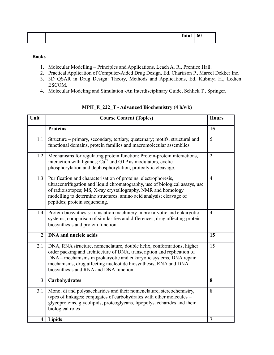| Tot.<br>. . | - -<br>60 |
|-------------|-----------|
|             |           |

- 1. Molecular Modelling Principles and Applications, Leach A. R., Prentice Hall.
- 2. Practical Application of Computer-Aided Drug Design, Ed. Charifson P., Marcel Dekker Inc.
- 3. 3D QSAR in Drug Design: Theory, Methods and Applications, Ed. Kubinyi H., Ledien ESCOM.
- 4. Molecular Modeling and Simulation -An Interdisciplinary Guide, Schlick T., Springer.

| Unit           | <b>Course Content (Topics)</b>                                                                                                                                                                                                                                                                                                     | <b>Hours</b>   |
|----------------|------------------------------------------------------------------------------------------------------------------------------------------------------------------------------------------------------------------------------------------------------------------------------------------------------------------------------------|----------------|
| $\mathbf{1}$   | <b>Proteins</b>                                                                                                                                                                                                                                                                                                                    | 15             |
| 1.1            | Structure - primary, secondary, tertiary, quaternary; motifs, structural and<br>functional domains, protein families and macromolecular assemblies                                                                                                                                                                                 | 5              |
| 1.2            | Mechanisms for regulating protein function: Protein-protein interactions,<br>interaction with ligands; $Ca^{2+}$ and GTP as modulators, cyclic<br>phosphorylation and dephosphorylation, proteolytic cleavage.                                                                                                                     | $\overline{2}$ |
| 1.3            | Purification and characterisation of proteins: electrophoresis,<br>ultracentrifugation and liquid chromatography, use of biological assays, use<br>of radioisotopes; MS, X-ray crystallography, NMR and homology<br>modelling to determine structures; amino acid analysis; cleavage of<br>peptides; protein sequencing.           | $\overline{4}$ |
| 1.4            | Protein biosynthesis: translation machinery in prokaryotic and eukaryotic<br>systems; comparison of similarities and differences, drug affecting protein<br>biosynthesis and protein function                                                                                                                                      | $\overline{4}$ |
| $\overline{2}$ | <b>DNA</b> and nucleic acids                                                                                                                                                                                                                                                                                                       | 15             |
| 2.1            | DNA, RNA structure, nomenclature, double helix, conformations, higher<br>order packing and architecture of DNA, transcription and replication of<br>DNA – mechanisms in prokaryotic and eukaryotic systems, DNA repair<br>mechanisms, drug affecting nucleotide biosynthesis, RNA and DNA<br>biosynthesis and RNA and DNA function | 15             |
| 3              | Carbohydrates                                                                                                                                                                                                                                                                                                                      | 8              |
| 3.1            | Mono, di and polysaccharides and their nomenclature, stereochemistry,<br>types of linkages; conjugates of carbohydrates with other molecules –<br>glycoproteins, glycolipids, proteoglycans, lipopolysaccharides and their<br>biological roles                                                                                     | 8              |
| $\overline{4}$ | <b>Lipids</b>                                                                                                                                                                                                                                                                                                                      | $\overline{7}$ |

## **MPH\_E\_222\_T - Advanced Biochemistry** (**4 h/wk)**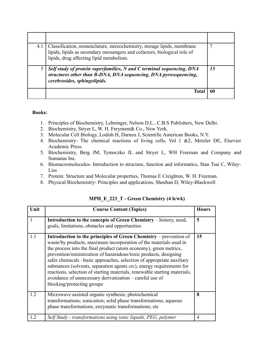| 4.1 | Classification, nomenclature, stereochemistry, storage lipids, membrane<br>lipids, lipids as secondary messengers and cofactors, biological role of<br>lipids, drug affecting lipid metabolism. |    |
|-----|-------------------------------------------------------------------------------------------------------------------------------------------------------------------------------------------------|----|
|     | Self study of protein superfamilies, N and C terminal sequencing, DNA<br>structures other than B-DNA, DNA sequencing, DNA pyrosequencing,<br>cerebrosides, sphingolipids.                       | 15 |
|     | Tota                                                                                                                                                                                            | 61 |

- 1. Principles of Biochemistry, Lehninger, Nelson D.L., C.B.S Publishers, New Delhi.
- 2. Biochemistry, Stryer L, W. H. Freyment& Co., New York.
- 3. Molecular Cell Biology, Lodish H, Darneu J, Scientific American Books, N.Y.
- 4. Biochemistry- The chemical reactions of living cells, Vol 1 &2, Metzler DE, Elsevier Academic Press.
- 5. Biochemistry, Berg JM, Tymoczko JL and Stryer L, WH Freeman and Company and Sumanas Inc.
- 6. Biomacromolecules- Introduction to structure, function and informatics, Stan Tsai C, Wiley-Liss
- 7. Protein: Structure and Molecular properties, Thomas E Creighton, W. H. Freeman.
- 8. Physical Biochemistry- Principles and applications, Sheehan D, Wiley-Blackwell

| Unit | <b>Course Content (Topics)</b>                                                                                                                                                                                                                                                                                                                                                                                                                                                                                                                                                                                 | <b>Hours</b>   |
|------|----------------------------------------------------------------------------------------------------------------------------------------------------------------------------------------------------------------------------------------------------------------------------------------------------------------------------------------------------------------------------------------------------------------------------------------------------------------------------------------------------------------------------------------------------------------------------------------------------------------|----------------|
|      | Introduction to the concepts of Green Chemistry – history, need,<br>goals, limitations, obstacles and opportunities                                                                                                                                                                                                                                                                                                                                                                                                                                                                                            | 5              |
| 1.1  | <b>Introduction to the principles of Green Chemistry – prevention of</b><br>waste/by products, maximum incorporation of the materials used in<br>the process into the final product (atom economy), green metrics,<br>prevention/minimization of hazaradous/toxic products, designing<br>safer chemicals -basic approaches, selection of appropriate auxiliary<br>substances (solvents, separation agents etc), energy requirements for<br>reactions, selection of starting materials, renewable starting materials,<br>avoidance of unnecessary derivatization - careful use of<br>blocking/protecting groups | 15             |
| 1.2  | Microwave assisted organic synthesis; photochemical<br>transformations; sonication; solid phase transformations; aqueous<br>phase transformations; enzymatic transformations; etc.                                                                                                                                                                                                                                                                                                                                                                                                                             | 8              |
| 12   | Self Study - transformations using ionic liquids, PEG, polymer                                                                                                                                                                                                                                                                                                                                                                                                                                                                                                                                                 | $\overline{4}$ |

**MPH\_E\_223\_T - Green Chemistry (4 h/wk)**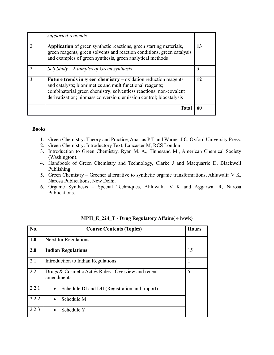|     | supported reagents                                                                                                                                                                                                                                                        |    |
|-----|---------------------------------------------------------------------------------------------------------------------------------------------------------------------------------------------------------------------------------------------------------------------------|----|
|     | Application of green synthetic reactions, green starting materials,<br>green reagents, green solvents and reaction conditions, green catalysis<br>and examples of green synthesis, green analytical methods                                                               | 13 |
| 2.1 | Self Study – Examples of Green synthesis                                                                                                                                                                                                                                  |    |
|     | Future trends in green chemistry $-$ oxidation reduction reagents<br>and catalysts; biomimetics and multifunctional reagents;<br>combinatorial green chemistry; solventless reactions; non-covalent<br>derivatization; biomass conversion; emission control; biocatalysis | 12 |
|     | <b>Total</b>                                                                                                                                                                                                                                                              | 60 |

- 1. Green Chemistry: Theory and Practice, Anastas P T and Warner J C, Oxford University Press.
- 2. Green Chemistry: Introductory Text, Lancaster M, RCS London
- 3. Introduction to Green Chemistry, Ryan M. A., Tinnesand M., American Chemical Society (Washington).
- 4. Handbook of Green Chemistry and Technology, Clarke J and Macquarrie D, Blackwell Publishing.
- 5. Green Chemistry Greener alternative to synthetic organic transformations, Ahluwalia V K, Narosa Publications, New Delhi.
- 6. Organic Synthesis Special Techniques, Ahluwalia V K and Aggarwal R, Narosa Publications.

| No.   | <b>Course Contents (Topics)</b>                                  | <b>Hours</b> |
|-------|------------------------------------------------------------------|--------------|
| 1.0   | Need for Regulations                                             | 1            |
| 2.0   | <b>Indian Regulations</b>                                        | 15           |
| 2.1   | Introduction to Indian Regulations                               |              |
| 2.2   | Drugs & Cosmetic Act & Rules - Overview and recent<br>amendments | 5            |
| 2.2.1 | Schedule DI and DII (Registration and Import)<br>$\bullet$       |              |
| 2.2.2 | Schedule M                                                       |              |
| 2.2.3 | Schedule Y                                                       |              |

**MPH\_E\_224\_T - Drug Regulatory Affairs( 4 h/wk)**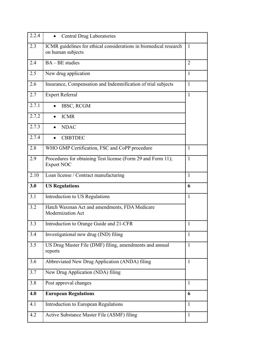| 2.2.4 | <b>Central Drug Laboratories</b><br>$\bullet$                                          |                |
|-------|----------------------------------------------------------------------------------------|----------------|
| 2.3   | ICMR guidelines for ethical considerations in biomedical research<br>on human subjects | $\mathbf{1}$   |
| 2.4   | BA - BE studies                                                                        | $\overline{2}$ |
| 2.5   | New drug application                                                                   | 1              |
| 2.6   | Insurance, Compensation and Indemnification of trial subjects                          | $\mathbf{1}$   |
| 2.7   | <b>Expert Referral</b>                                                                 | 1              |
| 2.7.1 | IBSC, RCGM                                                                             |                |
| 2.7.2 | <b>ICMR</b>                                                                            |                |
| 2.7.3 | <b>NDAC</b>                                                                            |                |
| 2.7.4 | <b>CBBTDEC</b>                                                                         |                |
| 2.8   | WHO GMP Certification, FSC and CoPP procedure                                          | $\mathbf{1}$   |
| 2.9   | Procedures for obtaining Test license (Form 29 and Form 11);<br><b>Export NOC</b>      | $\mathbf{1}$   |
| 2.10  | Loan license / Contract manufacturing                                                  | $\mathbf{1}$   |
| 3.0   | <b>US Regulations</b>                                                                  | 6              |
| 3.1   | Introduction to US Regulations                                                         | 1              |
| 3.2   | Hatch Waxman Act and amendments, FDA Medicare<br><b>Modernization Act</b>              |                |
| 3.3   | Introduction to Orange Guide and 21-CFR                                                | $\mathbf{1}$   |
| 3.4   | Investigational new drug (IND) filing                                                  | $\mathbf{1}$   |
| 3.5   | US Drug Master File (DMF) filing, amendments and annual<br>reports                     | $\mathbf{1}$   |
| 3.6   | Abbreviated New Drug Application (ANDA) filing                                         | $\mathbf{1}$   |
| 3.7   | New Drug Application (NDA) filing                                                      |                |
| 3.8   | Post approval changes                                                                  | $\mathbf{1}$   |
| 4.0   | <b>European Regulations</b>                                                            | 6              |
| 4.1   | Introduction to European Regulations                                                   | $\mathbf{1}$   |
| 4.2   | Active Substance Master File (ASMF) filing                                             | $\mathbf{1}$   |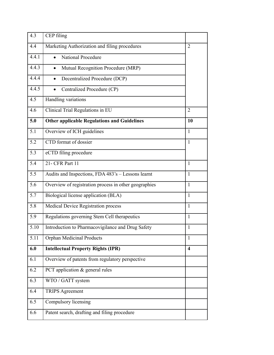| 4.3   | CEP filing                                            |                |
|-------|-------------------------------------------------------|----------------|
| 4.4   | Marketing Authorization and filing procedures         | $\overline{2}$ |
| 4.4.1 | National Procedure                                    |                |
| 4.4.3 | Mutual Recognition Procedure (MRP)                    |                |
| 4.4.4 | Decentralized Procedure (DCP)<br>$\bullet$            |                |
| 4.4.5 | Centralized Procedure (CP)                            |                |
| 4.5   | Handling variations                                   |                |
| 4.6   | Clinical Trial Regulations in EU                      | $\overline{2}$ |
| 5.0   | <b>Other applicable Regulations and Guidelines</b>    | 10             |
| 5.1   | Overview of ICH guidelines                            | 1              |
| 5.2   | CTD format of dossier                                 | 1              |
| 5.3   | eCTD filing procedure                                 |                |
| 5.4   | 21- CFR Part 11                                       | $\mathbf{1}$   |
| 5.5   | Audits and Inspections, FDA 483's - Lessons learnt    | $\mathbf{1}$   |
| 5.6   | Overview of registration process in other geographies | $\mathbf{1}$   |
| 5.7   | Biological license application (BLA)                  | $\mathbf{1}$   |
| 5.8   | <b>Medical Device Registration process</b>            | $\mathbf{1}$   |
| 5.9   | Regulations governing Stem Cell therapeutics          | $\mathbf{1}$   |
| 5.10  | Introduction to Pharmacovigilance and Drug Safety     | $\mathbf{1}$   |
| 5.11  | <b>Orphan Medicinal Products</b>                      | $\mathbf{1}$   |
| 6.0   | <b>Intellectual Property Rights (IPR)</b>             | 4              |
| 6.1   | Overview of patents from regulatory perspective       |                |
| 6.2   | PCT application $&$ general rules                     |                |
| 6.3   | WTO / GATT system                                     |                |
| 6.4   | <b>TRIPS Agreement</b>                                |                |
| 6.5   | Compulsory licensing                                  |                |
| 6.6   | Patent search, drafting and filing procedure          |                |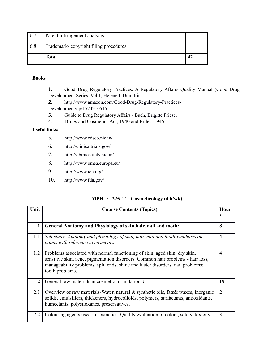| 6.7 | Patent infringement analysis          |  |
|-----|---------------------------------------|--|
| 6.8 | Trademark/copyright filing procedures |  |
|     | <b>Total</b>                          |  |

## **Books**

**1.** Good Drug Regulatory Practices: A Regulatory Affairs Quality Manual (Good Drug Development Series, Vol 1, [Helene I. Dumitriu](http://www.amazon.com/Helene-I.-Dumitriu/e/B001K8GMDA/ref=ntt_athr_dp_pel_1/189-6772266-3349811)

**2.** [http://www.amazon.com/Good-Drug-Regulatory-Practices-](http://www.amazon.com/Good-Drug-Regulatory-Practices-Development/dp/1574910515)[Development/dp/1574910515](http://www.amazon.com/Good-Drug-Regulatory-Practices-Development/dp/1574910515)

- **3.** Guide to Drug Regulatory Affairs / Buch, [Brigitte Friese.](http://www.amazon.co.uk/s/ref=ntt_athr_dp_sr_1/278-1487427-7040123?_encoding=UTF8&field-author=Brigitte%20Friese&search-alias=books-uk)
- 4. Drugs and Cosmetics Act, 1940 and Rules, 1945.

## **Useful links:**

- 5. [http://www.cdsco.nic.in/](http://www.rediffmail.com/cgi-bin/red.cgi?red=http%3A%2F%2Fwww.cdsco.nic.in%2F&isImage=0&BlockImage=0&rediffng=0)
- 6. [http://clinicaltrials.gov/](http://www.rediffmail.com/cgi-bin/red.cgi?red=http%3A%2F%2Fclinicaltrials.gov%2F&isImage=0&BlockImage=0&rediffng=0)
- 7. [http://dbtbiosafety.nic.in/](http://www.rediffmail.com/cgi-bin/red.cgi?red=http%3A%2F%2Fdbtbiosafety.nic.in%2F&isImage=0&BlockImage=0&rediffng=0)
- 8. [http://www.emea.europa.eu/](http://www.rediffmail.com/cgi-bin/red.cgi?red=http%3A%2F%2Fwww.emea.europa.eu%2F&isImage=0&BlockImage=0&rediffng=0)
- 9. [http://www.ich.org/](http://www.rediffmail.com/cgi-bin/red.cgi?red=http%3A%2F%2Fwww.ich.org%2F&isImage=0&BlockImage=0&rediffng=0)
- 10. [http://www.fda.gov/](http://www.rediffmail.com/cgi-bin/red.cgi?red=http%3A%2F%2Fwww.fda.gov%2F&isImage=0&BlockImage=0&rediffng=0)

|  | $MPH_E_225_T - Cosmeticology (4 h/wk)$ |
|--|----------------------------------------|
|--|----------------------------------------|

| Unit           | <b>Course Contents (Topics)</b>                                                                                                                                                                                                                                   | Hour<br>S      |
|----------------|-------------------------------------------------------------------------------------------------------------------------------------------------------------------------------------------------------------------------------------------------------------------|----------------|
| 1              | General Anatomy and Physiology of skin, hair, nail and tooth:                                                                                                                                                                                                     | 8              |
| 1.1            | Self study : Anatomy and physiology of skin, hair, nail and tooth-emphasis on<br>points with reference to cosmetics.                                                                                                                                              | $\overline{4}$ |
| 1.2            | Problems associated with normal functioning of skin, aged skin, dry skin,<br>sensitive skin, acne, pigmentation disorders. Common hair problems - hair loss,<br>manageability problems, split ends, shine and luster disorders; nail problems;<br>tooth problems. | $\overline{4}$ |
| $\overline{2}$ | General raw materials in cosmetic formulations:                                                                                                                                                                                                                   | 19             |
| 2.1            | Overview of raw materials-Water, natural & synthetic oils, fats & waxes, inorganic<br>solids, emulsifiers, thickeners, hydrocolloids, polymers, surfactants, antioxidants,<br>humectants, polysiloxanes, preservatives.                                           | $\overline{2}$ |
| 2.2            | Colouring agents used in cosmetics. Quality evaluation of colors, safety, toxicity                                                                                                                                                                                | 3              |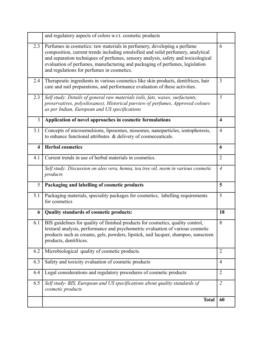|                         | and regulatory aspects of colors w.r.t. cosmetic products                                                                                                                                                                                                                                                                                                                      |                |
|-------------------------|--------------------------------------------------------------------------------------------------------------------------------------------------------------------------------------------------------------------------------------------------------------------------------------------------------------------------------------------------------------------------------|----------------|
| 2.3                     | Perfumes in cosmetics: raw materials in perfumery, developing a perfume<br>composition, current trends including emulsified and solid perfumery, analytical<br>and separation techniques of perfumes, sensory analysis, safety and toxicological<br>evaluation of perfumes, manufacturing and packaging of perfumes, legislation<br>and regulations for perfumes in cosmetics. | 6              |
| 2.4                     | Therapeutic ingredients in various cosmetics like skin products, dentifrices, hair<br>care and nail preparations, and performance evaluation of these activities.                                                                                                                                                                                                              | $\overline{3}$ |
| 2.3                     | Self study: Details of general raw materials (oils, fats, waxes, surfactants,<br>preservatives, polysiloxanes), Historical purview of perfumes, Approved colours<br>as per Indian, European and US specifications                                                                                                                                                              | 5              |
| 3                       | Application of novel approaches in cosmetic formulations                                                                                                                                                                                                                                                                                                                       | $\overline{4}$ |
| 3.1                     | Concepts of microemulsions, liposomes, niosomes, nanoparticles, iontophoresis,<br>to enhance functional attributes $\&$ delivery of cosmeceuticals.                                                                                                                                                                                                                            | $\overline{4}$ |
| $\overline{\mathbf{4}}$ | <b>Herbal cosmetics</b>                                                                                                                                                                                                                                                                                                                                                        | 6              |
| 4.1                     | Current trends in use of herbal materials in cosmetics.                                                                                                                                                                                                                                                                                                                        | $\overline{2}$ |
|                         | Self study: Discussion on aleo vera, henna, tea tree oil, neem in various cosmetic<br>products                                                                                                                                                                                                                                                                                 | $\overline{4}$ |
| 5                       | Packaging and labelling of cosmetic products                                                                                                                                                                                                                                                                                                                                   | 5              |
| 5.1                     | Packaging materials, speciality packages for cosmetics, labelling requirements<br>for cosmetics                                                                                                                                                                                                                                                                                | 5              |
| 6                       | Quality standards of cosmetic products:                                                                                                                                                                                                                                                                                                                                        | 18             |
| 6.1                     | BIS guidelines for quality of finished products for cosmetics, quality control,<br>textural analysis, performance and psychometric evaluation of various cosmetic<br>products such as creams, gels, powders, lipstick, nail lacquer, shampoo, sunscreen<br>products, dentifrices.                                                                                              | 8              |
| 6.2                     | Microbiological quality of cosmetic products.                                                                                                                                                                                                                                                                                                                                  | $\overline{2}$ |
| 6.3                     | Safety and toxicity evaluation of cosmetic products                                                                                                                                                                                                                                                                                                                            | 4              |
| 6.4                     | Legal considerations and regulatory procedures of cosmetic products                                                                                                                                                                                                                                                                                                            | $\overline{2}$ |
| 6.5                     | Self study- BIS, European and US specifications about quality standards of<br>cosmetic products                                                                                                                                                                                                                                                                                | $\overline{2}$ |
|                         | <b>Total</b>                                                                                                                                                                                                                                                                                                                                                                   | 60             |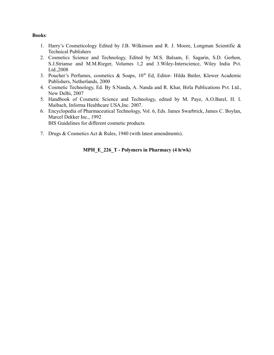#### **Books**:

- 1. Harry's Cosmeticology Edited by J.B. Wilkinson and R. J. Moore, Longman Scientific & Technical Publishers
- 2. Cosmetics Science and Technology, Edited by M.S. Balsam, E. Sagarin, S.D. Gerhon, S.J.Strianse and M.M.Rieger, Volumes 1,2 and 3.Wiley-Interscience, Wiley India Pvt. Ltd.,2008
- 3. Poucher's Perfumes, cosmetics & Soaps, 10<sup>th</sup> Ed, Editor- Hilda Butler, Klewer Academic Publishers, Netherlands, 2000
- 4. Cosmetic Technology, Ed. By S.Nanda, A. Nanda and R. Khar, Birla Publications Pvt. Ltd., New Delhi, 2007
- 5. Handbook of Cosmetic Science and Technology, edited by M. Paye, A.O.Barel, H. I. Maibach, Informa Healthcare USA,Inc. 2007.
- 6. Encyclopedia of Pharmaceutical Technology, Vol. 6, Eds. James Swarbrick, James C. Boylan, Marcel Dekker Inc., 1992 BIS Guidelines for different cosmetic products
- 7. Drugs & Cosmetics Act & Rules, 1940 (with latest amendments).

## **MPH\_E\_226\_T - Polymers in Pharmacy (4 h/wk)**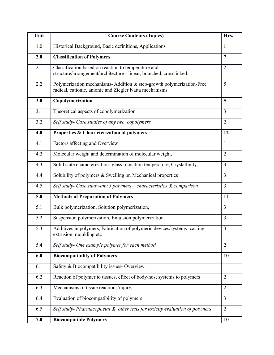| Unit | <b>Course Contents (Topics)</b>                                                                                                  | Hrs.           |
|------|----------------------------------------------------------------------------------------------------------------------------------|----------------|
| 1.0  | Historical Background, Basic definitions, Applications                                                                           | $\mathbf{1}$   |
| 2.0  | <b>Classification of Polymers</b>                                                                                                | 7              |
| 2.1  | Classification based on reaction to temperature and<br>structure/arrangement/architecture - linear, branched, crosslinked.       | $\overline{2}$ |
| 2.2  | Polymerization mechanisms- Addition & step-growth polymerization-Free<br>radical, cationic, anionic and Ziegler Natta mechanisms | 5              |
| 3.0  | Copolymerization                                                                                                                 | 5              |
| 3.1  | Theoretical aspects of copolymerization                                                                                          | $\overline{3}$ |
| 3.2  | Self study- Case studies of any two copolymers                                                                                   | $\overline{2}$ |
| 4.0  | Properties & Characterization of polymers                                                                                        | 12             |
| 4.1  | Factors affecting and Overview                                                                                                   | 1              |
| 4.2  | Molecular weight and determination of molecular weight,                                                                          | $\overline{2}$ |
| 4.3  | Solid state characterization- glass transition temperature, Crystallinity,                                                       | $\overline{3}$ |
| 4.4  | Solubility of polymers & Swelling pr, Mechanical properties                                                                      | $\overline{3}$ |
| 4.5  | Self study- Case study-any 3 polymers – characteristics $\&$ comparison                                                          | $\overline{3}$ |
| 5.0  | <b>Methods of Preparation of Polymers</b>                                                                                        | 11             |
| 5.1  | Bulk polymerization, Solution polymerization,                                                                                    | $\overline{3}$ |
| 5.2  | Suspension polymerization, Emulsion polymerization.                                                                              | $\overline{3}$ |
| 5.3  | Additives in polymers, Fabrication of polymeric devices/systems-casting,<br>extrusion, moulding etc.                             | $\overline{3}$ |
| 5.4  | Self study- One example polymer for each method                                                                                  | $\overline{2}$ |
| 6.0  | <b>Biocompatibility of Polymers</b>                                                                                              | 10             |
| 6.1  | Safety & Biocompatibility issues- Overview                                                                                       | 1              |
| 6.2  | Reaction of polymer to tissues, effect of body/host systems to polymers                                                          | $\overline{2}$ |
| 6.3  | Mechanisms of tissue reactions/injury,                                                                                           | $\overline{2}$ |
| 6.4  | Evaluation of biocompatibility of polymers                                                                                       | $\overline{3}$ |
| 6.5  | Self study- Pharmacopoeial & other tests for toxicity evaluation of polymers                                                     | $\overline{2}$ |
| 7.0  | <b>Biocompatible Polymers</b>                                                                                                    | 10             |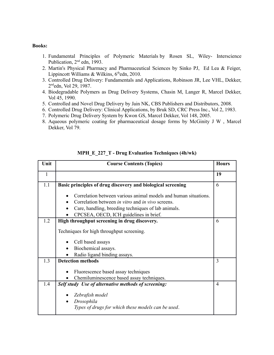#### **Books:**

- 1. Fundamental Principles of Polymeric Materials by Rosen SL, Wiley- Interscience Publication, 2<sup>nd</sup> edn, 1993.
- 2. Martin's Physical Pharmacy and Pharmaceutical Sciences by Sinko PJ, Ed Lea & Feiger, Lippincott Williams & Wilkins,  $6<sup>th</sup>$ edn, 2010.
- 3. Controlled Drug Delivery: Fundamentals and Applications, Robinson JR, Lee VHL, Dekker, 2 ndedn, Vol 29, 1987.
- 4. Biodegradable Polymers as Drug Delivery Systems, Chasin M, Langer R, Marcel Dekker, Vol 45, 1990.
- 5. Controlled and Novel Drug Delivery by Jain NK, CBS Publishers and Distributors, 2008.
- 6. Controlled Drug Delivery: Clinical Applications, by Bruk SD, CRC Press Inc., Vol 2, 1983.
- 7. Polymeric Drug Delivery System by Kwon GS, Marcel Dekker, Vol 148, 2005.
- 8. Aqueous polymeric coating for pharmaceutical dosage forms by McGinity J W , Marcel Dekker, Vol 79.

| Unit         | <b>Course Contents (Topics)</b>                                 | <b>Hours</b>   |
|--------------|-----------------------------------------------------------------|----------------|
| $\mathbf{1}$ |                                                                 | 19             |
| 1.1          | Basic principles of drug discovery and biological screening     | 6              |
|              | Correlation between various animal models and human situations. |                |
|              | Correlation between <i>in vitro</i> and <i>in vivo</i> screens. |                |
|              | Care, handling, breeding techniques of lab animals.             |                |
|              | CPCSEA, OECD, ICH guidelines in brief.                          |                |
| 1.2          | High throughput screening in drug discovery.                    | 6              |
|              | Techniques for high throughput screening.                       |                |
|              | Cell based assays                                               |                |
|              | Biochemical assays.                                             |                |
|              | Radio ligand binding assays.                                    |                |
| 1.3          | <b>Detection methods</b>                                        | 3              |
|              | Fluorescence based assay techniques<br>$\bullet$                |                |
|              | Chemiluminescence based assay techniques.                       |                |
| 1.4          | Self study Use of alternative methods of screening:             | $\overline{4}$ |
|              | Zebrafish model                                                 |                |
|              | Drosophila<br>$\bullet$                                         |                |
|              | Types of drugs for which these models can be used.              |                |

#### **MPH\_E\_227\_T - Drug Evaluation Techniques (4h/wk)**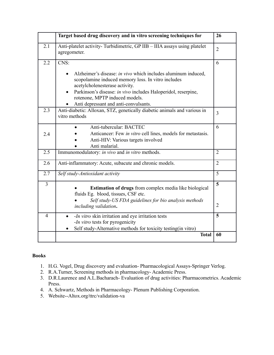|                | Target based drug discovery and in vitro screening techniques for                                                                                                                                                                                                                                              | 26             |
|----------------|----------------------------------------------------------------------------------------------------------------------------------------------------------------------------------------------------------------------------------------------------------------------------------------------------------------|----------------|
| 2.1            | Anti-platelet activity-Turbidimetric, GP IIB - IIIA assays using platelet<br>agregometer.                                                                                                                                                                                                                      | $\overline{2}$ |
| 2.2            | CNS:                                                                                                                                                                                                                                                                                                           | 6              |
|                | Alzheimer's disease: in vivo which includes aluminum induced,<br>scopolamine induced memory loss. In vitro includes<br>acetylcholenesterase activity.<br>Parkinson's disease: in vivo includes Haloperidol, reserpine,<br>$\bullet$<br>rotenone, MPTP induced models.<br>Anti depressant and anti-convulsants. |                |
| 2.3            | Anti-diabetic: Alloxan, STZ, genetically diabetic animals and various in<br>vitro methods                                                                                                                                                                                                                      | $\overline{3}$ |
| 2.4            | Anti-tubercular: BACTEC<br>Anticancer: Few in vitro cell lines, models for metastasis.<br>Anti-HIV: Various targets involved<br>Anti malarial.                                                                                                                                                                 | 6              |
| 2.5            | Immunomodulatory: in vivo and in vitro methods.                                                                                                                                                                                                                                                                | $\overline{2}$ |
| 2.6            | Anti-inflammatory: Acute, subacute and chronic models.                                                                                                                                                                                                                                                         | $\overline{2}$ |
| 2.7            | Self study-Antioxidant activity                                                                                                                                                                                                                                                                                | 5              |
| $\overline{3}$ | <b>Estimation of drugs</b> from complex media like biological<br>fluids Eg. blood, tissues, CSF etc.<br>Self study-US FDA guidelines for bio analysis methods                                                                                                                                                  | 5              |
|                | including validation.                                                                                                                                                                                                                                                                                          | $\overline{2}$ |
| $\overline{4}$ | - <i>In vitro</i> skin irritation and eye irritation tests<br>$\bullet$<br>- <i>In vitro</i> tests for pyrogenicity<br>Self study-Alternative methods for toxicity testing(in vitro)                                                                                                                           | 5              |
|                | <b>Total</b>                                                                                                                                                                                                                                                                                                   | 60             |

# **Books**

- 1. H.G. Vogel, Drug discovery and evaluation- Pharmacological Assays-Springer Verlog.
- 2. R.A.Turner, Screening methods in pharmacology- Academic Press.
- 3. D.R.Laurence and A.L.Bacharach- Evaluation of drug activities: Pharmacometrics. Academic Press.
- 4. A. Schwartz, Methods in Pharmacology- Plenum Publishing Corporation.
- 5. Website--Altox.org/ttrc/validation-va